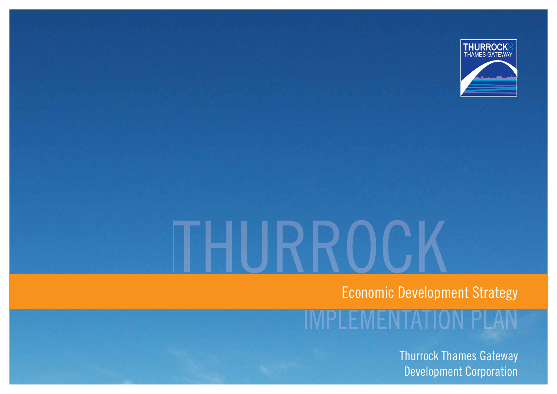

Economic Development Strategy

4 N JATIOI

Thurrock Thames Gateway Development Corporation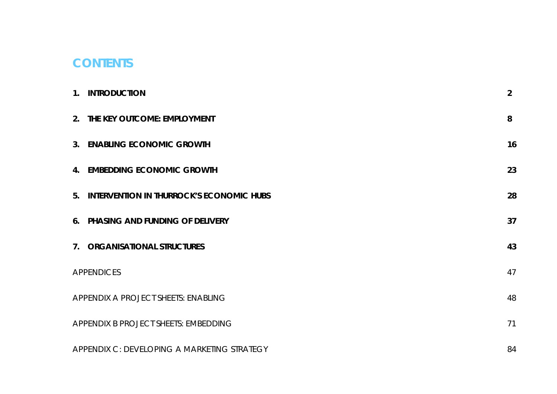# **CONTENTS**

| 1. INTRODUCTION                             | $\overline{2}$ |
|---------------------------------------------|----------------|
| 2. THE KEY OUTCOME: EMPLOYMENT              | 8              |
| 3. ENABLING ECONOMIC GROWTH                 | 16             |
| 4. EMBEDDING ECONOMIC GROWTH                | 23             |
| 5. INTERVENTION IN THURROCK'S ECONOMIC HUBS | 28             |
| 6. PHASING AND FUNDING OF DELIVERY          | 37             |
| 7. ORGANISATIONAL STRUCTURES                | 43             |
| <b>APPENDICES</b>                           | 47             |
| APPENDIX A PROJECT SHEETS: ENABLING         | 48             |
| APPENDIX B PROJECT SHEETS: EMBEDDING        | 71             |
| APPENDIX C: DEVELOPING A MARKETING STRATEGY | 84             |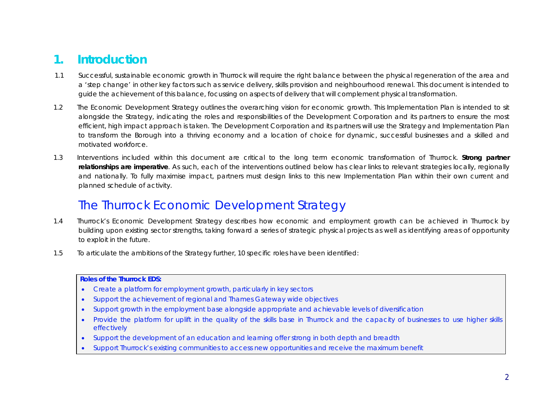# **1. Introduction**

- 1.1 Successful, sustainable economic growth in Thurrock will require the right balance between the physical regeneration of the area and a 'step change' in other key factors such as service delivery, skills provision and neighbourhood renewal. This document is intended to guide the achievement of this balance, focussing on aspects of delivery that will complement physical transformation.
- 1.2 The Economic Development Strategy outlines the overarching vision for economic growth. This Implementation Plan is intended to sit alongside the Strategy, indicating the roles and responsibilities of the Development Corporation and its partners to ensure the most efficient, high impact approach is taken. The Development Corporation and its partners will use the Strategy and Implementation Plan to transform the Borough into a thriving economy and a location of choice for dynamic, successful businesses and a skilled and motivated workforce.
- 1.3 Interventions included within this document are critical to the long term economic transformation of Thurrock. **Strong partner relationships are imperative**. As such, each of the interventions outlined below has clear links to relevant strategies locally, regionally and nationally. To fully maximise impact, partners must design links to this new Implementation Plan within their own current and planned schedule of activity.

# The Thurrock Economic Development Strategy

- 1.4 Thurrock's Economic Development Strategy describes how economic and employment growth can be achieved in Thurrock by building upon existing sector strengths, taking forward a series of strategic physical projects as well as identifying areas of opportunity to exploit in the future.
- 1.5 To articulate the ambitions of the Strategy further, 10 specific roles have been identified:

#### **Roles of the Thurrock EDS:**

- Create a platform for employment growth, particularly in key sectors
- Support the achievement of regional and Thames Gateway wide objectives
- Support growth in the employment base alongside appropriate and achievable levels of diversification
- Provide the platform for uplift in the quality of the skills base in Thurrock and the capacity of businesses to use higher skills effectively
- Support the development of an education and learning offer strong in both depth and breadth
- Support Thurrock's existing communities to access new opportunities and receive the maximum benefit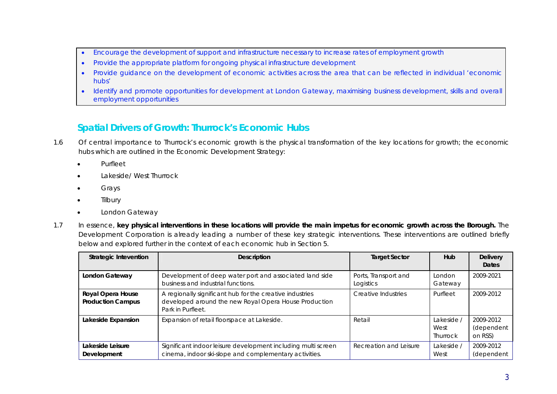- Encourage the development of support and infrastructure necessary to increase rates of employment growth
- Provide the appropriate platform for ongoing physical infrastructure development
- x Provide guidance on the development of economic activities across the area that can be reflected in individual 'economic hubs'
- Identify and promote opportunities for development at London Gateway, maximising business development, skills and overall employment opportunities

### **Spatial Drivers of Growth: Thurrock's Economic Hubs**

- 1.6 Of central importance to Thurrock's economic growth is the physical transformation of the key locations for growth; the economic hubs which are outlined in the Economic Development Strategy:
	- **Purfleet**
	- Lakeside/ West Thurrock
	- Grays
	- **Tilbury**
	- London Gateway
- 1.7 In essence, **key physical interventions in these locations will provide the main impetus for economic growth across the Borough.** The Development Corporation is already leading a number of these key strategic interventions. These interventions are outlined briefly below and explored further in the context of each economic hub in Section 5.

| Strategic Intevention                         | <b>Description</b>                                                                                                                     | <b>Target Sector</b>              | <b>Hub</b>                     | <b>Delivery</b><br><b>Dates</b>    |
|-----------------------------------------------|----------------------------------------------------------------------------------------------------------------------------------------|-----------------------------------|--------------------------------|------------------------------------|
| London Gateway                                | Development of deep water port and associated land side<br>business and industrial functions.                                          | Ports, Transport and<br>Logistics | London<br>Gateway              | 2009-2021                          |
| Royal Opera House<br><b>Production Campus</b> | A regionally significant hub for the creative industries<br>developed around the new Royal Opera House Production<br>Park in Purfleet. | Creative Industries               | Purfleet                       | 2009-2012                          |
| Lakeside Expansion                            | Expansion of retail floorspace at Lakeside.                                                                                            | Retail                            | Lakeside /<br>West<br>Thurrock | 2009-2012<br>(dependent<br>on RSS) |
| Lakeside Leisure<br>Development               | Significant indoor leisure development including multi screen<br>cinema, indoor ski-slope and complementary activities.                | Recreation and Leisure            | Lakeside /<br>West             | 2009-2012<br>(dependent            |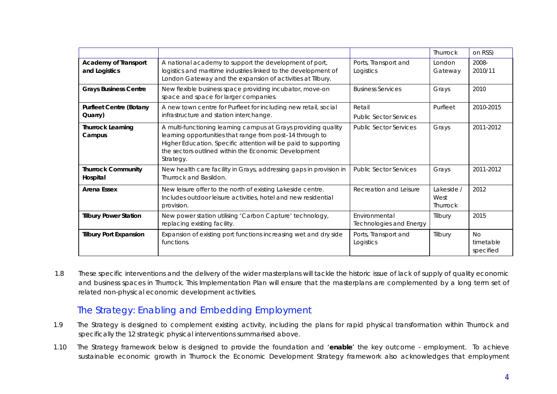|                                              |                                                                                                                                                                                                                                                                     |                                                 | Thurrock                              | on RSS)                             |
|----------------------------------------------|---------------------------------------------------------------------------------------------------------------------------------------------------------------------------------------------------------------------------------------------------------------------|-------------------------------------------------|---------------------------------------|-------------------------------------|
| <b>Academy of Transport</b><br>and Logistics | A national academy to support the development of port,<br>logistics and maritime industries linked to the development of<br>London Gateway and the expansion of activities at Tilbury.                                                                              | Ports, Transport and<br>Logistics               | London<br>Gateway                     | 2008-<br>2010/11                    |
| <b>Grays Business Centre</b>                 | New flexible business space providing incubator, move-on<br>space and space for larger companies.                                                                                                                                                                   | <b>Business Services</b>                        | Grays                                 | 2010                                |
| <b>Purfleet Centre (Botany</b><br>Quarry)    | A new town centre for Purfleet for including new retail, social<br>infrastructure and station interchange.                                                                                                                                                          | Retail<br><b>Public Sector Services</b>         | Purfleet                              | 2010-2015                           |
| <b>Thurrock Learning</b><br>Campus           | A multi-functioning learning campus at Grays providing quality<br>learning opportunities that range from post-14 through to<br>Higher Education. Specific attention will be paid to supporting<br>the sectors outlined within the Economic Development<br>Strategy. | <b>Public Sector Services</b>                   | Grays                                 | 2011-2012                           |
| <b>Thurrock Community</b><br>Hospital        | New health care facility in Grays, addressing gaps in provision in<br>Thurrock and Basildon.                                                                                                                                                                        | <b>Public Sector Services</b>                   | Grays                                 | 2011-2012                           |
| <b>Arena Essex</b>                           | New leisure offer to the north of existing Lakeside centre.<br>Includes outdoor leisure activities, hotel and new residential<br>provision.                                                                                                                         | Recreation and Leisure                          | Lakeside /<br>West<br><b>Thurrock</b> | 2012                                |
| <b>Tilbury Power Station</b>                 | New power station utilising 'Carbon Capture' technology,<br>replacing existing facility.                                                                                                                                                                            | Environmental<br><b>Technologies and Energy</b> | Tilbury                               | 2015                                |
| <b>Tilbury Port Expansion</b>                | Expansion of existing port functions increasing wet and dry side<br>functions.                                                                                                                                                                                      | Ports, Transport and<br>Logistics               | Tilbury                               | <b>No</b><br>timetable<br>specified |

1.8 These specific interventions and the delivery of the wider masterplans will tackle the historic issue of lack of supply of quality economic and business spaces in Thurrock. This Implementation Plan will ensure that the masterplans are complemented by a long term set of related non-physical economic development activities.

### The Strategy: Enabling and Embedding Employment

- 1.9 The Strategy is designed to complement existing activity, including the plans for rapid physical transformation within Thurrock and specifically the 12 strategic physical interventions summarised above.
- 1.10 The Strategy framework below is designed to provide the foundation and '**enable**' the key outcome employment. To achieve sustainable economic growth in Thurrock the Economic Development Strategy framework also acknowledges that employment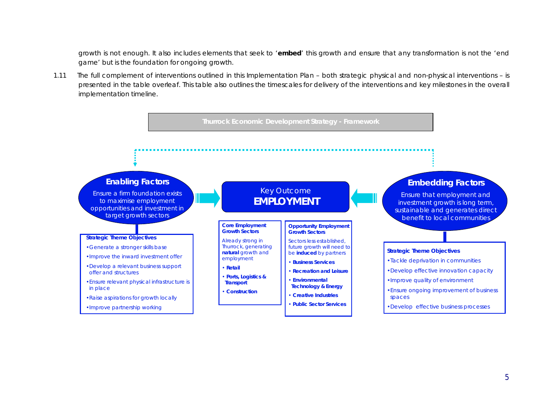growth is not enough. It also includes elements that seek to '**embed**' this growth and ensure that any transformation is not the 'end game' but is the foundation for ongoing growth.

1.11 The full complement of interventions outlined in this Implementation Plan – both strategic physical and non-physical interventions – is presented in the table overleaf. This table also outlines the timescales for delivery of the interventions and key milestones in the overall implementation timeline.

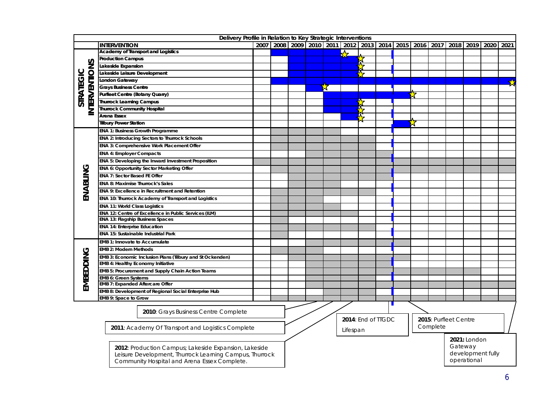|               | Delivery Profile in Relation to Key Strategic Interventions |  |  |  |  |   |   |                                |  |  |                                   |  |                   |              |                                                                                                        |   |
|---------------|-------------------------------------------------------------|--|--|--|--|---|---|--------------------------------|--|--|-----------------------------------|--|-------------------|--------------|--------------------------------------------------------------------------------------------------------|---|
|               | <b>INTERVENTION</b>                                         |  |  |  |  |   |   |                                |  |  |                                   |  |                   |              | 2007   2008   2009   2010   2011   2012   2013   2014   2015   2016   2017   2018   2019   2020   2021 |   |
|               | <b>Academy of Transport and Logistics</b>                   |  |  |  |  |   | Ķ |                                |  |  |                                   |  |                   |              |                                                                                                        |   |
|               | <b>Production Campus</b>                                    |  |  |  |  |   |   |                                |  |  |                                   |  |                   |              |                                                                                                        |   |
| INTERVENTIONS | Lakeside Expansion                                          |  |  |  |  |   |   | $\bigstar$                     |  |  |                                   |  |                   |              |                                                                                                        |   |
|               | Lakeside Leisure Development                                |  |  |  |  |   |   |                                |  |  |                                   |  |                   |              |                                                                                                        |   |
|               | London Gateway                                              |  |  |  |  |   |   |                                |  |  |                                   |  |                   |              |                                                                                                        | 戈 |
|               | <b>Grays Business Centre</b>                                |  |  |  |  | " |   |                                |  |  |                                   |  |                   |              |                                                                                                        |   |
| STRATEGIC     | <b>Purfleet Centre (Botany Quarry)</b>                      |  |  |  |  |   |   |                                |  |  |                                   |  |                   |              |                                                                                                        |   |
|               | <b>Thurrock Learning Campus</b>                             |  |  |  |  |   |   |                                |  |  |                                   |  |                   |              |                                                                                                        |   |
|               | <b>Thurrock Community Hospital</b>                          |  |  |  |  |   |   | <b>IX,</b>                     |  |  |                                   |  |                   |              |                                                                                                        |   |
|               | Arena Essex                                                 |  |  |  |  |   |   |                                |  |  |                                   |  |                   |              |                                                                                                        |   |
|               | <b>Tilbury Power Station</b>                                |  |  |  |  |   |   |                                |  |  |                                   |  |                   |              |                                                                                                        |   |
|               | <b>ENA 1: Business Growth Programme</b>                     |  |  |  |  |   |   |                                |  |  |                                   |  |                   |              |                                                                                                        |   |
|               | <b>ENA 2: Introducing Sectors to Thurrock Schools</b>       |  |  |  |  |   |   |                                |  |  |                                   |  |                   |              |                                                                                                        |   |
|               | ENA 3: Comprehensive Work Placement Offer                   |  |  |  |  |   |   |                                |  |  |                                   |  |                   |              |                                                                                                        |   |
|               | <b>ENA 4: Employer Compacts</b>                             |  |  |  |  |   |   |                                |  |  |                                   |  |                   |              |                                                                                                        |   |
|               | ENA 5: Developing the Inward Investment Proposition         |  |  |  |  |   |   |                                |  |  |                                   |  |                   |              |                                                                                                        |   |
|               | ENA 6: Opportunity Sector Marketing Offer                   |  |  |  |  |   |   |                                |  |  |                                   |  |                   |              |                                                                                                        |   |
|               | ENA 7: Sector Based FE Offer                                |  |  |  |  |   |   |                                |  |  |                                   |  |                   |              |                                                                                                        |   |
|               | ENA 8: Maximise Thurrock's Sales                            |  |  |  |  |   |   |                                |  |  |                                   |  |                   |              |                                                                                                        |   |
|               | ENA 9: Excellence in Recruitment and Retention              |  |  |  |  |   |   |                                |  |  |                                   |  |                   |              |                                                                                                        |   |
| ENABLING      | ENA 10: Thurrock Academy of Transport and Logistics         |  |  |  |  |   |   |                                |  |  |                                   |  |                   |              |                                                                                                        |   |
|               | <b>ENA 11: World Class Logistics</b>                        |  |  |  |  |   |   |                                |  |  |                                   |  |                   |              |                                                                                                        |   |
|               | ENA 12: Centre of Excellence in Public Services (ILM)       |  |  |  |  |   |   |                                |  |  |                                   |  |                   |              |                                                                                                        |   |
|               | <b>ENA 13: Flagship Business Spaces</b>                     |  |  |  |  |   |   |                                |  |  |                                   |  |                   |              |                                                                                                        |   |
|               | <b>ENA 14: Enterprise Education</b>                         |  |  |  |  |   |   |                                |  |  |                                   |  |                   |              |                                                                                                        |   |
|               | <b>ENA 15: Sustainable Industrial Park</b>                  |  |  |  |  |   |   |                                |  |  |                                   |  |                   |              |                                                                                                        |   |
|               | EMB 1: Innovate to Accumulate                               |  |  |  |  |   |   |                                |  |  |                                   |  |                   |              |                                                                                                        |   |
|               | <b>EMB 2: Modern Methods</b>                                |  |  |  |  |   |   |                                |  |  |                                   |  |                   |              |                                                                                                        |   |
| EMBEDDING     | EMB 3: Economic Inclusion Plans (Tilbury and St Ockenden)   |  |  |  |  |   |   |                                |  |  |                                   |  |                   |              |                                                                                                        |   |
|               | <b>EMB 4: Healthy Economy Initiative</b>                    |  |  |  |  |   |   |                                |  |  |                                   |  |                   |              |                                                                                                        |   |
|               | EMB 5: Procurement and Supply Chain Action Teams            |  |  |  |  |   |   |                                |  |  |                                   |  |                   |              |                                                                                                        |   |
|               | <b>EMB 6: Green Systems</b>                                 |  |  |  |  |   |   |                                |  |  |                                   |  |                   |              |                                                                                                        |   |
|               | <b>EMB 7: Expanded Aftercare Offer</b>                      |  |  |  |  |   |   |                                |  |  |                                   |  |                   |              |                                                                                                        |   |
|               | EMB 8: Development of Regional Social Enterprise Hub        |  |  |  |  |   |   |                                |  |  |                                   |  |                   |              |                                                                                                        |   |
|               | EMB 9: Space to Grow                                        |  |  |  |  |   |   |                                |  |  |                                   |  |                   |              |                                                                                                        |   |
|               | 2010: Grays Business Centre Complete                        |  |  |  |  |   |   |                                |  |  |                                   |  |                   |              |                                                                                                        |   |
|               |                                                             |  |  |  |  |   |   |                                |  |  |                                   |  |                   |              |                                                                                                        |   |
|               |                                                             |  |  |  |  |   |   |                                |  |  | 2015: Purfleet Centre<br>Complete |  |                   |              |                                                                                                        |   |
|               | 2011: Academy Of Transport and Logistics Complete           |  |  |  |  |   |   |                                |  |  |                                   |  |                   |              |                                                                                                        |   |
|               |                                                             |  |  |  |  |   |   |                                |  |  |                                   |  |                   | 2021: London |                                                                                                        |   |
|               | 2012: Production Campus; Lakeside Expansion, Lakeside       |  |  |  |  |   |   |                                |  |  |                                   |  |                   | Gateway      |                                                                                                        |   |
|               | Leisure Development, Thurrock Learning Campus, Thurrock     |  |  |  |  |   |   | 2014: End of TTGDC<br>Lifespan |  |  |                                   |  | development fully |              |                                                                                                        |   |

Leisure Development, Thurrock Learning Campus, Thurrock Community Hospital and Arena Essex Complete.

operational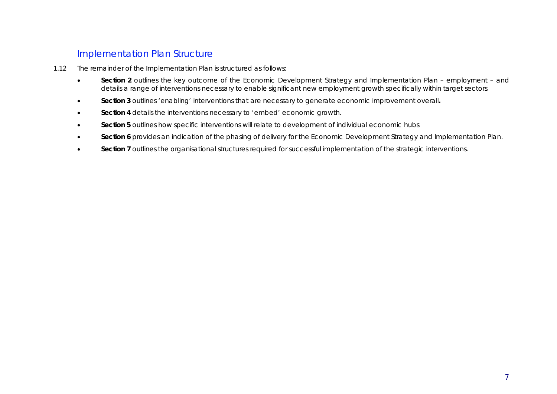### Implementation Plan Structure

- 1.12 The remainder of the Implementation Plan is structured as follows:
	- **•** Section 2 outlines the key outcome of the Economic Development Strategy and Implementation Plan employment and details a range of interventions necessary to enable significant new employment growth specifically within target sectors.
	- x **Section 3** outlines 'enabling' interventions that are necessary to generate economic improvement overall**.**
	- **Section 4** details the interventions necessary to 'embed' economic growth.
	- **Section 5** outlines how specific interventions will relate to development of individual economic hubs
	- Section 6 provides an indication of the phasing of delivery for the Economic Development Strategy and Implementation Plan.
	- **•** Section 7 outlines the organisational structures required for successful implementation of the strategic interventions.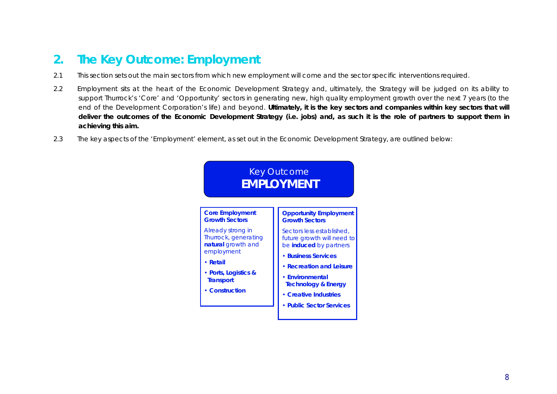# **2. The Key Outcome: Employment**

- 2.1 This section sets out the main sectors from which new employment will come and the sector specific interventions required.
- 2.2 Employment sits at the heart of the Economic Development Strategy and, ultimately, the Strategy will be judged on its ability to support Thurrock's 'Core' and 'Opportunity' sectors in generating new, high quality employment growth over the next 7 years (to the end of the Development Corporation's life) and beyond. **Ultimately, it is the key sectors and companies within key sectors that will deliver the outcomes of the Economic Development Strategy (i.e. jobs) and, as such it is the role of partners to support them in achieving this aim.**
- 2.3 The key aspects of the 'Employment' element, as set out in the Economic Development Strategy, are outlined below:

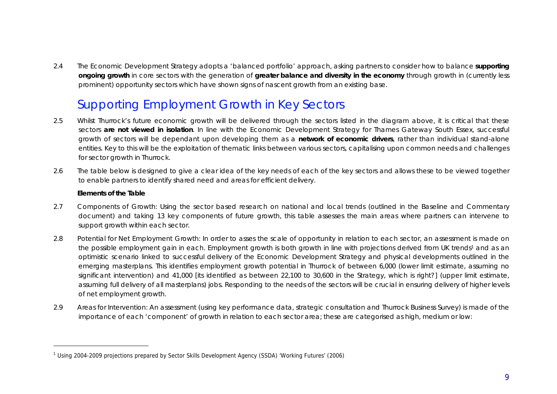2.4 The Economic Development Strategy adopts a 'balanced portfolio' approach, asking partners to consider how to balance **supporting ongoing growth** in core sectors with the generation of **greater balance and diversity in the economy** through growth in (currently less prominent) opportunity sectors which have shown signs of nascent growth from an existing base.

# Supporting Employment Growth in Key Sectors

- 2.5 Whilst Thurrock's future economic growth will be delivered through the sectors listed in the diagram above, it is critical that these sectors **are not viewed in isolation**. In line with the Economic Development Strategy for Thames Gateway South Essex, successful growth of sectors will be dependant upon developing them as a **network of economic drivers**, rather than individual stand-alone entities. Key to this will be the exploitation of thematic links between various sectors, capitalising upon common needs and challenges for sector growth in Thurrock.
- 2.6 The table below is designed to give a clear idea of the key needs of each of the key sectors and allows these to be viewed together to enable partners to identify shared need and areas for efficient delivery.

#### **Elements of the Table**

-

- 2.7 *Components of Growth*: Using the sector based research on national and local trends (outlined in the Baseline and Commentary document) and taking 13 key components of future growth, this table assesses the main areas where partners can intervene to support growth within each sector.
- 2.8 *Potential for Net Employment Growth*: In order to asses the scale of opportunity in relation to each sector, an assessment is made on the possible employment gain in each. Employment growth is both growth in line with projections derived from UK trends<sup>1</sup> and as an optimistic scenario linked to successful delivery of the Economic Development Strategy and physical developments outlined in the emerging masterplans. This identifies employment growth potential in Thurrock of between 6,000 (lower limit estimate, assuming no significant intervention) and 41,000 [its identified as between 22,100 to 30,600 in the Strategy, which is right?] (upper limit estimate, assuming full delivery of all masterplans) jobs. Responding to the needs of the sectors will be crucial in ensuring delivery of higher levels of net employment growth.
- 2.9 *Areas for Intervention*: An assessment (using key performance data, strategic consultation and Thurrock Business Survey) is made of the importance of each 'component' of growth in relation to each sector area; these are categorised as high, medium or low:

<sup>&</sup>lt;sup>1</sup> Using 2004-2009 projections prepared by Sector Skills Development Agency (SSDA) 'Working Futures' (2006)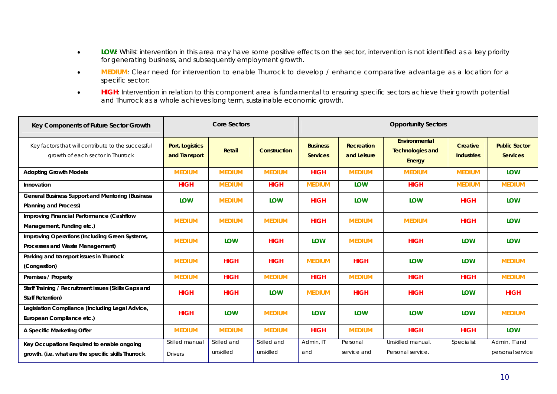- **•** LOW: Whilst intervention in this area may have some positive effects on the sector, intervention is not identified as a key priority for generating business, and subsequently employment growth.
- **MEDIUM**: Clear need for intervention to enable Thurrock to develop / enhance comparative advantage as a location for a specific sector;
- **•** HIGH: Intervention in relation to this component area is fundamental to ensuring specific sectors achieve their growth potential and Thurrock as a whole achieves long term, sustainable economic growth.

| Key Components of Future Sector Growth                                                            |                                  | <b>Core Sectors</b>      |                          | <b>Opportunity Sectors</b>         |                                  |                                                           |                                      |                                         |  |  |  |
|---------------------------------------------------------------------------------------------------|----------------------------------|--------------------------|--------------------------|------------------------------------|----------------------------------|-----------------------------------------------------------|--------------------------------------|-----------------------------------------|--|--|--|
| Key factors that will contribute to the successful<br>growth of each sector in Thurrock           | Port, Logistics<br>and Transport | Retail                   | <b>Construction</b>      | <b>Business</b><br><b>Services</b> | <b>Recreation</b><br>and Leisure | Environmental<br><b>Technologies and</b><br><b>Energy</b> | <b>Creative</b><br><b>Industries</b> | <b>Public Sector</b><br><b>Services</b> |  |  |  |
| <b>Adopting Growth Models</b>                                                                     | <b>MEDIUM</b>                    | <b>MEDIUM</b>            | <b>MEDIUM</b>            | <b>HIGH</b>                        | <b>MEDIUM</b>                    | <b>MEDIUM</b>                                             | <b>MEDIUM</b>                        | <b>LOW</b>                              |  |  |  |
| Innovation                                                                                        | <b>HIGH</b>                      | <b>MEDIUM</b>            | <b>HIGH</b>              | <b>MEDIUM</b>                      | <b>LOW</b>                       | <b>HIGH</b>                                               | <b>MEDIUM</b>                        | <b>MEDIUM</b>                           |  |  |  |
| <b>General Business Support and Mentoring (Business</b><br><b>Planning and Process)</b>           | LOW                              | <b>MEDIUM</b>            | <b>LOW</b>               | <b>HIGH</b>                        | <b>LOW</b>                       | <b>LOW</b>                                                | <b>HIGH</b>                          | <b>LOW</b>                              |  |  |  |
| Improving Financial Performance (Cashflow<br>Management, Funding etc.)                            | <b>MEDIUM</b>                    | <b>MEDIUM</b>            | <b>MEDIUM</b>            | <b>HIGH</b>                        | <b>MEDIUM</b>                    | <b>MEDIUM</b>                                             | <b>HIGH</b>                          | <b>LOW</b>                              |  |  |  |
| Improving Operations (Including Green Systems,<br>Processes and Waste Management)                 | <b>MEDIUM</b>                    | LOW                      | <b>HIGH</b>              | LOW                                | <b>MEDIUM</b>                    | <b>HIGH</b>                                               | <b>LOW</b>                           | <b>LOW</b>                              |  |  |  |
| Parking and transport issues in Thurrock<br>(Congestion)                                          | <b>MEDIUM</b>                    | <b>HIGH</b>              | <b>HIGH</b>              | <b>MEDIUM</b>                      | <b>HIGH</b>                      | <b>LOW</b>                                                | <b>LOW</b>                           | <b>MEDIUM</b>                           |  |  |  |
| Premises / Property                                                                               | <b>MEDIUM</b>                    | <b>HIGH</b>              | <b>MEDIUM</b>            | <b>HIGH</b>                        | <b>MEDIUM</b>                    | <b>HIGH</b>                                               | <b>HIGH</b>                          | <b>MEDIUM</b>                           |  |  |  |
| Staff Training / Recruitment issues (Skills Gaps and<br><b>Staff Retention)</b>                   | <b>HIGH</b>                      | <b>HIGH</b>              | <b>LOW</b>               | <b>MEDIUM</b>                      | <b>HIGH</b>                      | <b>HIGH</b>                                               | <b>LOW</b>                           | <b>HIGH</b>                             |  |  |  |
| Legislation Compliance (Including Legal Advice,<br>European Compliance etc.)                      | <b>HIGH</b>                      | LOW                      | <b>MEDIUM</b>            | LOW                                | <b>LOW</b>                       | <b>LOW</b>                                                | LOW                                  | <b>MEDIUM</b>                           |  |  |  |
| A Specific Marketing Offer                                                                        | <b>MEDIUM</b>                    | <b>MEDIUM</b>            | <b>MEDIUM</b>            | <b>HIGH</b>                        | <b>MEDIUM</b>                    | <b>HIGH</b>                                               | <b>HIGH</b>                          | <b>LOW</b>                              |  |  |  |
| Key Occupations Required to enable ongoing<br>growth. (i.e. what are the specific skills Thurrock | Skilled manual<br><b>Drivers</b> | Skilled and<br>unskilled | Skilled and<br>unskilled | Admin, IT<br>and                   | Personal<br>service and          | Unskilled manual.<br>Personal service.                    | Specialist                           | Admin, IT and<br>personal service       |  |  |  |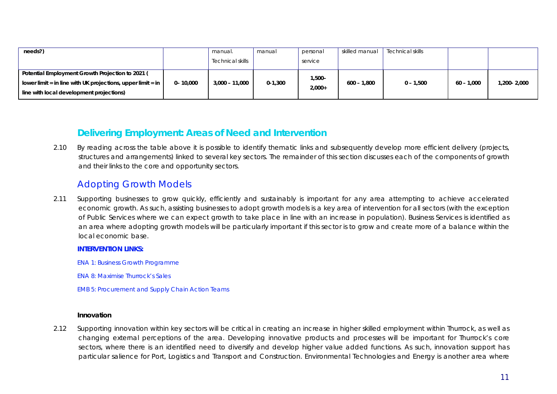| needs?)                                                                 |              | manual.          | manual      | personal  | skilled manual | Technical skills |            |             |
|-------------------------------------------------------------------------|--------------|------------------|-------------|-----------|----------------|------------------|------------|-------------|
|                                                                         |              | Technical skills |             | service   |                |                  |            |             |
| Potential Employment Growth Projection to 2021 (                        |              |                  |             | $1,500 -$ |                |                  |            |             |
| lower limit = in line with UK projections, upper limit = in $\parallel$ | $0 - 10,000$ | 3,000 - 11,000   | $0 - 1,300$ | $2.000+$  | 600 – 1.800    | $0 - 1,500$      | 60 - 1.000 | 1,200-2,000 |
| line with local development projections)                                |              |                  |             |           |                |                  |            |             |

### **Delivering Employment: Areas of Need and Intervention**

2.10 By reading across the table above it is possible to identify thematic links and subsequently develop more efficient delivery (projects, structures and arrangements) linked to several key sectors. The remainder of this section discusses each of the components of growth and their links to the core and opportunity sectors.

### Adopting Growth Models

2.11 Supporting businesses to grow quickly, efficiently and sustainably is important for any area attempting to achieve accelerated economic growth. As such, assisting businesses to adopt growth models is a key area of intervention for all sectors (with the exception of Public Services where we can expect growth to take place in line with an increase in population). Business Services is identified as an area where adopting growth models will be particularly important if this sector is to grow and create more of a balance within the local economic base.

#### **INTERVENTION LINKS:**

- ENA 1: Business Growth Programme
- ENA 8: Maximise Thurrock's Sales
- EMB 5: Procurement and Supply Chain Action Teams

#### **Innovation**

2.12 Supporting innovation within key sectors will be critical in creating an increase in higher skilled employment within Thurrock, as well as changing external perceptions of the area. Developing innovative products and processes will be important for Thurrock's core sectors, where there is an identified need to diversify and develop higher value added functions. As such, innovation support has particular salience for Port, Logistics and Transport and Construction. Environmental Technologies and Energy is another area where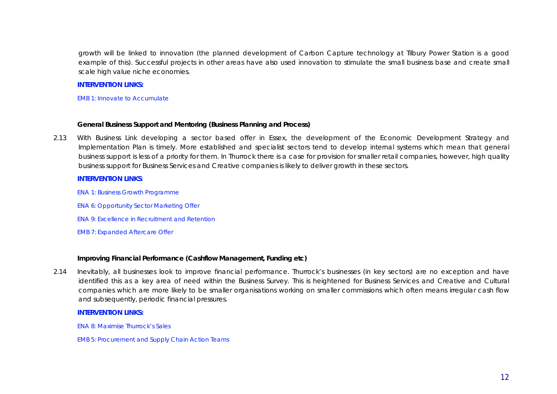growth will be linked to innovation (the planned development of Carbon Capture technology at Tilbury Power Station is a good example of this). Successful projects in other areas have also used innovation to stimulate the small business base and create small scale high value niche economies.

#### **INTERVENTION LINKS:**

EMB 1: Innovate to Accumulate

#### **General Business Support and Mentoring (Business Planning and Process)**

2.13 With Business Link developing a sector based offer in Essex, the development of the Economic Development Strategy and Implementation Plan is timely. More established and specialist sectors tend to develop internal systems which mean that general business support is less of a priority for them. In Thurrock there is a case for provision for smaller retail companies, however, high quality business support for Business Services and Creative companies is likely to deliver growth in these sectors.

#### **INTERVENTION LINKS**:

- ENA 1: Business Growth Programme
- ENA 6: Opportunity Sector Marketing Offer
- ENA 9: Excellence in Recruitment and Retention
- EMB 7: Expanded Aftercare Offer

#### **Improving Financial Performance (Cashflow Management, Funding etc)**

2.14 Inevitably, all businesses look to improve financial performance. Thurrock's businesses (in key sectors) are no exception and have identified this as a key area of need within the Business Survey. This is heightened for Business Services and Creative and Cultural companies which are more likely to be smaller organisations working on smaller commissions which often means irregular cash flow and subsequently, periodic financial pressures.

#### **INTERVENTION LINKS:**

ENA 8: Maximise Thurrock's Sales

EMB 5: Procurement and Supply Chain Action Teams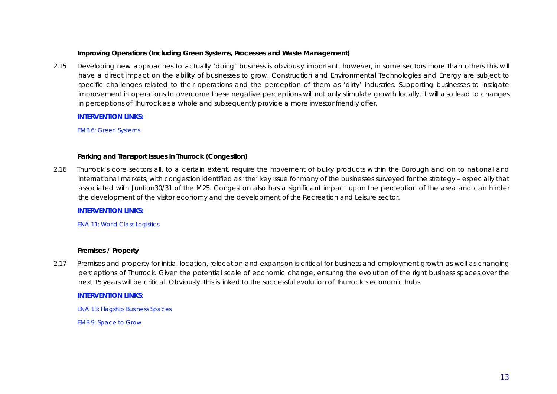#### **Improving Operations (Including Green Systems, Processes and Waste Management)**

2.15 Developing new approaches to actually 'doing' business is obviously important, however, in some sectors more than others this will have a direct impact on the ability of businesses to grow. Construction and Environmental Technologies and Energy are subject to specific challenges related to their operations and the perception of them as 'dirty' industries. Supporting businesses to instigate improvement in operations to overcome these negative perceptions will not only stimulate growth locally, it will also lead to changes in perceptions of Thurrock as a whole and subsequently provide a more investor friendly offer.

#### **INTERVENTION LINKS:**

EMB 6: Green Systems

#### **Parking and Transport Issues in Thurrock (Congestion)**

2.16 Thurrock's core sectors all, to a certain extent, require the movement of bulky products within the Borough and on to national and international markets, with congestion identified as 'the' key issue for many of the businesses surveyed for the strategy – especially that associated with Juntion30/31 of the M25. Congestion also has a significant impact upon the perception of the area and can hinder the development of the visitor economy and the development of the Recreation and Leisure sector.

**INTERVENTION LINKS:** 

ENA 11: World Class Logistics

#### **Premises / Property**

2.17 Premises and property for initial location, relocation and expansion is critical for business and employment growth as well as changing perceptions of Thurrock. Given the potential scale of economic change, ensuring the evolution of the right business spaces over the next 15 years will be critical. Obviously, this is linked to the successful evolution of Thurrock's economic hubs.

### **INTERVENTION LINKS**:

ENA 13: Flagship Business Spaces

EMB 9: Space to Grow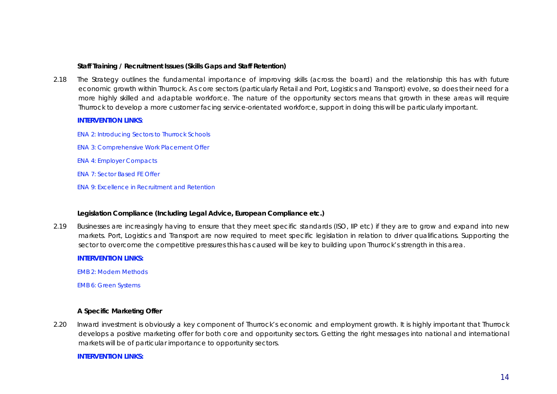#### **Staff Training / Recruitment Issues (Skills Gaps and Staff Retention)**

2.18 The Strategy outlines the fundamental importance of improving skills (across the board) and the relationship this has with future economic growth within Thurrock. As core sectors (particularly Retail and Port, Logistics and Transport) evolve, so does their need for a more highly skilled and adaptable workforce. The nature of the opportunity sectors means that growth in these areas will require Thurrock to develop a more customer facing service-orientated workforce, support in doing this will be particularly important.

#### **INTERVENTION LINKS**:

ENA 2: Introducing Sectors to Thurrock Schools

- ENA 3: Comprehensive Work Placement Offer
- ENA 4: Employer Compacts
- ENA 7: Sector Based FE Offer
- ENA 9: Excellence in Recruitment and Retention

#### **Legislation Compliance (Including Legal Advice, European Compliance etc.)**

2.19 Businesses are increasingly having to ensure that they meet specific standards (ISO, IIP etc) if they are to grow and expand into new markets. Port, Logistics and Transport are now required to meet specific legislation in relation to driver qualifications. Supporting the sector to overcome the competitive pressures this has caused will be key to building upon Thurrock's strength in this area.

#### **INTERVENTION LINKS:**

EMB 2: Modern Methods

EMB 6: Green Systems

#### **A Specific Marketing Offer**

2.20 Inward investment is obviously a key component of Thurrock's economic and employment growth. It is highly important that Thurrock develops a positive marketing offer for both core and opportunity sectors. Getting the right messages into national and international markets will be of particular importance to opportunity sectors.

#### **INTERVENTION LINKS:**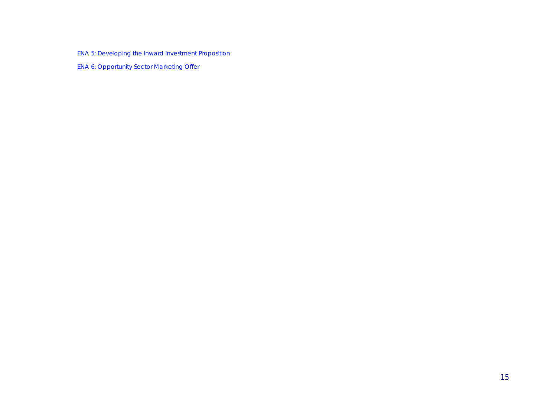ENA 5: Developing the Inward Investment Proposition

ENA 6: Opportunity Sector Marketing Offer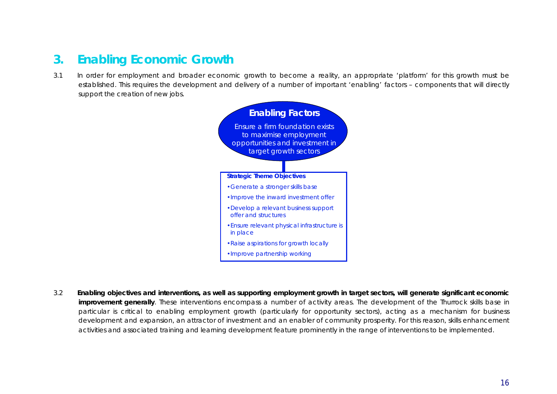# **3. Enabling Economic Growth**

3.1 In order for employment and broader economic growth to become a reality, an appropriate 'platform' for this growth must be established. This requires the development and delivery of a number of important 'enabling' factors – components that will directly support the creation of new jobs.



3.2 **Enabling objectives and interventions, as well as supporting employment growth in target sectors, will generate significant economic improvement generally**. These interventions encompass a number of activity areas. The development of the Thurrock skills base in particular is critical to enabling employment growth (particularly for opportunity sectors), acting as a mechanism for business development and expansion, an attractor of investment and an enabler of community prosperity. For this reason, skills enhancement activities and associated training and learning development feature prominently in the range of interventions to be implemented.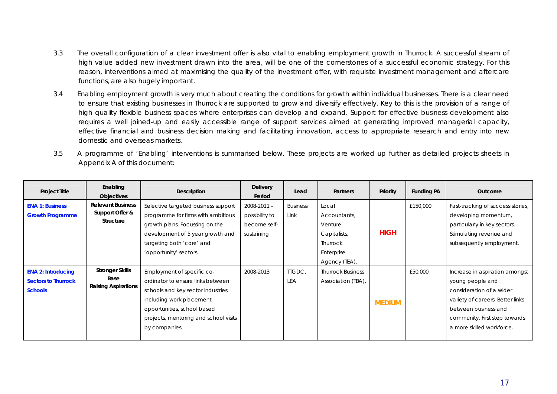- 3.3 The overall configuration of a clear investment offer is also vital to enabling employment growth in Thurrock. A successful stream of high value added new investment drawn into the area, will be one of the cornerstones of a successful economic strategy. For this reason, interventions aimed at maximising the quality of the investment offer, with requisite investment management and aftercare functions, are also hugely important.
- 3.4 Enabling employment growth is very much about creating the conditions for growth within individual businesses. There is a clear need to ensure that existing businesses in Thurrock are supported to grow and diversify effectively. Key to this is the provision of a range of high quality flexible business spaces where enterprises can develop and expand. Support for effective business development also requires a well joined-up and easily accessible range of support services aimed at generating improved managerial capacity, effective financial and business decision making and facilitating innovation, access to appropriate research and entry into new domestic and overseas markets.
- 3.5 A programme of 'Enabling' interventions is summarised below. These projects are worked up further as detailed projects sheets in Appendix A of this document:

| <b>Project Title</b>                                                      | Enabling<br><b>Objectives</b>                                | Description                                                                                                                                                                                                               | <b>Delivery</b><br>Period                                       | Lead                    | <b>Partners</b>                                                                             | Priority      | <b>Funding PA</b> | Outcome                                                                                                                                                                                                  |
|---------------------------------------------------------------------------|--------------------------------------------------------------|---------------------------------------------------------------------------------------------------------------------------------------------------------------------------------------------------------------------------|-----------------------------------------------------------------|-------------------------|---------------------------------------------------------------------------------------------|---------------|-------------------|----------------------------------------------------------------------------------------------------------------------------------------------------------------------------------------------------------|
| <b>ENA 1: Business</b><br><b>Growth Programme</b>                         | <b>Relevant Business</b><br>Support Offer &<br>Structure     | Selective targeted business support<br>programme for firms with ambitious<br>growth plans. Focussing on the<br>development of 5 year growth and<br>targeting both 'core' and<br>'opportunity' sectors.                    | $2008 - 2011 -$<br>possibility to<br>become self-<br>sustaining | <b>Business</b><br>Link | Local<br>Accountants,<br>Venture<br>Capitalists,<br>Thurrock<br>Enterprise<br>Agency (TEA). | <b>HIGH</b>   | £150,000          | Fast-tracking of success stories,<br>developing momentum,<br>particularly in key sectors.<br>Stimulating revenue and<br>subsequently employment.                                                         |
| <b>ENA 2: Introducing</b><br><b>Sectors to Thurrock</b><br><b>Schools</b> | <b>Stronger Skills</b><br>Base<br><b>Raising Aspirations</b> | Employment of specific co-<br>ordinator to ensure links between<br>schools and key sector industries<br>including work placement<br>opportunities, school based<br>projects, mentoring and school visits<br>by companies. | 2008-2013                                                       | TIGDC,<br>LEA           | <b>Thurrock Business</b><br>Association (TBA),                                              | <b>MEDIUM</b> | £50,000           | Increase in aspiration amongst<br>young people and<br>consideration of a wider<br>variety of careers. Better links<br>between business and<br>community. First step towards<br>a more skilled workforce. |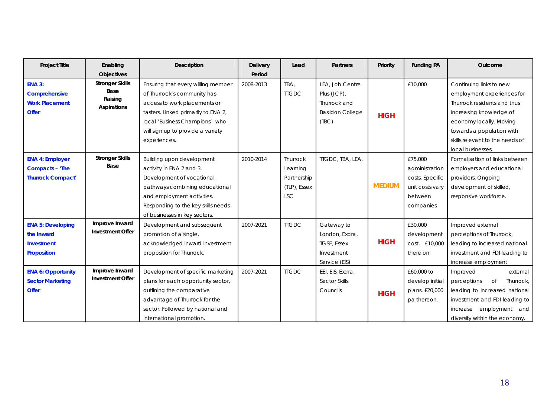| <b>Project Title</b>                                                              | Enabling                                                 | Description                                                                                                                                                                                                                     | <b>Delivery</b> | Lead                                                              | <b>Partners</b>                                                                    | Priority      | <b>Funding PA</b>                                                                       | Outcome                                                                                                                                                                                                    |
|-----------------------------------------------------------------------------------|----------------------------------------------------------|---------------------------------------------------------------------------------------------------------------------------------------------------------------------------------------------------------------------------------|-----------------|-------------------------------------------------------------------|------------------------------------------------------------------------------------|---------------|-----------------------------------------------------------------------------------------|------------------------------------------------------------------------------------------------------------------------------------------------------------------------------------------------------------|
|                                                                                   | <b>Objectives</b>                                        |                                                                                                                                                                                                                                 | Period          |                                                                   |                                                                                    |               |                                                                                         |                                                                                                                                                                                                            |
| <b>ENA 3:</b><br>Comprehensive<br><b>Work Placement</b><br><b>Offer</b>           | <b>Stronger Skills</b><br>Base<br>Raising<br>Aspirations | Ensuring that every willing member<br>of Thurrock's community has<br>access to work placements or<br>tasters. Linked primarily to ENA 2,<br>local 'Business Champions' who<br>will sign up to provide a variety<br>experiences. | 2008-2013       | TBA.<br><b>TTGDC</b>                                              | LEA, Job Centre<br>Plus (JCP),<br>Thurrock and<br><b>Basildon College</b><br>(TEC) | <b>HIGH</b>   | £10.000                                                                                 | Continuing links to new<br>employment experiences for<br>Thurrock residents and thus<br>increasing knowledge of<br>economy locally. Moving<br>towards a population with<br>skills relevant to the needs of |
|                                                                                   |                                                          |                                                                                                                                                                                                                                 |                 |                                                                   |                                                                                    |               |                                                                                         | local businesses.                                                                                                                                                                                          |
| <b>ENA 4: Employer</b><br><b>Compacts - 'The</b><br><b>Thurrock Compact'</b>      | <b>Stronger Skills</b><br>Base                           | Building upon development<br>activity in ENA 2 and 3.<br>Development of vocational<br>pathways combining educational<br>and employment activities.<br>Responding to the key skills needs<br>of businesses in key sectors.       | 2010-2014       | Thurrock<br>Learning<br>Partnership<br>(TLP), Essex<br><b>LSC</b> | TTGDC, TBA, LEA,                                                                   | <b>MEDIUM</b> | £75,000<br>administration<br>costs. Specific<br>unit costs vary<br>between<br>companies | Formalisation of links between<br>employers and educational<br>providers. Ongoing<br>development of skilled,<br>responsive workforce.                                                                      |
| <b>ENA 5: Developing</b><br>the Inward<br><b>Investment</b><br><b>Proposition</b> | Improve Inward<br><b>Investment Offer</b>                | Development and subsequent<br>promotion of a single,<br>acknowledged inward investment<br>proposition for Thurrock.                                                                                                             | 2007-2021       | <b>TIGDC</b>                                                      | Gateway to<br>London, Exdra,<br><b>TGSE, Essex</b><br>Investment<br>Service (EIS)  | <b>HIGH</b>   | £30,000<br>development<br>cost. £10,000<br>there on                                     | Improved external<br>perceptions of Thurrock,<br>leading to increased national<br>investment and FDI leading to<br>increase employment                                                                     |
| <b>ENA 6: Opportunity</b><br><b>Sector Marketing</b><br><b>Offer</b>              | Improve Inward<br><b>Investment Offer</b>                | Development of specific marketing<br>plans for each opportunity sector,<br>outlining the comparative<br>advantage of Thurrock for the<br>sector. Followed by national and<br>international promotion.                           | 2007-2021       | <b>TIGDC</b>                                                      | EEI, EIS, Exdra,<br><b>Sector Skills</b><br>Councils                               | <b>HIGH</b>   | £60,000 to<br>develop initial<br>plans. £20,000<br>pa thereon.                          | Improved<br>external<br>Thurrock,<br>perceptions<br><b>of</b><br>leading to increased national<br>investment and FDI leading to<br>increase employment and<br>diversity within the economy.                |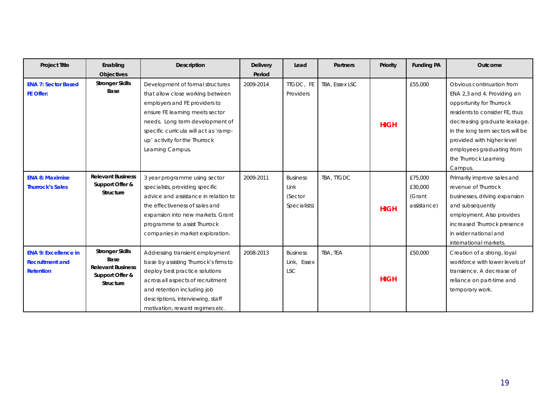| <b>Project Title</b>                                                      | Enabling                                                                                          | Description                                                                                                                                                                                                                                                               | <b>Delivery</b>     | Lead                                               | <b>Partners</b> | Priority    | <b>Funding PA</b>                           | Outcome                                                                                                                                                                                                                                                                        |
|---------------------------------------------------------------------------|---------------------------------------------------------------------------------------------------|---------------------------------------------------------------------------------------------------------------------------------------------------------------------------------------------------------------------------------------------------------------------------|---------------------|----------------------------------------------------|-----------------|-------------|---------------------------------------------|--------------------------------------------------------------------------------------------------------------------------------------------------------------------------------------------------------------------------------------------------------------------------------|
| <b>ENA 7: Sector Based</b><br>FE Offer:                                   | <b>Objectives</b><br><b>Stronger Skills</b><br>Base                                               | Development of formal structures<br>that allow close working between<br>employers and FE providers to<br>ensure FE learning meets sector<br>needs. Long term development of<br>specific curricula will act as 'ramp-<br>up' activity for the Thurrock<br>Learning Campus. | Period<br>2009-2014 | TTGDC, FE<br>Providers                             | TBA, Essex LSC  | <b>HIGH</b> | £55,000                                     | Obvious continuation from<br>ENA 2,3 and 4. Providing an<br>opportunity for Thurrock<br>residents to consider FE, thus<br>decreasing graduate leakage.<br>In the long term sectors will be<br>provided with higher level<br>employees graduating from<br>the Thurrock Learning |
| <b>ENA 8: Maximise</b><br><b>Thurrock's Sales</b>                         | <b>Relevant Business</b><br>Support Offer &<br><b>Structure</b>                                   | 3 year programme using sector<br>specialists, providing specific<br>advice and assistance in relation to<br>the effectiveness of sales and<br>expansion into new markets. Grant<br>programme to assist Thurrock<br>companies in market exploration.                       | 2009-2011           | <b>Business</b><br>Link<br>(Sector<br>Specialists) | TBA, TTGDC      | <b>HIGH</b> | £75,000<br>£30,000<br>(Grant<br>assistance) | Campus.<br>Primarily improve sales and<br>revenue of Thurrock<br>businesses, driving expansion<br>and subsequently<br>employment. Also provides<br>increased Thurrock presence<br>in wider national and<br>international markets.                                              |
| <b>ENA 9: Excellence in</b><br><b>Recruitment and</b><br><b>Retention</b> | <b>Stronger Skills</b><br>Base<br><b>Relevant Business</b><br>Support Offer &<br><b>Structure</b> | Addressing transient employment<br>base by assisting Thurrock's firms to<br>deploy best practice solutions<br>across all aspects of recruitment<br>and retention including job<br>descriptions, interviewing, staff<br>motivation, reward regimes etc.                    | 2008-2013           | <b>Business</b><br>Link, Essex<br><b>LSC</b>       | TBA, TEA        | <b>HIGH</b> | £50,000                                     | Creation of a strong, loyal<br>workforce with lower levels of<br>transience. A decrease of<br>reliance on part-time and<br>temporary work.                                                                                                                                     |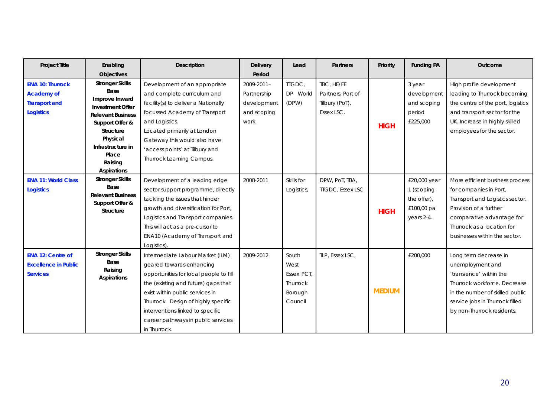| <b>Project Title</b>                                                                     | Enabling                                                                                                                                                                                                                  | <b>Description</b>                                                                                                                                                                                                                                                                                                | <b>Delivery</b>                                                  | Lead                                                          | <b>Partners</b>                                                 | <b>Priority</b> | <b>Funding PA</b>                                                     | Outcome                                                                                                                                                                                                            |
|------------------------------------------------------------------------------------------|---------------------------------------------------------------------------------------------------------------------------------------------------------------------------------------------------------------------------|-------------------------------------------------------------------------------------------------------------------------------------------------------------------------------------------------------------------------------------------------------------------------------------------------------------------|------------------------------------------------------------------|---------------------------------------------------------------|-----------------------------------------------------------------|-----------------|-----------------------------------------------------------------------|--------------------------------------------------------------------------------------------------------------------------------------------------------------------------------------------------------------------|
|                                                                                          | <b>Objectives</b>                                                                                                                                                                                                         |                                                                                                                                                                                                                                                                                                                   | Period                                                           |                                                               |                                                                 |                 |                                                                       |                                                                                                                                                                                                                    |
| <b>ENA 10: Thurrock</b><br><b>Academy of</b><br><b>Transport and</b><br><b>Logistics</b> | <b>Stronger Skills</b><br>Base<br>Improve Inward<br><b>Investment Offer</b><br><b>Relevant Business</b><br>Support Offer &<br><b>Structure</b><br>Physical<br>Infrastructure in<br>Place<br>Raising<br><b>Aspirations</b> | Development of an appropriate<br>and complete curriculum and<br>facility(s) to deliver a Nationally<br>focussed Academy of Transport<br>and Logistics.<br>Located primarily at London<br>Gateway this would also have<br>'access points' at Tilbury and<br>Thurrock Learning Campus.                              | 2009-2011-<br>Partnership<br>development<br>and scoping<br>work. | TTGDC,<br>DP World<br>(DPW)                                   | TBC, HE/FE<br>Partners, Port of<br>Tilbury (PoT),<br>Essex LSC. | <b>HIGH</b>     | 3 year<br>development<br>and scoping<br>period<br>£225,000            | High profile development<br>leading to Thurrock becoming<br>the centre of the port, logistics<br>and transport sector for the<br>UK. Increase in highly skilled<br>employees for the sector.                       |
| <b>ENA 11: World Class</b><br><b>Logistics</b>                                           | <b>Stronger Skills</b><br>Base<br><b>Relevant Business</b><br>Support Offer &<br><b>Structure</b>                                                                                                                         | Development of a leading edge<br>sector support programme, directly<br>tackling the issues that hinder<br>growth and diversification for Port,<br>Logistics and Transport companies.<br>This will act as a pre-cursor to<br>ENA10 (Academy of Transport and<br>Logistics)                                         | 2008-2011                                                        | Skills for<br>Logistics,                                      | DPW, PoT, TBA,<br><b>TTGDC, Essex LSC</b>                       | <b>HIGH</b>     | £20,000 year<br>1 (scoping<br>the offer),<br>£100,00 pa<br>years 2-4. | More efficient business process<br>for companies in Port,<br>Transport and Logistics sector.<br>Provision of a further<br>comparative advantage for<br>Thurrock as a location for<br>businesses within the sector. |
| <b>ENA 12: Centre of</b><br><b>Excellence in Public</b><br><b>Services</b>               | <b>Stronger Skills</b><br>Base<br>Raising<br>Aspirations                                                                                                                                                                  | Intermediate Labour Market (ILM)<br>geared towards enhancing<br>opportunities for local people to fill<br>the (existing and future) gaps that<br>exist within public services in<br>Thurrock. Design of highly specific<br>interventions linked to specific<br>career pathways in public services<br>in Thurrock. | 2009-2012                                                        | South<br>West<br>Essex PCT.<br>Thurrock<br>Borough<br>Council | TLP, Essex LSC,                                                 | <b>MEDIUM</b>   | £200,000                                                              | Long term decrease in<br>unemployment and<br>'transience' within the<br>Thurrock workforce. Decrease<br>in the number of skilled public<br>service jobs in Thurrock filled<br>by non-Thurrock residents.           |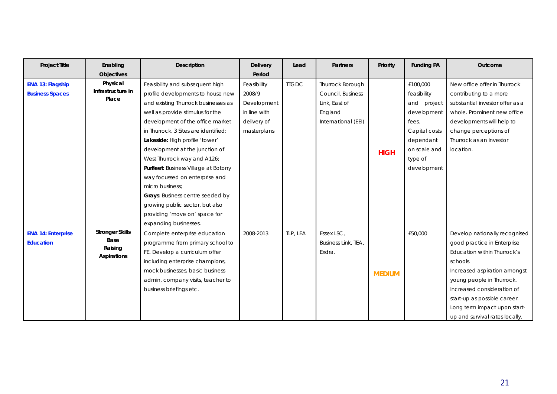| <b>Project Title</b>      | Enabling               | Description                          | <b>Delivery</b> | Lead         | <b>Partners</b>     | Priority      | <b>Funding PA</b> | Outcome                         |
|---------------------------|------------------------|--------------------------------------|-----------------|--------------|---------------------|---------------|-------------------|---------------------------------|
|                           | <b>Objectives</b>      |                                      | Period          |              |                     |               |                   |                                 |
| <b>ENA 13: Flagship</b>   | Physical               | Feasibility and subsequent high      | Feasibility     | <b>TIGDC</b> | Thurrock Borough    |               | £100,000          | New office offer in Thurrock    |
| <b>Business Spaces</b>    | Infrastructure in      | profile developments to house new    | 2008/9          |              | Council, Business   |               | feasibility       | contributing to a more          |
|                           | Place                  | and existing Thurrock businesses as  | Development     |              | Link, East of       |               | and project       | substantial investor offer as a |
|                           |                        | well as provide stimulus for the     | in line with    |              | England             |               | development       | whole. Prominent new office     |
|                           |                        | development of the office market     | delivery of     |              | International (EEI) |               | fees.             | developments will help to       |
|                           |                        | in Thurrock. 3 Sites are identified: | masterplans     |              |                     |               | Capital costs     | change perceptions of           |
|                           |                        | Lakeside: High profile 'tower'       |                 |              |                     |               | dependant         | Thurrock as an investor         |
|                           |                        | development at the junction of       |                 |              |                     | <b>HIGH</b>   | on scale and      | location.                       |
|                           |                        | West Thurrock way and A126;          |                 |              |                     |               | type of           |                                 |
|                           |                        | Purfleet: Business Village at Botony |                 |              |                     |               | development       |                                 |
|                           |                        | way focussed on enterprise and       |                 |              |                     |               |                   |                                 |
|                           |                        | micro business:                      |                 |              |                     |               |                   |                                 |
|                           |                        | Grays: Business centre seeded by     |                 |              |                     |               |                   |                                 |
|                           |                        | growing public sector, but also      |                 |              |                     |               |                   |                                 |
|                           |                        | providing 'move on' space for        |                 |              |                     |               |                   |                                 |
|                           |                        | expanding businesses.                |                 |              |                     |               |                   |                                 |
| <b>ENA 14: Enterprise</b> | <b>Stronger Skills</b> | Complete enterprise education        | 2008-2013       | TLP, LEA     | Essex LSC,          |               | £50,000           | Develop nationally recognised   |
| <b>Education</b>          | Base                   | programme from primary school to     |                 |              | Business Link, TEA, |               |                   | good practice in Enterprise     |
|                           | Raising<br>Aspirations | FE. Develop a curriculum offer       |                 |              | Exdra.              |               |                   | Education within Thurrock's     |
|                           |                        | including enterprise champions,      |                 |              |                     |               |                   | schools.                        |
|                           |                        | mock businesses, basic business      |                 |              |                     | <b>MEDIUM</b> |                   | Increased aspiration amongst    |
|                           |                        | admin, company visits, teacher to    |                 |              |                     |               |                   | young people in Thurrock.       |
|                           |                        | business briefings etc.              |                 |              |                     |               |                   | Increased consideration of      |
|                           |                        |                                      |                 |              |                     |               |                   | start-up as possible career.    |
|                           |                        |                                      |                 |              |                     |               |                   | Long term impact upon start-    |
|                           |                        |                                      |                 |              |                     |               |                   | up and survival rates locally.  |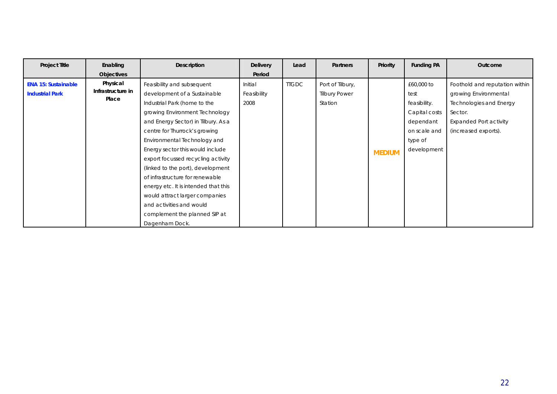| <b>Project Title</b>                                 | Enabling                                                    | <b>Description</b>                                                                                                                                                                                                                                                                                                                                                                                                                                                                                                                              | <b>Delivery</b>                          | Lead         | <b>Partners</b>                                     | Priority      | <b>Funding PA</b>                                                                                          | Outcome                                                                                                                                                |
|------------------------------------------------------|-------------------------------------------------------------|-------------------------------------------------------------------------------------------------------------------------------------------------------------------------------------------------------------------------------------------------------------------------------------------------------------------------------------------------------------------------------------------------------------------------------------------------------------------------------------------------------------------------------------------------|------------------------------------------|--------------|-----------------------------------------------------|---------------|------------------------------------------------------------------------------------------------------------|--------------------------------------------------------------------------------------------------------------------------------------------------------|
| <b>ENA 15: Sustainable</b><br><b>Industrial Park</b> | <b>Objectives</b><br>Physical<br>Infrastructure in<br>Place | Feasibility and subsequent<br>development of a Sustainable<br>Industrial Park (home to the<br>growing Environment Technology<br>and Energy Sector) in Tilbury. As a<br>centre for Thurrock's growing<br>Environmental Technology and<br>Energy sector this would include<br>export focussed recycling activity<br>(linked to the port), development<br>of infrastructure for renewable<br>energy etc. It is intended that this<br>would attract larger companies<br>and activities and would<br>complement the planned SIP at<br>Dagenham Dock. | Period<br>Initial<br>Feasibility<br>2008 | <b>TIGDC</b> | Port of Tilbury,<br><b>Tilbury Power</b><br>Station | <b>MEDIUM</b> | £60,000 to<br>test<br>feasibility.<br>Capital costs<br>dependant<br>on scale and<br>type of<br>development | Foothold and reputation within<br>growing Environmental<br>Technologies and Energy<br>Sector.<br><b>Expanded Port activity</b><br>(increased exports). |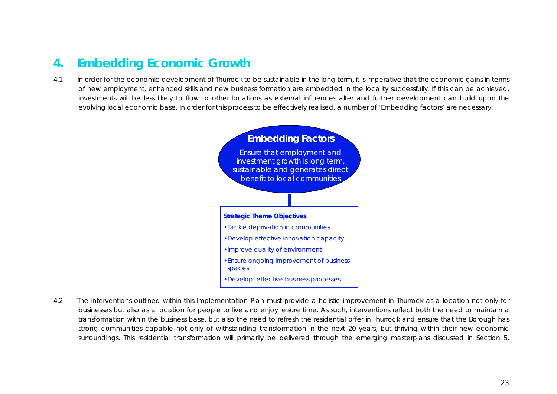# **4. Embedding Economic Growth**

4.1 In order for the economic development of Thurrock to be sustainable in the long term, it is imperative that the economic gains in terms of new employment, enhanced skills and new business formation are *embedded* in the locality successfully. If this can be achieved, investments will be less likely to flow to other locations as external influences alter and further development can build upon the evolving local economic base. In order for this process to be effectively realised, a number of 'Embedding factors' are necessary.



4.2 The interventions outlined within this Implementation Plan must provide a holistic improvement in Thurrock as a location not only for businesses but also as a location for people to live and enjoy leisure time. As such, interventions reflect both the need to maintain a transformation within the business base, but also the need to refresh the residential offer in Thurrock and ensure that the Borough has strong communities capable not only of withstanding transformation in the next 20 years, but thriving within their new economic surroundings. This residential transformation will primarily be delivered through the emerging masterplans discussed in Section 5.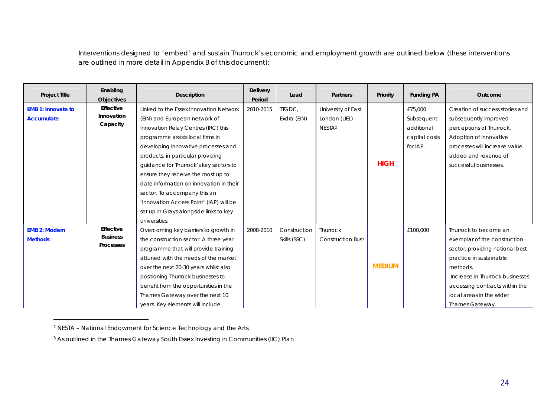Interventions designed to 'embed' and sustain Thurrock's economic and employment growth are outlined below (these interventions are outlined in more detail in Appendix B of this document):

| <b>Project Title</b>                           | Enabling<br><b>Objectives</b>                    | <b>Description</b>                                                                                                                                                                                                                                                                                                                                                                                                                                                                              | <b>Delivery</b><br>Period | Lead                         | <b>Partners</b>                                          | Priority      | <b>Funding PA</b>                                                | Outcome                                                                                                                                                                                                                                             |
|------------------------------------------------|--------------------------------------------------|-------------------------------------------------------------------------------------------------------------------------------------------------------------------------------------------------------------------------------------------------------------------------------------------------------------------------------------------------------------------------------------------------------------------------------------------------------------------------------------------------|---------------------------|------------------------------|----------------------------------------------------------|---------------|------------------------------------------------------------------|-----------------------------------------------------------------------------------------------------------------------------------------------------------------------------------------------------------------------------------------------------|
| <b>EMB 1: Innovate to</b><br><b>Accumulate</b> | Effective<br>Innovation<br>Capacity              | Linked to the Essex Innovation Network<br>(EIN) and European network of<br>Innovation Relay Centres (IRC) this<br>programme assists local firms in<br>developing innovative processes and<br>products, in particular providing<br>quidance for Thurrock's key sectors to<br>ensure they receive the most up to<br>date information on innovation in their<br>sector. To accompany this an<br>'Innovation Access Point' (IAP) will be<br>set up in Grays alongside links to key<br>universities. | 2010-2015                 | <b>ITGDC</b><br>Exdra (EIN)  | University of East<br>London (UEL)<br>NESTA <sup>2</sup> | <b>HIGH</b>   | £75,000<br>Subsequent<br>additional<br>capital costs<br>for IAP. | Creation of success stories and<br>subsequently improved<br>perceptions of Thurrock.<br>Adoption of innovative<br>processes will increase value<br>added and revenue of<br>successful businesses.                                                   |
| <b>EMB 2: Modern</b><br><b>Methods</b>         | Effective<br><b>Business</b><br><b>Processes</b> | Overcoming key barriers to growth in<br>the construction sector. A three year<br>programme that will provide training<br>attuned with the needs of the market<br>over the next 20-30 years whilst also<br>positioning Thurrock businesses to<br>benefit from the opportunities in the<br>Thames Gateway over the next 10<br>years. Key elements will include                                                                                                                                    | 2008-2010                 | Construction<br>Skills (SSC) | Thurrock<br><b>Construction Bus3</b>                     | <b>MEDIUM</b> | £100,000                                                         | Thurrock to become an<br>exemplar of the construction<br>sector, providing national best<br>practice in sustainable<br>methods.<br>Increase in Thurrock businesses<br>accessing contracts within the<br>local areas in the wider<br>Thames Gateway. |

<sup>2</sup> NESTA – National Endowment for Science Technology and the Arts

-

<sup>&</sup>lt;sup>3</sup> As outlined in the Thames Gateway South Essex Investing in Communities (IIC) Plan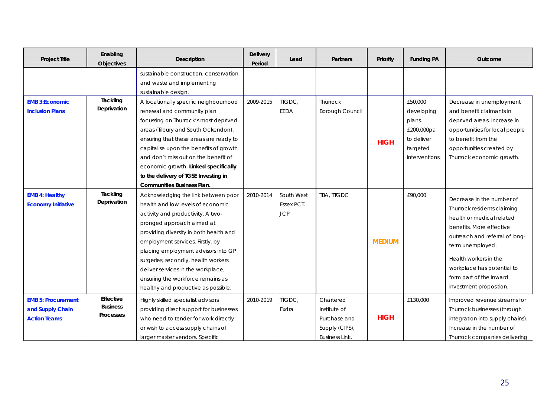| <b>Project Title</b>                                                 | Enabling<br>Objectives                           | <b>Description</b>                                                                                                                                                                                                                                                                                                                                                                                                       | <b>Delivery</b><br>Period | Lead                                   | <b>Partners</b>                                                                      | Priority      | <b>Funding PA</b>                                               | Outcome                                                                                                                                                                                                                                                                              |
|----------------------------------------------------------------------|--------------------------------------------------|--------------------------------------------------------------------------------------------------------------------------------------------------------------------------------------------------------------------------------------------------------------------------------------------------------------------------------------------------------------------------------------------------------------------------|---------------------------|----------------------------------------|--------------------------------------------------------------------------------------|---------------|-----------------------------------------------------------------|--------------------------------------------------------------------------------------------------------------------------------------------------------------------------------------------------------------------------------------------------------------------------------------|
| <b>EMB 3:Economic</b><br><b>Inclusion Plans</b>                      | Tackling<br>Deprivation                          | sustainable construction, conservation<br>and waste and implementing<br>sustainable design.<br>A locationally specific neighbourhood<br>renewal and community plan                                                                                                                                                                                                                                                       | 2009-2015                 | TTGDC,<br>EEDA                         | <b>Thurrock</b><br><b>Borough Council</b>                                            |               | £50,000<br>developing                                           | Decrease in unemployment<br>and benefit claimants in                                                                                                                                                                                                                                 |
|                                                                      |                                                  | focussing on Thurrock's most deprived<br>areas (Tilbury and South Ockendon),<br>ensuring that these areas are ready to<br>capitalise upon the benefits of growth<br>and don't miss out on the benefit of<br>economic growth. Linked specifically<br>to the delivery of TGSE Investing in<br><b>Communities Business Plan.</b>                                                                                            |                           |                                        |                                                                                      | <b>HIGH</b>   | plans.<br>£200,000pa<br>to deliver<br>targeted<br>interventions | deprived areas. Increase in<br>opportunities for local people<br>to benefit from the<br>opportunities created by<br>Thurrock economic growth.                                                                                                                                        |
| <b>EMB 4: Healthy</b><br><b>Economy Initiative</b>                   | Tackling<br>Deprivation                          | Acknowledging the link between poor<br>health and low levels of economic<br>activity and productivity. A two-<br>pronged approach aimed at<br>providing diversity in both health and<br>employment services. Firstly, by<br>placing employment advisors into GP<br>surgeries; secondly, health workers<br>deliver services in the workplace,<br>ensuring the workforce remains as<br>healthy and productive as possible. | 2010-2014                 | South West<br>Essex PCT.<br><b>JCP</b> | TBA, TTGDC                                                                           | <b>MEDIUM</b> | £90,000                                                         | Decrease in the number of<br>Thurrock residents claiming<br>health or medical related<br>benefits. More effective<br>outreach and referral of long-<br>term unemployed.<br>Health workers in the<br>workplace has potential to<br>form part of the inward<br>investment proposition. |
| <b>EMB 5: Procurement</b><br>and Supply Chain<br><b>Action Teams</b> | Effective<br><b>Business</b><br><b>Processes</b> | Highly skilled specialist advisors<br>providing direct support for businesses<br>who need to tender for work directly<br>or wish to access supply chains of<br>larger master vendors. Specific                                                                                                                                                                                                                           | 2010-2019                 | TTGDC,<br>Exdra                        | Chartered<br>Institute of<br>Purchase and<br>Supply (CIPS),<br><b>Business Link,</b> | <b>HIGH</b>   | £130,000                                                        | Improved revenue streams for<br>Thurrock businesses (through<br>integration into supply chains).<br>Increase in the number of<br>Thurrock companies delivering                                                                                                                       |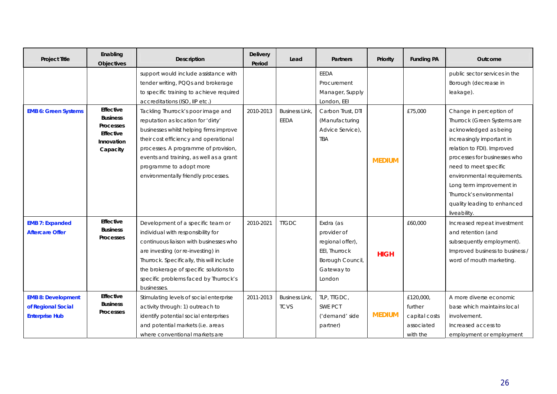| <b>Project Title</b>                                                     | Enabling<br>Objectives                                                                         | Description                                                                                                                                                                                                                                                                                                       | <b>Delivery</b><br>Period | Lead                                | <b>Partners</b>                                                                                           | Priority      | <b>Funding PA</b>                                               | <b>Outcome</b>                                                                                                                                                                                                                                                                                                                            |
|--------------------------------------------------------------------------|------------------------------------------------------------------------------------------------|-------------------------------------------------------------------------------------------------------------------------------------------------------------------------------------------------------------------------------------------------------------------------------------------------------------------|---------------------------|-------------------------------------|-----------------------------------------------------------------------------------------------------------|---------------|-----------------------------------------------------------------|-------------------------------------------------------------------------------------------------------------------------------------------------------------------------------------------------------------------------------------------------------------------------------------------------------------------------------------------|
|                                                                          |                                                                                                | support would include assistance with<br>tender writing, PQQs and brokerage<br>to specific training to achieve required<br>accreditations (ISO, IIP etc.)                                                                                                                                                         |                           |                                     | <b>EEDA</b><br>Procurement<br>Manager, Supply<br>London, EEI                                              |               |                                                                 | public sector services in the<br>Borough (decrease in<br>leakage).                                                                                                                                                                                                                                                                        |
| <b>EMB 6: Green Systems</b>                                              | Effective<br><b>Business</b><br><b>Processes</b><br><b>Effective</b><br>Innovation<br>Capacity | Tackling Thurrock's poor image and<br>reputation as location for 'dirty'<br>businesses whilst helping firms improve<br>their cost efficiency and operational<br>processes. A programme of provision,<br>events and training, as well as a grant<br>programme to adopt more<br>environmentally friendly processes. | 2010-2013                 | <b>Business Link</b><br>EEDA        | Carbon Trust, DTI<br>(Manufacturing<br>Advice Service),<br><b>TBA</b>                                     | <b>MEDIUM</b> | £75,000                                                         | Change in perception of<br>Thurrock (Green Systems are<br>acknowledged as being<br>increasingly important in<br>relation to FDI). Improved<br>processes for businesses who<br>need to meet specific<br>environmental requirements.<br>Long term improvement in<br>Thurrock's environmental<br>quality leading to enhanced<br>liveability. |
| <b>EMB 7: Expanded</b><br><b>Aftercare Offer</b>                         | <b>Effective</b><br><b>Business</b><br><b>Processes</b>                                        | Development of a specific team or<br>individual with responsibility for<br>continuous liaison with businesses who<br>are investing (or re-investing) in<br>Thurrock. Specifically, this will include<br>the brokerage of specific solutions to<br>specific problems faced by Thurrock's<br>businesses.            | 2010-2021                 | <b>TTGDC</b>                        | Exdra (as<br>provider of<br>regional offer),<br>EEI, Thurrock<br>Borough Council,<br>Gateway to<br>London | <b>HIGH</b>   | £60,000                                                         | Increased repeat investment<br>and retention (and<br>subsequently employment).<br>Improved business to business /<br>word of mouth marketing.                                                                                                                                                                                             |
| <b>EMB 8: Development</b><br>of Regional Social<br><b>Enterprise Hub</b> | Effective<br><b>Business</b><br><b>Processes</b>                                               | Stimulating levels of social enterprise<br>activity through: 1) outreach to<br>identify potential social enterprises<br>and potential markets (i.e. areas<br>where conventional markets are                                                                                                                       | 2011-2013                 | <b>Business Link</b><br><b>TCVS</b> | TLP, TTGDC,<br><b>SWE PCT</b><br>('demand' side<br>partner)                                               | <b>MEDIUM</b> | £120,000,<br>further<br>capital costs<br>associated<br>with the | A more diverse economic<br>base which maintains local<br>involvement.<br>Increased access to<br>employment or employment                                                                                                                                                                                                                  |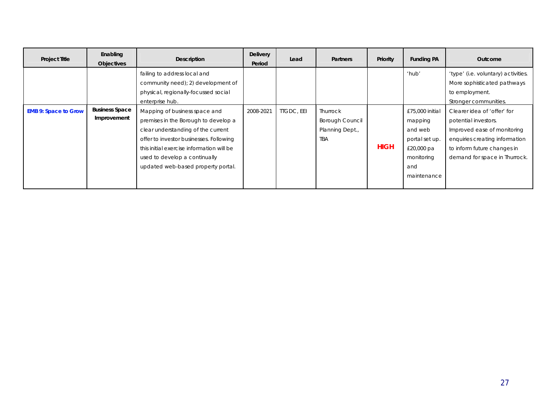| <b>Project Title</b>        | Enabling<br><b>Objectives</b>        | <b>Description</b>                                                                                                                                                                                                                                                         | <b>Delivery</b><br>Period | Lead              | <b>Partners</b>                                                     | Priority    | <b>Funding PA</b>                                                                                         | Outcome                                                                                                                                                                              |
|-----------------------------|--------------------------------------|----------------------------------------------------------------------------------------------------------------------------------------------------------------------------------------------------------------------------------------------------------------------------|---------------------------|-------------------|---------------------------------------------------------------------|-------------|-----------------------------------------------------------------------------------------------------------|--------------------------------------------------------------------------------------------------------------------------------------------------------------------------------------|
|                             |                                      | failing to address local and<br>community need); 2) development of<br>physical, regionally-focussed social<br>enterprise hub.                                                                                                                                              |                           |                   |                                                                     |             | 'hub'                                                                                                     | 'type' (i.e. voluntary) activities.<br>More sophisticated pathways<br>to employment.<br>Stronger communities.                                                                        |
| <b>EMB 9: Space to Grow</b> | <b>Business Space</b><br>Improvement | Mapping of business space and<br>premises in the Borough to develop a<br>clear understanding of the current<br>offer to investor businesses. Following<br>this initial exercise information will be<br>used to develop a continually<br>updated web-based property portal. | 2008-2021                 | <b>TIGDC, EEI</b> | Thurrock<br><b>Borough Council</b><br>Planning Dept.,<br><b>TBA</b> | <b>HIGH</b> | £75,000 initial<br>mapping<br>and web<br>portal set up.<br>£20,000 pa<br>monitoring<br>and<br>maintenance | Clearer idea of 'offer' for<br>potential investors.<br>Improved ease of monitoring<br>enquiries creating information<br>to inform future changes in<br>demand for space in Thurrock. |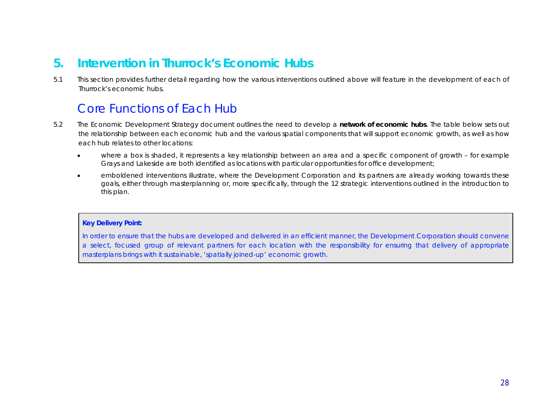# **5. Intervention in Thurrock's Economic Hubs**

5.1 This section provides further detail regarding how the various interventions outlined above will feature in the development of each of Thurrock's economic hubs.

# Core Functions of Each Hub

- 5.2 The Economic Development Strategy document outlines the need to develop a **network of economic hubs**. The table below sets out the relationship between each economic hub and the various spatial components that will support economic growth, as well as how each hub relates to other locations:
	- x where a box is shaded, it represents a key relationship between an area and a specific component of growth for example Grays and Lakeside are both identified as locations with particular opportunities for office development;
	- emboldened interventions illustrate, where the Development Corporation and its partners are already working towards these goals, either through masterplanning or, more specifically, through the 12 strategic interventions outlined in the introduction to this plan.

#### **Key Delivery Point:**

In order to ensure that the hubs are developed and delivered in an efficient manner, the Development Corporation should convene a select, focused group of relevant partners for each location with the responsibility for ensuring that delivery of appropriate masterplans brings with it sustainable, 'spatially joined-up' economic growth.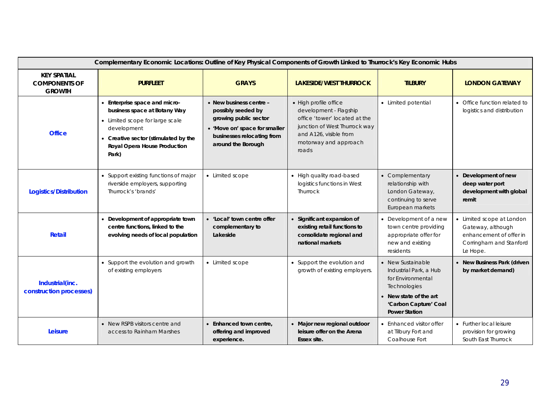|                                                             | Complementary Economic Locations: Outline of Key Physical Components of Growth Linked to Thurrock's Key Economic Hubs                                                                            |                                                                                                                                                             |                                                                                                                                                                               |                                                                                                                                                           |                                                                                                                  |
|-------------------------------------------------------------|--------------------------------------------------------------------------------------------------------------------------------------------------------------------------------------------------|-------------------------------------------------------------------------------------------------------------------------------------------------------------|-------------------------------------------------------------------------------------------------------------------------------------------------------------------------------|-----------------------------------------------------------------------------------------------------------------------------------------------------------|------------------------------------------------------------------------------------------------------------------|
| <b>KEY SPATIAL</b><br><b>COMPONENTS OF</b><br><b>GROWTH</b> | <b>PURFLEET</b>                                                                                                                                                                                  | <b>GRAYS</b>                                                                                                                                                | <b>LAKESIDE/WEST THURROCK</b>                                                                                                                                                 | <b>TILBURY</b>                                                                                                                                            | <b>LONDON GATEWAY</b>                                                                                            |
| <b>Office</b>                                               | • Enterprise space and micro-<br>business space at Botany Way<br>• Limited scope for large scale<br>development<br>• Creative sector (stimulated by the<br>Royal Opera House Production<br>Park) | • New business centre -<br>possibly seeded by<br>growing public sector<br>• 'Move on' space for smaller<br>businesses relocating from<br>around the Borough | • High profile office<br>development - Flagship<br>office 'tower' located at the<br>junction of West Thurrock way<br>and A126, visible from<br>motorway and approach<br>roads | • Limited potential                                                                                                                                       | • Office function related to<br>logistics and distribution                                                       |
| <b>Logistics/Distribution</b>                               | • Support existing functions of major<br>riverside employers, supporting<br>Thurrock's 'brands'                                                                                                  | • Limited scope                                                                                                                                             | • High quality road-based<br>logistics functions in West<br><b>Thurrock</b>                                                                                                   | • Complementary<br>relationship with<br>London Gateway,<br>continuing to serve<br>European markets                                                        | • Development of new<br>deep water port<br>development with global<br>remit                                      |
| <b>Retail</b>                                               | • Development of appropriate town<br>centre functions, linked to the<br>evolving needs of local population                                                                                       | • 'Local' town centre offer<br>complementary to<br>Lakeside                                                                                                 | Significant expansion of<br>existing retail functions to<br>consolidate regional and<br>national markets                                                                      | • Development of a new<br>town centre providing<br>appropriate offer for<br>new and existing<br>residents                                                 | • Limited scope at London<br>Gateway, although<br>enhancement of offer in<br>Corringham and Stanford<br>Le Hope. |
| Industrial(inc.<br>construction processes)                  | • Support the evolution and growth<br>of existing employers                                                                                                                                      | • Limited scope                                                                                                                                             | • Support the evolution and<br>growth of existing employers.                                                                                                                  | • New Sustainable<br>Industrial Park, a Hub<br>for Environmental<br>Technologies<br>New state of the art<br>'Carbon Capture' Coal<br><b>Power Station</b> | • New Business Park (driven<br>by market demand)                                                                 |
| Leisure                                                     | • New RSPB visitors centre and<br>access to Rainham Marshes                                                                                                                                      | • Enhanced town centre,<br>offering and improved<br>experience.                                                                                             | • Major new regional outdoor<br>leisure offer on the Arena<br>Essex site.                                                                                                     | • Enhanced visitor offer<br>at Tilbury Fort and<br>Coalhouse Fort                                                                                         | • Further local leisure<br>provision for growing<br>South East Thurrock                                          |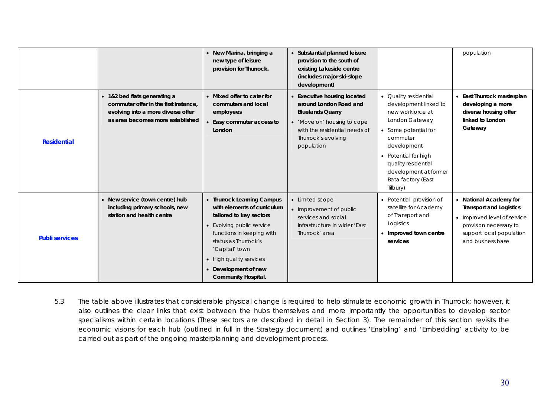|                       |                                                                                                                                                 | • New Marina, bringing a<br>new type of leisure<br>provision for Thurrock.                                                                                                                                                                                                | • Substantial planned leisure<br>provision to the south of<br>existing Lakeside centre<br>(includes major ski-slope<br>development)                                                        |                                                                                                                                                                                                                                                   | population                                                                                                                                                         |
|-----------------------|-------------------------------------------------------------------------------------------------------------------------------------------------|---------------------------------------------------------------------------------------------------------------------------------------------------------------------------------------------------------------------------------------------------------------------------|--------------------------------------------------------------------------------------------------------------------------------------------------------------------------------------------|---------------------------------------------------------------------------------------------------------------------------------------------------------------------------------------------------------------------------------------------------|--------------------------------------------------------------------------------------------------------------------------------------------------------------------|
| <b>Residential</b>    | • 1&2 bed flats generating a<br>commuter offer in the first instance,<br>evolving into a more diverse offer<br>as area becomes more established | • Mixed offer to cater for<br>commuters and local<br>employees<br>Easy commuter access to<br>London                                                                                                                                                                       | <b>Executive housing located</b><br>around London Road and<br><b>Bluelands Quarry</b><br>• 'Move on' housing to cope<br>with the residential needs of<br>Thurrock's evolving<br>population | • Quality residential<br>development linked to<br>new workforce at<br>London Gateway<br>• Some potential for<br>commuter<br>development<br>• Potential for high<br>quality residential<br>development at former<br>Bata factory (East<br>Tilbury) | • East Thurrock masterplan<br>developing a more<br>diverse housing offer<br>linked to London<br>Gateway                                                            |
| <b>Publi services</b> | • New service (town centre) hub<br>including primary schools, new<br>station and health centre                                                  | • Thurrock Learning Campus<br>with elements of curriculum<br>tailored to key sectors<br>• Evolving public service<br>functions in keeping with<br>status as Thurrock's<br>'Capital' town<br>• High quality services<br>• Development of new<br><b>Community Hospital.</b> | • Limited scope<br>• Improvement of public<br>services and social<br>infrastructure in wider 'East<br>Thurrock' area                                                                       | • Potential provision of<br>satellite for Academy<br>of Transport and<br>Logistics<br>• Improved town centre<br>services                                                                                                                          | • National Academy for<br><b>Transport and Logistics</b><br>• Improved level of service<br>provision necessary to<br>support local population<br>and business base |

5.3 The table above illustrates that considerable physical change is required to help stimulate economic growth in Thurrock; however, it also outlines the clear links that exist between the hubs themselves and more importantly the opportunities to develop sector specialisms within certain locations (These sectors are described in detail in Section 3). The remainder of this section revisits the economic visions for each hub (outlined in full in the Strategy document) and outlines 'Enabling' and 'Embedding' activity to be carried out as part of the ongoing masterplanning and development process.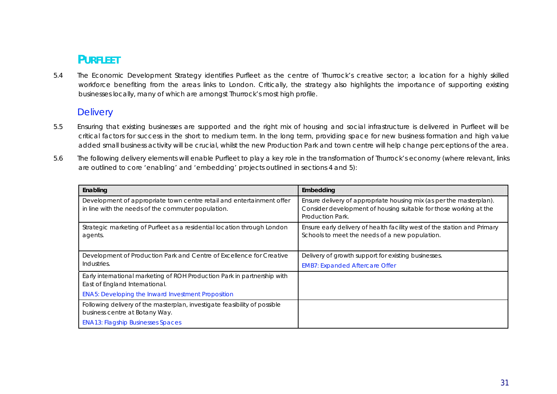# **PURFLEET**

5.4 The Economic Development Strategy identifies Purfleet as the centre of Thurrock's creative sector; a location for a highly skilled workforce benefiting from the areas links to London. Critically, the strategy also highlights the importance of supporting existing businesses locally, many of which are amongst Thurrock's most high profile.

### **Delivery**

- 5.5 Ensuring that existing businesses are supported and the right mix of housing and social infrastructure is delivered in Purfleet will be critical factors for success in the short to medium term. In the long term, providing space for new business formation and high value added small business activity will be crucial, whilst the new Production Park and town centre will help change perceptions of the area.
- 5.6 The following delivery elements will enable Purfleet to play a key role in the transformation of Thurrock's economy (where relevant, links are outlined to core 'enabling' and 'embedding' projects outlined in sections 4 and 5):

| Enabling                                                                                                                    | Embedding                                                                                                                                                    |
|-----------------------------------------------------------------------------------------------------------------------------|--------------------------------------------------------------------------------------------------------------------------------------------------------------|
| Development of appropriate town centre retail and entertainment offer<br>in line with the needs of the commuter population. | Ensure delivery of appropriate housing mix (as per the masterplan).<br>Consider development of housing suitable for those working at the<br>Production Park. |
| Strategic marketing of Purfleet as a residential location through London<br>agents.                                         | Ensure early delivery of health facility west of the station and Primary<br>Schools to meet the needs of a new population.                                   |
| Development of Production Park and Centre of Excellence for Creative                                                        | Delivery of growth support for existing businesses.                                                                                                          |
| Industries.                                                                                                                 | <b>EMB7: Expanded Aftercare Offer</b>                                                                                                                        |
| Early international marketing of ROH Production Park in partnership with<br>East of England International.                  |                                                                                                                                                              |
| <b>ENA5: Developing the Inward Investment Proposition</b>                                                                   |                                                                                                                                                              |
| Following delivery of the masterplan, investigate feasibility of possible                                                   |                                                                                                                                                              |
| business centre at Botany Way.                                                                                              |                                                                                                                                                              |
| <b>ENA13: Flagship Businesses Spaces</b>                                                                                    |                                                                                                                                                              |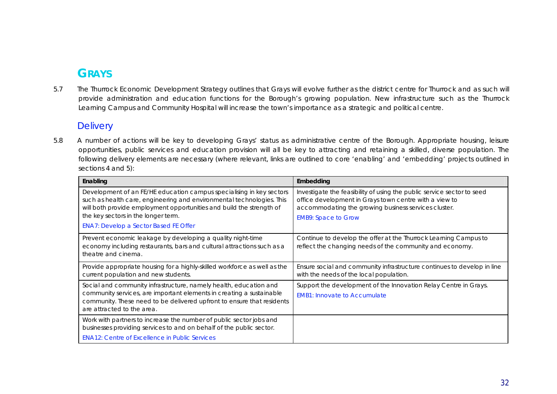# **GRAYS**

5.7 The Thurrock Economic Development Strategy outlines that Grays will evolve further as the district centre for Thurrock and as such will provide administration and education functions for the Borough's growing population. New infrastructure such as the Thurrock Learning Campus and Community Hospital will increase the town's importance as a strategic and political centre.

### **Delivery**

5.8 A number of actions will be key to developing Grays' status as administrative centre of the Borough. Appropriate housing, leisure opportunities, public services and education provision will all be key to attracting and retaining a skilled, diverse population. The following delivery elements are necessary (where relevant, links are outlined to core 'enabling' and 'embedding' projects outlined in sections 4 and 5):

| Enabling                                                                                                                                                                                                                                                                                                     | Embedding                                                                                                                                                                                                              |
|--------------------------------------------------------------------------------------------------------------------------------------------------------------------------------------------------------------------------------------------------------------------------------------------------------------|------------------------------------------------------------------------------------------------------------------------------------------------------------------------------------------------------------------------|
| Development of an FE/HE education campus specialising in key sectors<br>such as health care, engineering and environmental technologies. This<br>will both provide employment opportunities and build the strength of<br>the key sectors in the longer term.<br><b>ENA7: Develop a Sector Based FE Offer</b> | Investigate the feasibility of using the public service sector to seed<br>office development in Grays town centre with a view to<br>accommodating the growing business services cluster.<br><b>EMB9: Space to Grow</b> |
| Prevent economic leakage by developing a quality night-time<br>economy including restaurants, bars and cultural attractions such as a<br>theatre and cinema.                                                                                                                                                 | Continue to develop the offer at the Thurrock Learning Campus to<br>reflect the changing needs of the community and economy.                                                                                           |
| Provide appropriate housing for a highly-skilled workforce as well as the<br>current population and new students.                                                                                                                                                                                            | Ensure social and community infrastructure continues to develop in line<br>with the needs of the local population.                                                                                                     |
| Social and community infrastructure, namely health, education and<br>community services, are important elements in creating a sustainable<br>community. These need to be delivered upfront to ensure that residents<br>are attracted to the area.                                                            | Support the development of the Innovation Relay Centre in Grays.<br><b>EMB1: Innovate to Accumulate</b>                                                                                                                |
| Work with partners to increase the number of public sector jobs and<br>businesses providing services to and on behalf of the public sector.<br><b>ENA12: Centre of Excellence in Public Services</b>                                                                                                         |                                                                                                                                                                                                                        |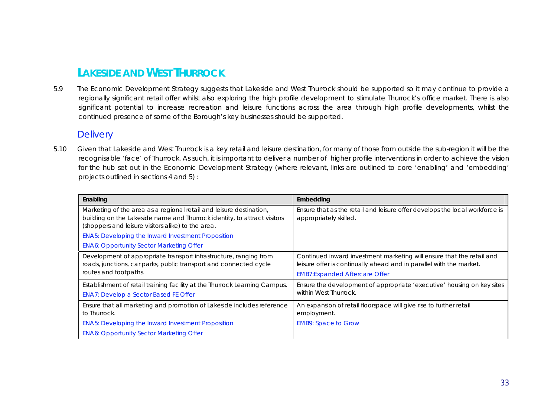# **LAKESIDE AND WEST THURROCK**

5.9 The Economic Development Strategy suggests that Lakeside and West Thurrock should be supported so it may continue to provide a regionally significant retail offer whilst also exploring the high profile development to stimulate Thurrock's office market. There is also significant potential to increase recreation and leisure functions across the area through high profile developments, whilst the continued presence of some of the Borough's key businesses should be supported.

### **Delivery**

5.10 Given that Lakeside and West Thurrock is a key retail and leisure destination, for many of those from outside the sub-region it will be the recognisable 'face' of Thurrock. As such, it is important to deliver a number of higher profile interventions in order to achieve the vision for the hub set out in the Economic Development Strategy (where relevant, links are outlined to core 'enabling' and 'embedding' projects outlined in sections 4 and 5) :

| Enabling                                                                                                                                                                                              | Embedding                                                                                                                                                                            |
|-------------------------------------------------------------------------------------------------------------------------------------------------------------------------------------------------------|--------------------------------------------------------------------------------------------------------------------------------------------------------------------------------------|
| Marketing of the area as a regional retail and leisure destination,<br>building on the Lakeside name and Thurrock identity, to attract visitors<br>(shoppers and leisure visitors alike) to the area. | Ensure that as the retail and leisure offer develops the local workforce is<br>appropriately skilled.                                                                                |
| <b>ENA5: Developing the Inward Investment Proposition</b>                                                                                                                                             |                                                                                                                                                                                      |
| <b>ENA6: Opportunity Sector Marketing Offer</b>                                                                                                                                                       |                                                                                                                                                                                      |
| Development of appropriate transport infrastructure, ranging from<br>roads, junctions, car parks, public transport and connected cycle<br>routes and footpaths.                                       | Continued inward investment marketing will ensure that the retail and<br>leisure offer is continually ahead and in parallel with the market.<br><b>EMB7:Expanded Aftercare Offer</b> |
| Establishment of retail training facility at the Thurrock Learning Campus.                                                                                                                            | Ensure the development of appropriate 'executive' housing on key sites                                                                                                               |
| <b>ENA7: Develop a Sector Based FE Offer</b>                                                                                                                                                          | within West Thurrock.                                                                                                                                                                |
| Ensure that all marketing and promotion of Lakeside includes reference<br>to Thurrock.                                                                                                                | An expansion of retail floorspace will give rise to further retail<br>employment.                                                                                                    |
| <b>ENA5: Developing the Inward Investment Proposition</b>                                                                                                                                             | <b>EMB9: Space to Grow</b>                                                                                                                                                           |
| <b>ENA6: Opportunity Sector Marketing Offer</b>                                                                                                                                                       |                                                                                                                                                                                      |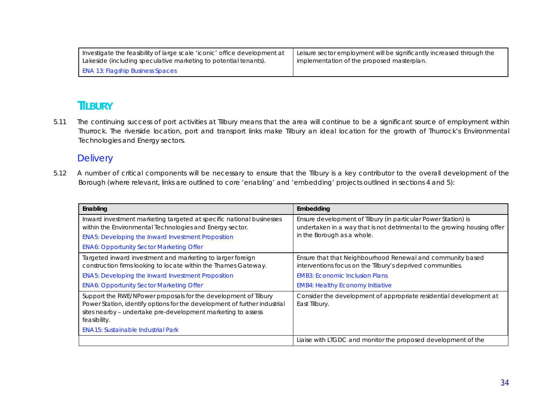| Investigate the feasibility of large scale 'iconic' office development at | Leisure sector employment will be significantly increased through the |
|---------------------------------------------------------------------------|-----------------------------------------------------------------------|
| Lakeside (including speculative marketing to potential tenants).          | I implementation of the proposed masterplan.                          |
| <b>ENA 13: Flagship Business Spaces</b>                                   |                                                                       |

### **TILBURY**

5.11 The continuing success of port activities at Tilbury means that the area will continue to be a significant source of employment within Thurrock. The riverside location, port and transport links make Tilbury an ideal location for the growth of Thurrock's Environmental Technologies and Energy sectors.

### **Delivery**

5.12 A number of critical components will be necessary to ensure that the Tilbury is a key contributor to the overall development of the Borough (where relevant, links are outlined to core 'enabling' and 'embedding' projects outlined in sections 4 and 5):

| Enabling                                                                                                                                                                                                                     | Embedding                                                                                                                                  |
|------------------------------------------------------------------------------------------------------------------------------------------------------------------------------------------------------------------------------|--------------------------------------------------------------------------------------------------------------------------------------------|
| Inward investment marketing targeted at specific national businesses<br>within the Environmental Technologies and Energy sector.                                                                                             | Ensure development of Tilbury (in particular Power Station) is<br>undertaken in a way that is not detrimental to the growing housing offer |
| <b>ENA5: Developing the Inward Investment Proposition</b>                                                                                                                                                                    | in the Borough as a whole.                                                                                                                 |
| <b>ENA6: Opportunity Sector Marketing Offer</b>                                                                                                                                                                              |                                                                                                                                            |
| Targeted inward investment and marketing to larger foreign<br>construction firms looking to locate within the Thames Gateway.                                                                                                | Ensure that that Neighbourhood Renewal and community based<br>interventions focus on the Tilbury's deprived communities.                   |
| <b>ENA5: Developing the Inward Investment Proposition</b>                                                                                                                                                                    | <b>EMB3: Economic Inclusion Plans</b>                                                                                                      |
| <b>ENA6: Opportunity Sector Marketing Offer</b>                                                                                                                                                                              | <b>EMB4: Healthy Economy Initiative</b>                                                                                                    |
| Support the RWE/NPower proposals for the development of Tilbury<br>Power Station, identify options for the development of further industrial<br>sites nearby - undertake pre-development marketing to assess<br>feasibility. | Consider the development of appropriate residential development at<br>East Tilbury.                                                        |
| <b>ENA15: Sustainable Industrial Park</b>                                                                                                                                                                                    |                                                                                                                                            |
|                                                                                                                                                                                                                              | Liaise with LTGDC and monitor the proposed development of the                                                                              |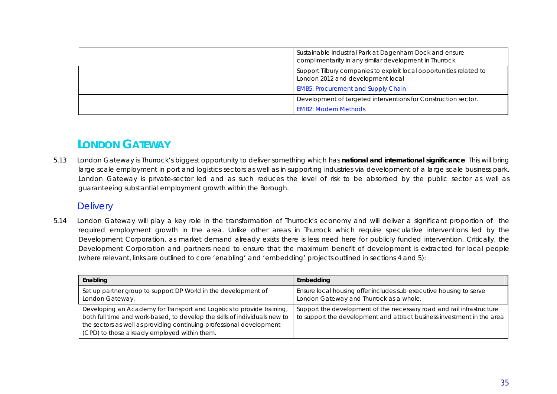| Sustainable Industrial Park at Dagenham Dock and ensure<br>complimentarity in any similar development in Thurrock.                                    |
|-------------------------------------------------------------------------------------------------------------------------------------------------------|
| Support Tilbury companies to exploit local opportunities related to<br>London 2012 and development local<br><b>EMB5: Procurement and Supply Chain</b> |
| Development of targeted interventions for Construction sector.<br><b>EMB2: Modern Methods</b>                                                         |

# **LONDON GATEWAY**

5.13 London Gateway is Thurrock's biggest opportunity to deliver something which has **national and international significance**. This will bring large scale employment in port and logistics sectors as well as in supporting industries via development of a large scale business park. London Gateway is private-sector led and as such reduces the level of risk to be absorbed by the public sector as well as guaranteeing substantial employment growth within the Borough.

### **Delivery**

5.14 London Gateway will play a key role in the transformation of Thurrock's economy and will deliver a significant proportion of the required employment growth in the area. Unlike other areas in Thurrock which require speculative interventions led by the Development Corporation, as market demand already exists there is less need here for publicly funded intervention. Critically, the Development Corporation and partners need to ensure that the maximum benefit of development is extracted for local people (where relevant, links are outlined to core 'enabling' and 'embedding' projects outlined in sections 4 and 5):

| Enabling                                                                                                                                                                                                                                                                     | Embedding                                                                                                                                       |
|------------------------------------------------------------------------------------------------------------------------------------------------------------------------------------------------------------------------------------------------------------------------------|-------------------------------------------------------------------------------------------------------------------------------------------------|
| Set up partner group to support DP World in the development of<br>London Gateway.                                                                                                                                                                                            | Ensure local housing offer includes sub executive housing to serve<br>London Gateway and Thurrock as a whole.                                   |
| Developing an Academy for Transport and Logistics to provide training,<br>both full time and work-based, to develop the skills of individuals new to<br>the sectors as well as providing continuing professional development<br>(CPD) to those already employed within them. | Support the development of the necessary road and rail infrastructure<br>to support the development and attract business investment in the area |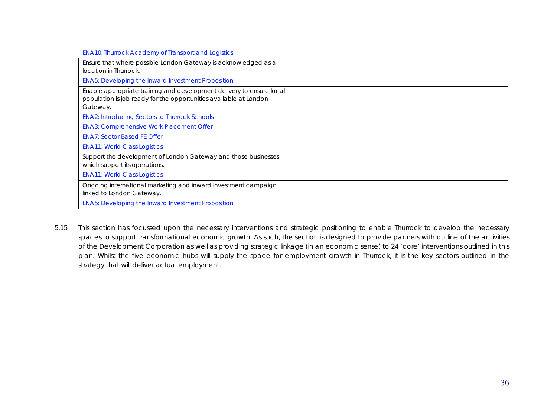| <b>ENA10: Thurrock Academy of Transport and Logistics</b>                                                                                             |  |
|-------------------------------------------------------------------------------------------------------------------------------------------------------|--|
| Ensure that where possible London Gateway is acknowledged as a<br>location in Thurrock.                                                               |  |
| <b>ENA5: Developing the Inward Investment Proposition</b>                                                                                             |  |
| Enable appropriate training and development delivery to ensure local<br>population is job ready for the opportunities available at London<br>Gateway. |  |
| <b>ENA2: Introducing Sectors to Thurrock Schools</b>                                                                                                  |  |
| <b>ENA3: Comprehensive Work Placement Offer</b>                                                                                                       |  |
| <b>ENA7: Sector Based FE Offer</b>                                                                                                                    |  |
| <b>ENA11: World Class Logistics</b>                                                                                                                   |  |
| Support the development of London Gateway and those businesses<br>which support its operations.                                                       |  |
| <b>ENA11: World Class Logistics</b>                                                                                                                   |  |
| Ongoing international marketing and inward investment campaign<br>linked to London Gateway.                                                           |  |
| <b>ENA5: Developing the Inward Investment Proposition</b>                                                                                             |  |

5.15 This section has focussed upon the necessary interventions and strategic positioning to enable Thurrock to develop the necessary spaces to support transformational economic growth. As such, the section is designed to provide partners with outline of the activities of the Development Corporation as well as providing strategic linkage (in an economic sense) to 24 'core' interventions outlined in this plan. Whilst the five economic hubs will supply the space for employment growth in Thurrock, it is the key sectors outlined in the strategy that will deliver actual employment.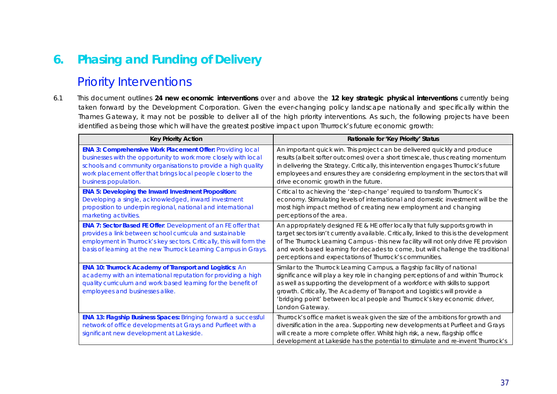# **6. Phasing and Funding of Delivery**

# Priority Interventions

6.1 This document outlines **24 new economic interventions** over and above the **12 key strategic physical interventions** currently being taken forward by the Development Corporation. Given the ever-changing policy landscape nationally and specifically within the Thames Gateway, it may not be possible to deliver all of the high priority interventions. As such, the following projects have been identified as being those which will have the greatest positive impact upon Thurrock's future economic growth:

| <b>Key Priority Action</b>                                                                                                                                                                                                                                                            | Rationale for 'Key Priority' Status                                                                                                                                                                                                                                                                                                                                                                                      |
|---------------------------------------------------------------------------------------------------------------------------------------------------------------------------------------------------------------------------------------------------------------------------------------|--------------------------------------------------------------------------------------------------------------------------------------------------------------------------------------------------------------------------------------------------------------------------------------------------------------------------------------------------------------------------------------------------------------------------|
| ENA 3: Comprehensive Work Placement Offer: Providing local<br>businesses with the opportunity to work more closely with local<br>schools and community organisations to provide a high quality<br>work placement offer that brings local people closer to the<br>business population. | An important quick win. This project can be delivered quickly and produce<br>results (albeit softer outcomes) over a short timescale, thus creating momentum<br>in delivering the Strategy. Critically, this intervention engages Thurrock's future<br>employees and ensures they are considering employment in the sectors that will<br>drive economic growth in the future.                                            |
| <b>ENA 5: Developing the Inward Investment Proposition:</b><br>Developing a single, acknowledged, inward investment<br>proposition to underpin regional, national and international<br>marketing activities.                                                                          | Critical to achieving the 'step-change' required to transform Thurrock's<br>economy. Stimulating levels of international and domestic investment will be the<br>most high impact method of creating new employment and changing<br>perceptions of the area.                                                                                                                                                              |
| <b>ENA 7: Sector Based FE Offer: Development of an FE offer that</b><br>provides a link between school curricula and sustainable<br>employment in Thurrock's key sectors. Critically, this will form the<br>basis of learning at the new Thurrock Learning Campus in Grays.           | An appropriately designed FE & HE offer locally that fully supports growth in<br>target sectors isn't currently available. Critically, linked to this is the development<br>of The Thurrock Learning Campus - this new facility will not only drive FE provision<br>and work based learning for decades to come, but will challenge the traditional<br>perceptions and expectations of Thurrock's communities.           |
| ENA 10: Thurrock Academy of Transport and Logistics: An<br>academy with an international reputation for providing a high<br>quality curriculum and work based learning for the benefit of<br>employees and businesses alike.                                                          | Similar to the Thurrock Learning Campus, a flagship facility of national<br>significance will play a key role in changing perceptions of and within Thurrock<br>as well as supporting the development of a workforce with skills to support<br>growth. Critically, The Academy of Transport and Logistics will provide a<br>'bridging point' between local people and Thurrock's key economic driver,<br>London Gateway. |
| ENA 13: Flagship Business Spaces: Bringing forward a successful<br>network of office developments at Grays and Purfleet with a<br>significant new development at Lakeside.                                                                                                            | Thurrock's office market is weak given the size of the ambitions for growth and<br>diversification in the area. Supporting new developments at Purfleet and Grays<br>will create a more complete offer. Whilst high risk, a new, flagship office<br>development at Lakeside has the potential to stimulate and re-invent Thurrock's                                                                                      |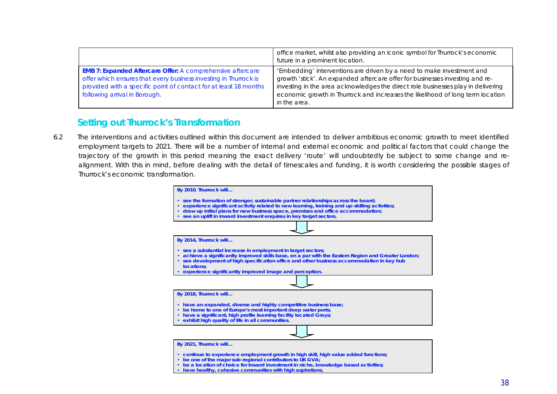|                                                                                                                                                                                                                                            | office market, whilst also providing an iconic symbol for Thurrock's economic<br>future in a prominent location.                                                                                                                                                                                                                            |
|--------------------------------------------------------------------------------------------------------------------------------------------------------------------------------------------------------------------------------------------|---------------------------------------------------------------------------------------------------------------------------------------------------------------------------------------------------------------------------------------------------------------------------------------------------------------------------------------------|
| <b>EMB 7: Expanded Aftercare Offer: A comprehensive aftercare</b><br>offer which ensures that every business investing in Thurrock is<br>provided with a specific point of contact for at least 18 months<br>following arrival in Borough. | 'Embedding' interventions are driven by a need to make investment and<br>growth 'stick'. An expanded aftercare offer for businesses investing and re-<br>investing in the area acknowledges the direct role businesses play in delivering<br>economic growth in Thurrock and increases the likelihood of long term location<br>in the area. |

## **Setting out Thurrock's Transformation**

6.2 The interventions and activities outlined within this document are intended to deliver ambitious economic growth to meet identified employment targets to 2021. There will be a number of internal and external economic and political factors that could change the trajectory of the growth in this period meaning the exact delivery 'route' will undoubtedly be subject to some change and realignment. With this in mind, before dealing with the detail of timescales and funding, it is worth considering the possible stages of Thurrock's economic transformation.

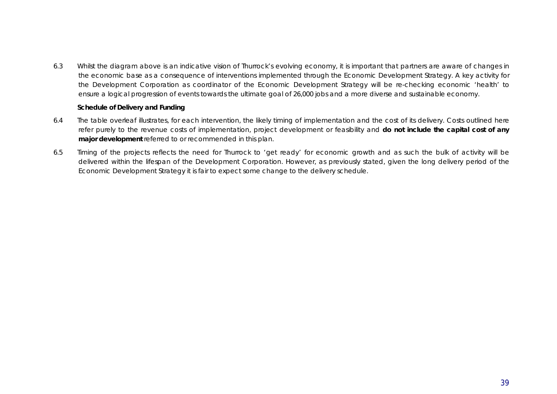6.3 Whilst the diagram above is an indicative vision of Thurrock's evolving economy, it is important that partners are aware of changes in the economic base as a consequence of interventions implemented through the Economic Development Strategy. A key activity for the Development Corporation as coordinator of the Economic Development Strategy will be re-checking economic 'health' to ensure a logical progression of events towards the ultimate goal of 26,000 jobs and a more diverse and sustainable economy.

### **Schedule of Delivery and Funding**

- 6.4 The table overleaf illustrates, for each intervention, the likely timing of implementation and the cost of its delivery. Costs outlined here refer purely to the revenue costs of implementation, project development or feasibility and **do not include the capital cost of any major development** referred to or recommended in this plan.
- 6.5 Timing of the projects reflects the need for Thurrock to 'get ready' for economic growth and as such the bulk of activity will be delivered within the lifespan of the Development Corporation. However, as previously stated, given the long delivery period of the Economic Development Strategy it is fair to expect some change to the delivery schedule.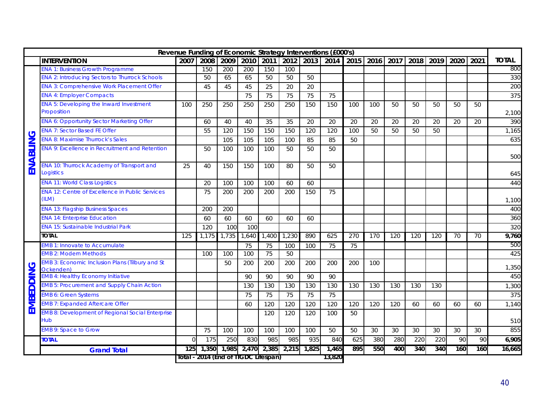|           |                                                                     |          |                                     |       |       |                 |       |           | Revenue Funding of Economic Strategy Interventions (£000's) |                |     |      |      |      |      |      |              |
|-----------|---------------------------------------------------------------------|----------|-------------------------------------|-------|-------|-----------------|-------|-----------|-------------------------------------------------------------|----------------|-----|------|------|------|------|------|--------------|
|           | <b>INTERVENTION</b>                                                 | 2007     | 2008                                | 2009  | 2010  | 2011            |       | 2012 2013 |                                                             | 2014 2015 2016 |     | 2017 | 2018 | 2019 | 2020 | 2021 | <b>TOTAL</b> |
|           | <b>ENA 1: Business Growth Programme</b>                             |          | 150                                 | 200   | 200   | 150             | 100   |           |                                                             |                |     |      |      |      |      |      | 800          |
|           | <b>ENA 2: Introducing Sectors to Thurrock Schools</b>               |          | 50                                  | 65    | 65    | 50              | 50    | 50        |                                                             |                |     |      |      |      |      |      | 330          |
|           | <b>ENA 3: Comprehensive Work Placement Offer</b>                    |          | 45                                  | 45    | 45    | 25              | 20    | 20        |                                                             |                |     |      |      |      |      |      | 200          |
|           | <b>ENA 4: Employer Compacts</b>                                     |          |                                     |       | 75    | 75              | 75    | 75        | 75                                                          |                |     |      |      |      |      |      | 375          |
|           | <b>ENA 5: Developing the Inward Investment</b><br>Proposition       | 100      | 250                                 | 250   | 250   | 250             | 250   | 150       | 150                                                         | 100            | 100 | 50   | 50   | 50   | 50   | 50   | 2,100        |
|           | <b>ENA 6: Opportunity Sector Marketing Offer</b>                    |          | 60                                  | 40    | 40    | 35              | 35    | 20        | 20                                                          | 20             | 20  | 20   | 20   | 20   | 20   | 20   | 390          |
|           | <b>ENA 7: Sector Based FE Offer</b>                                 |          | 55                                  | 120   | 150   | 150             | 150   | 120       | 120                                                         | 100            | 50  | 50   | 50   | 50   |      |      | 1,165        |
|           | <b>ENA 8: Maximise Thurrock's Sales</b>                             |          |                                     | 105   | 105   | 105             | 100   | 85        | 85                                                          | 50             |     |      |      |      |      |      | 635          |
|           | <b>ENA 9: Excellence in Recruitment and Retention</b>               |          | 50                                  | 100   | 100   | 100             | 50    | 50        | 50                                                          |                |     |      |      |      |      |      | 500          |
| ENABLING  | <b>ENA 10: Thurrock Academy of Transport and</b><br>Logistics       | 25       | 40                                  | 150   | 150   | 100             | 80    | 50        | 50                                                          |                |     |      |      |      |      |      | 645          |
|           | <b>ENA 11: World Class Logistics</b>                                |          | 20                                  | 100   | 100   | 100             | 60    | 60        |                                                             |                |     |      |      |      |      |      | 440          |
|           | <b>ENA 12: Centre of Excellence in Public Services</b><br>(ILM)     |          | 75                                  | 200   | 200   | 200             | 200   | 150       | 75                                                          |                |     |      |      |      |      |      | 1,100        |
|           | <b>ENA 13: Flagship Business Spaces</b>                             |          | 200                                 | 200   |       |                 |       |           |                                                             |                |     |      |      |      |      |      | 400          |
|           | <b>ENA 14: Enterprise Education</b>                                 |          | 60                                  | 60    | 60    | 60              | 60    | 60        |                                                             |                |     |      |      |      |      |      | 360          |
|           | <b>ENA 15: Sustainable Industrial Park</b>                          |          | 120                                 | 100   | 100   |                 |       |           |                                                             |                |     |      |      |      |      |      | 320          |
|           | <b>TOTAL</b>                                                        | 125      | 1,175                               | 1,735 | 1,640 | 1,400           | 1,230 | 890       | 625                                                         | 270            | 170 | 120  | 120  | 120  | 70   | 70   | 9,760        |
|           | <b>EMB 1: Innovate to Accumulate</b>                                |          |                                     |       | 75    | 75              | 100   | 100       | 75                                                          | 75             |     |      |      |      |      |      | 500          |
|           | <b>EMB 2: Modern Methods</b>                                        |          | 100                                 | 100   | 100   | $\overline{75}$ | 50    |           |                                                             |                |     |      |      |      |      |      | 425          |
|           | <b>EMB 3: Economic Inclusion Plans (Tilbury and St</b><br>Ockenden) |          |                                     | 50    | 200   | 200             | 200   | 200       | 200                                                         | 200            | 100 |      |      |      |      |      | 1,350        |
|           | <b>EMB 4: Healthy Economy Initiative</b>                            |          |                                     |       | 90    | 90              | 90    | 90        | 90                                                          |                |     |      |      |      |      |      | 450          |
|           | <b>EMB 5: Procurement and Supply Chain Action</b>                   |          |                                     |       | 130   | 130             | 130   | 130       | 130                                                         | 130            | 130 | 130  | 130  | 130  |      |      | 1,300        |
|           | <b>EMB 6: Green Systems</b>                                         |          |                                     |       | 75    | 75              | 75    | 75        | 75                                                          |                |     |      |      |      |      |      | 375          |
| EMBEDDING | <b>EMB 7: Expanded Aftercare Offer</b>                              |          |                                     |       | 60    | 120             | 120   | 120       | 120                                                         | 120            | 120 | 120  | 60   | 60   | 60   | 60   | 1,140        |
|           | <b>EMB 8: Development of Regional Social Enterprise</b><br>Hub      |          |                                     |       |       | 120             | 120   | 120       | 100                                                         | 50             |     |      |      |      |      |      | 510          |
|           | <b>EMB 9: Space to Grow</b>                                         |          | 75                                  | 100   | 100   | 100             | 100   | 100       | 50                                                          | 50             | 30  | 30   | 30   | 30   | 30   | 30   | 855          |
|           | <b>TOTAL</b>                                                        | $\Omega$ | 175                                 | 250   | 830   | 985             | 985   | 935       | 840                                                         | 625            | 380 | 280  | 220  | 220  | 90   | 90   | 6,905        |
|           |                                                                     |          | 1,350                               | 1,985 | 2,470 | 2,385           | 2,215 | 1,825     | 1,465                                                       | 895            | 550 | 400  | 340  | 340  | 160  | 160  | 16,665       |
|           | <b>Grand Total</b>                                                  | 125      | Total - 2014 (End of HGDC Lifespan) |       |       |                 |       |           | 13,820                                                      |                |     |      |      |      |      |      |              |
|           |                                                                     |          |                                     |       |       |                 |       |           |                                                             |                |     |      |      |      |      |      |              |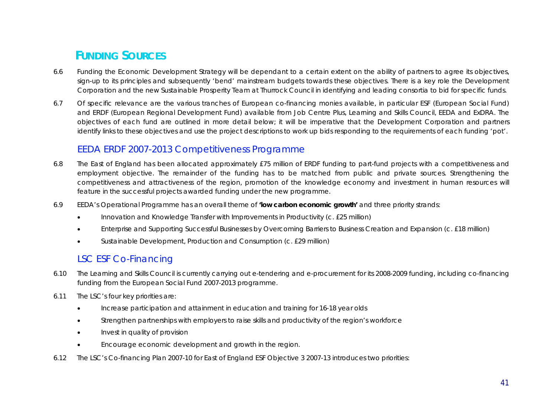# **FUNDING SOURCES**

- 6.6 Funding the Economic Development Strategy will be dependant to a certain extent on the ability of partners to agree its objectives, sign-up to its principles and subsequently 'bend' mainstream budgets towards these objectives. There is a key role the Development Corporation and the new Sustainable Prosperity Team at Thurrock Council in identifying and leading consortia to bid for specific funds.
- 6.7 Of specific relevance are the various tranches of European co-financing monies available, in particular ESF (European Social Fund) and ERDF (European Regional Development Fund) available from Job Centre Plus, Learning and Skills Council, EEDA and ExDRA. The objectives of each fund are outlined in more detail below; it will be imperative that the Development Corporation and partners identify links to these objectives and use the project descriptions to work up bids responding to the requirements of each funding 'pot'.

## EEDA ERDF 2007-2013 Competitiveness Programme

- 6.8 The East of England has been allocated approximately £75 million of ERDF funding to part-fund projects with a competitiveness and employment objective. The remainder of the funding has to be matched from public and private sources. Strengthening the competitiveness and attractiveness of the region, promotion of the knowledge economy and investment in human resources will feature in the successful projects awarded funding under the new programme.
- 6.9 EEDA's Operational Programme has an overall theme of **'low carbon economic growth'** and three priority strands:
	- Innovation and Knowledge Transfer with Improvements in Productivity (c. £25 million)
	- x Enterprise and Supporting Successful Businesses by Overcoming Barriers to Business Creation and Expansion (c. £18 million)
	- Sustainable Development, Production and Consumption (c. £29 million)

## LSC ESF Co-Financing

- 6.10 The Learning and Skills Council is currently carrying out e-tendering and e-procurement for its 2008-2009 funding, including co-financing funding from the European Social Fund 2007-2013 programme.
- 6.11 The LSC's four key priorities are:
	- Increase participation and attainment in education and training for 16-18 year olds
	- Strengthen partnerships with employers to raise skills and productivity of the region's workforce
	- Invest in quality of provision
	- Encourage economic development and growth in the region.
- 6.12 The LSC's Co-financing Plan 2007-10 for East of England ESF Objective 3 2007-13 introduces two priorities: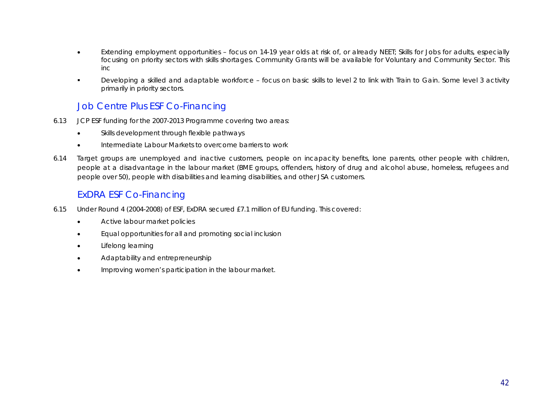- Extending employment opportunities focus on 14-19 year olds at risk of, or already NEET; Skills for Jobs for adults, especially focusing on priority sectors with skills shortages. Community Grants will be available for Voluntary and Community Sector. This inc
- Developing a skilled and adaptable workforce focus on basic skills to level 2 to link with Train to Gain. Some level 3 activity primarily in priority sectors.

## Job Centre Plus ESF Co-Financing

- 6.13 JCP ESF funding for the 2007-2013 Programme covering two areas:
	- Skills development through flexible pathways
	- **•** Intermediate Labour Markets to overcome barriers to work
- 6.14 Target groups are unemployed and inactive customers, people on incapacity benefits, lone parents, other people with children, people at a disadvantage in the labour market (BME groups, offenders, history of drug and alcohol abuse, homeless, refugees and people over 50), people with disabilities and learning disabilities, and other JSA customers.

## ExDRA ESF Co-Financing

- 6.15 Under Round 4 (2004-2008) of ESF, ExDRA secured £7.1 million of EU funding. This covered:
	- **\*** Active labour market policies
	- **•** Equal opportunities for all and promoting social inclusion
	- **•** Lifelong learning
	- Adaptability and entrepreneurship
	- **•** Improving women's participation in the labour market.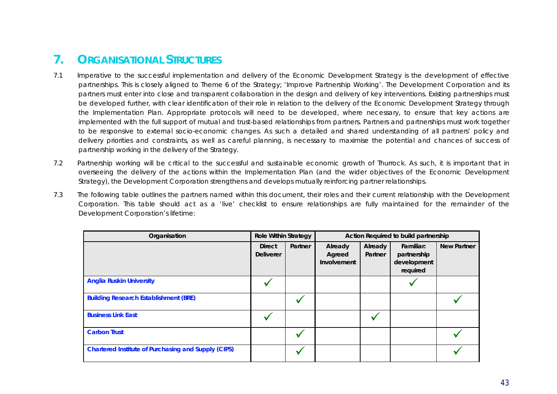# **7. ORGANISATIONAL STRUCTURES**

- 7.1 Imperative to the successful implementation and delivery of the Economic Development Strategy is the development of effective partnerships. This is closely aligned to Theme 6 of the Strategy; 'Improve Partnership Working'. The Development Corporation and its partners must enter into close and transparent collaboration in the design and delivery of key interventions. Existing partnerships must be developed further, with clear identification of their role in relation to the delivery of the Economic Development Strategy through the Implementation Plan. Appropriate protocols will need to be developed, where necessary, to ensure that key actions are implemented with the full support of mutual and trust-based relationships from partners. Partners and partnerships must work together to be responsive to external socio-economic changes. As such a detailed and shared understanding of all partners' policy and delivery priorities and constraints, as well as careful planning, is necessary to maximise the potential and chances of success of partnership working in the delivery of the Strategy.
- 7.2 Partnership working will be critical to the successful and sustainable economic growth of Thurrock. As such, it is important that in overseeing the delivery of the actions within the Implementation Plan (and the wider objectives of the Economic Development Strategy), the Development Corporation strengthens and develops mutually reinforcing partner relationships.
- 7.3 The following table outlines the partners named within this document, their roles and their current relationship with the Development Corporation. This table should act as a 'live' checklist to ensure relationships are fully maintained for the remainder of the Development Corporation's lifetime:

| <b>Role Within Strategy</b><br>Organisation                |                                   |         | Action Required to build partnership |                    |                                                     |                    |  |
|------------------------------------------------------------|-----------------------------------|---------|--------------------------------------|--------------------|-----------------------------------------------------|--------------------|--|
|                                                            | <b>Direct</b><br><b>Deliverer</b> | Partner | Already<br>Agreed<br>Involvement     | Already<br>Partner | Familiar:<br>partnership<br>development<br>required | <b>New Partner</b> |  |
| <b>Anglia Ruskin University</b>                            |                                   |         |                                      |                    |                                                     |                    |  |
| <b>Building Research Establishment (BRE)</b>               |                                   |         |                                      |                    |                                                     |                    |  |
| <b>Business Link East</b>                                  |                                   |         |                                      |                    |                                                     |                    |  |
| <b>Carbon Trust</b>                                        |                                   |         |                                      |                    |                                                     |                    |  |
| <b>Chartered Institute of Purchasing and Supply (CIPS)</b> |                                   |         |                                      |                    |                                                     |                    |  |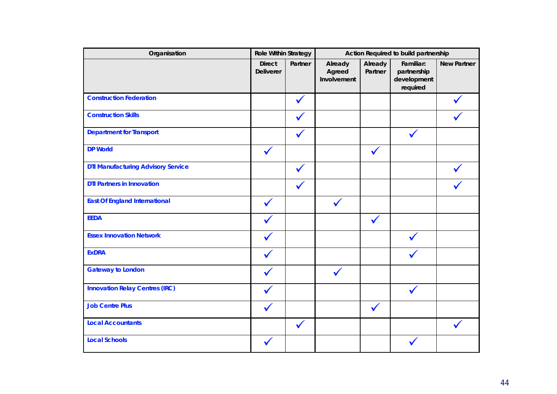| Organisation                              | <b>Role Within Strategy</b>       |              | Action Required to build partnership |                    |                                                     |                    |  |
|-------------------------------------------|-----------------------------------|--------------|--------------------------------------|--------------------|-----------------------------------------------------|--------------------|--|
|                                           | <b>Direct</b><br><b>Deliverer</b> | Partner      | Already<br>Agreed<br>Involvement     | Already<br>Partner | Familiar:<br>partnership<br>development<br>required | <b>New Partner</b> |  |
| <b>Construction Federation</b>            |                                   |              |                                      |                    |                                                     |                    |  |
| <b>Construction Skills</b>                |                                   |              |                                      |                    |                                                     |                    |  |
| <b>Department for Transport</b>           |                                   |              |                                      |                    |                                                     |                    |  |
| <b>DP World</b>                           |                                   |              |                                      |                    |                                                     |                    |  |
| <b>DTI Manufacturing Advisory Service</b> |                                   |              |                                      |                    |                                                     |                    |  |
| <b>DTI Partners in Innovation</b>         |                                   |              |                                      |                    |                                                     |                    |  |
| <b>East Of England International</b>      |                                   |              |                                      |                    |                                                     |                    |  |
| <b>EEDA</b>                               |                                   |              |                                      |                    |                                                     |                    |  |
| <b>Essex Innovation Network</b>           |                                   |              |                                      |                    |                                                     |                    |  |
| <b>ExDRA</b>                              |                                   |              |                                      |                    |                                                     |                    |  |
| <b>Gateway to London</b>                  |                                   |              |                                      |                    |                                                     |                    |  |
| <b>Innovation Relay Centres (IRC)</b>     |                                   |              |                                      |                    |                                                     |                    |  |
| <b>Job Centre Plus</b>                    |                                   |              |                                      |                    |                                                     |                    |  |
| <b>Local Accountants</b>                  |                                   | $\checkmark$ |                                      |                    |                                                     |                    |  |
| <b>Local Schools</b>                      |                                   |              |                                      |                    |                                                     |                    |  |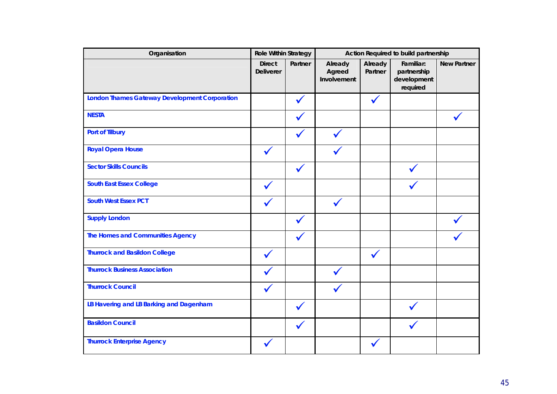| Organisation                                         | <b>Role Within Strategy</b>       |         | Action Required to build partnership |                    |                                                     |                    |  |
|------------------------------------------------------|-----------------------------------|---------|--------------------------------------|--------------------|-----------------------------------------------------|--------------------|--|
|                                                      | <b>Direct</b><br><b>Deliverer</b> | Partner | Already<br>Agreed<br>Involvement     | Already<br>Partner | Familiar:<br>partnership<br>development<br>required | <b>New Partner</b> |  |
| <b>London Thames Gateway Development Corporation</b> |                                   |         |                                      |                    |                                                     |                    |  |
| <b>NESTA</b>                                         |                                   |         |                                      |                    |                                                     |                    |  |
| <b>Port of Tilbury</b>                               |                                   |         |                                      |                    |                                                     |                    |  |
| <b>Royal Opera House</b>                             |                                   |         |                                      |                    |                                                     |                    |  |
| <b>Sector Skills Councils</b>                        |                                   |         |                                      |                    |                                                     |                    |  |
| <b>South East Essex College</b>                      |                                   |         |                                      |                    |                                                     |                    |  |
| <b>South West Essex PCT</b>                          |                                   |         |                                      |                    |                                                     |                    |  |
| <b>Supply London</b>                                 |                                   |         |                                      |                    |                                                     |                    |  |
| <b>The Homes and Communities Agency</b>              |                                   |         |                                      |                    |                                                     |                    |  |
| <b>Thurrock and Basildon College</b>                 |                                   |         |                                      |                    |                                                     |                    |  |
| <b>Thurrock Business Association</b>                 |                                   |         |                                      |                    |                                                     |                    |  |
| <b>Thurrock Council</b>                              |                                   |         |                                      |                    |                                                     |                    |  |
| LB Havering and LB Barking and Dagenham              |                                   |         |                                      |                    |                                                     |                    |  |
| <b>Basildon Council</b>                              |                                   |         |                                      |                    |                                                     |                    |  |
| <b>Thurrock Enterprise Agency</b>                    |                                   |         |                                      |                    |                                                     |                    |  |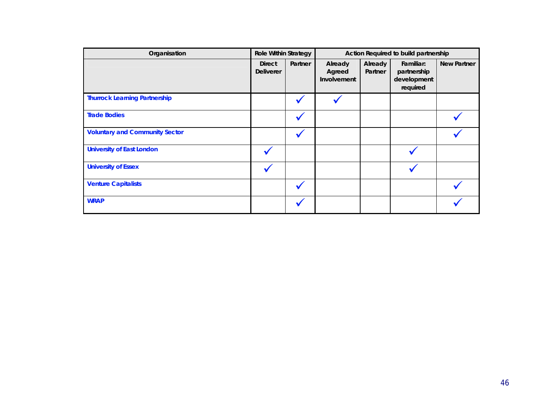| Organisation                          | <b>Role Within Strategy</b>       |         |                                  |                    | Action Required to build partnership                |                    |
|---------------------------------------|-----------------------------------|---------|----------------------------------|--------------------|-----------------------------------------------------|--------------------|
|                                       | <b>Direct</b><br><b>Deliverer</b> | Partner | Already<br>Agreed<br>Involvement | Already<br>Partner | Familiar:<br>partnership<br>development<br>required | <b>New Partner</b> |
| <b>Thurrock Learning Partnership</b>  |                                   |         |                                  |                    |                                                     |                    |
| <b>Trade Bodies</b>                   |                                   |         |                                  |                    |                                                     |                    |
| <b>Voluntary and Community Sector</b> |                                   |         |                                  |                    |                                                     |                    |
| <b>University of East London</b>      |                                   |         |                                  |                    |                                                     |                    |
| <b>University of Essex</b>            |                                   |         |                                  |                    |                                                     |                    |
| <b>Venture Capitalists</b>            |                                   |         |                                  |                    |                                                     |                    |
| <b>WRAP</b>                           |                                   |         |                                  |                    |                                                     |                    |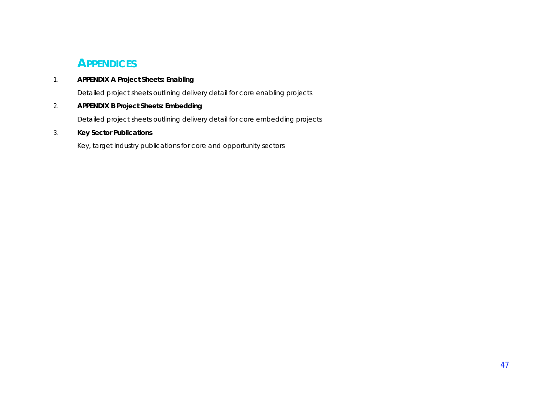# **APPENDICES**

### 1. **APPENDIX A Project Sheets: Enabling**

Detailed project sheets outlining delivery detail for core enabling projects

### 2. **APPENDIX B Project Sheets: Embedding**

Detailed project sheets outlining delivery detail for core embedding projects

### 3. **Key Sector Publications**

Key, target industry publications for core and opportunity sectors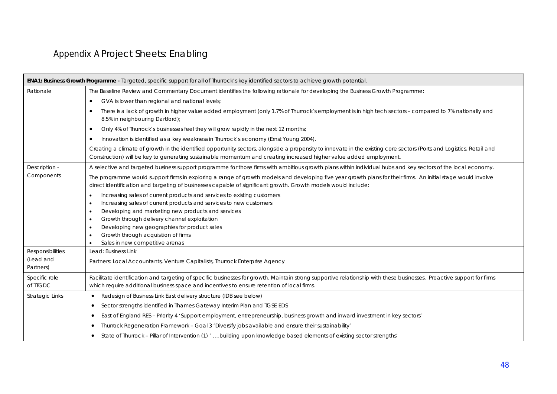# Appendix A Project Sheets: Enabling

|                                            | <b>ENA1: Business Growth Programme -</b> Targeted, specific support for all of Thurrock's key identified sectors to achieve growth potential.                                                                                                                                              |
|--------------------------------------------|--------------------------------------------------------------------------------------------------------------------------------------------------------------------------------------------------------------------------------------------------------------------------------------------|
| Rationale                                  | The Baseline Review and Commentary Document identifies the following rationale for developing the Business Growth Programme:                                                                                                                                                               |
|                                            | GVA is lower than regional and national levels;<br>$\bullet$                                                                                                                                                                                                                               |
|                                            | There is a lack of growth in higher value added employment (only 1.7% of Thurrock's employment is in high tech sectors - compared to 7% nationally and<br>$\bullet$<br>8.5% in neighbouring Dartford);                                                                                     |
|                                            | Only 4% of Thurrock's businesses feel they will grow rapidly in the next 12 months;<br>$\bullet$                                                                                                                                                                                           |
|                                            | Innovation is identified as a key weakness in Thurrock's economy (Ernst Young 2004).<br>$\bullet$                                                                                                                                                                                          |
|                                            | Creating a climate of growth in the identified opportunity sectors, alongside a propensity to innovate in the existing core sectors (Ports and Logistics, Retail and<br>Construction) will be key to generating sustainable momentum and creating increased higher value added employment. |
| Description -                              | A selective and targeted business support programme for those firms with ambitious growth plans within individual hubs and key sectors of the local economy.                                                                                                                               |
| Components                                 | The programme would support firms in exploring a range of growth models and developing five year growth plans for their firms. An initial stage would involve<br>direct identification and targeting of businesses capable of significant growth. Growth models would include:             |
|                                            | Increasing sales of current products and services to existing customers<br>Increasing sales of current products and services to new customers<br>٠<br>Developing and marketing new products and services<br>٠<br>Growth through delivery channel exploitation<br>٠                         |
|                                            | Developing new geographies for product sales<br>Growth through acquisition of firms                                                                                                                                                                                                        |
|                                            | Sales in new competitive arenas                                                                                                                                                                                                                                                            |
| Responsibilities<br>(Lead and<br>Partners) | Lead: Business Link<br>Partners: Local Accountants, Venture Capitalists, Thurrock Enterprise Agency                                                                                                                                                                                        |
| Specific role<br>of TIGDC                  | Facilitate identification and targeting of specific businesses for growth. Maintain strong supportive relationship with these businesses. Proactive support for firms<br>which require additional business space and incentives to ensure retention of local firms.                        |
| <b>Strategic Links</b>                     | Redesign of Business Link East delivery structure (IDB see below)<br>$\bullet$                                                                                                                                                                                                             |
|                                            | Sector strengths identified in Thames Gateway Interim Plan and TGSE EDS<br>$\bullet$                                                                                                                                                                                                       |
|                                            | East of England RES - Priority 4 'Support employment, entrepreneurship, business growth and inward investment in key sectors'<br>٠                                                                                                                                                         |
|                                            | Thurrock Regeneration Framework - Goal 3 'Diversify jobs available and ensure their sustainability'<br>$\bullet$                                                                                                                                                                           |
|                                            | State of Thurrock - Pillar of Intervention (1) ' building upon knowledge based elements of existing sector strengths'                                                                                                                                                                      |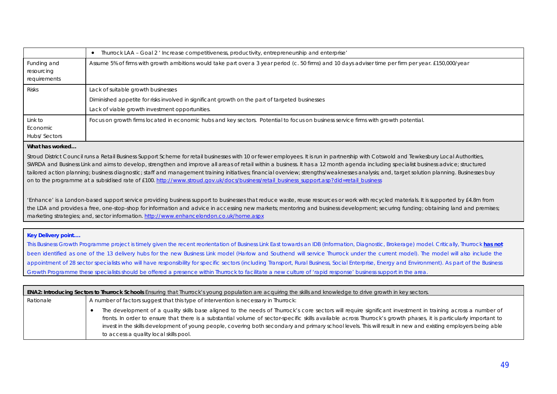|                                           | Thurrock LAA - Goal 2 ' Increase competitiveness, productivity, entrepreneurship and enterprise'                                                                                         |
|-------------------------------------------|------------------------------------------------------------------------------------------------------------------------------------------------------------------------------------------|
| Funding and<br>resourcing<br>requirements | Assume 5% of firms with growth ambitions would take part over a 3 year period (c. 50 firms) and 10 days adviser time per firm per year. £150,000/year                                    |
| <b>Risks</b>                              | Lack of suitable growth businesses<br>Diminished appetite for risks involved in significant growth on the part of targeted businesses<br>Lack of viable growth investment opportunities. |
| Link to<br>Economic<br>Hubs/Sectors       | Focus on growth firms located in economic hubs and key sectors. Potential to focus on business service firms with growth potential.                                                      |

Stroud District Council runs a Retail Business Support Scheme for retail businesses with 10 or fewer employees. It is run in partnership with Cotswold and Tewkesbury Local Authorities, SWRDA and Business Link and aims to develop, strengthen and improve all areas of retail within a business. It has a 12 month agenda including specialist business advice; structured tailored action planning; business diagnostic; staff and management training initiatives; financial overview; strengths/weaknesses analysis; and, target solution planning. Businesses buy on to the programme at a subsidised rate of £100. http://www.stroud.gov.uk/docs/business/retail\_business\_support.asp?did=retail\_business

'Enhance' is a London-based support service providing business support to businesses that reduce waste, reuse resources or work with recycled materials. It is supported by £4.8m from the LDA and provides a free, one-stop-shop for information and advice in accessing new markets; mentoring and business development; securing funding; obtaining land and premises; marketing strategies; and, sector information. http://www.enhancelondon.co.uk/home.aspx

### **Key Delivery point….**

This Business Growth Programme project is timely given the recent reorientation of Business Link East towards an IDB (Information, Diagnostic, Brokerage) model. Critically, Thurrock **has not** been identified as one of the 13 delivery hubs for the new Business Link model (Harlow and Southend will service Thurrock under the current model). The model will also include the appointment of 28 sector specialists who will have responsibility for specific sectors (including Transport, Rural Business, Social Enterprise, Energy and Environment). As part of the Business Growth Programme these specialists should be offered a presence within Thurrock to facilitate a new culture of 'rapid response' business support in the area.

| <b>ENA2: Introducing Sectors to Thurrock Schools</b> Ensuring that Thurrock's young population are acquiring the skills and knowledge to drive growth in key sectors. |                                                                                                                                                                                                                                                                                                                                                                                                                                                                                                                                               |  |  |  |  |  |  |
|-----------------------------------------------------------------------------------------------------------------------------------------------------------------------|-----------------------------------------------------------------------------------------------------------------------------------------------------------------------------------------------------------------------------------------------------------------------------------------------------------------------------------------------------------------------------------------------------------------------------------------------------------------------------------------------------------------------------------------------|--|--|--|--|--|--|
| Rationale                                                                                                                                                             | A number of factors suggest that this type of intervention is necessary in Thurrock:                                                                                                                                                                                                                                                                                                                                                                                                                                                          |  |  |  |  |  |  |
|                                                                                                                                                                       | The development of a quality skills base aligned to the needs of Thurrock's core sectors will require significant investment in training across a number of<br>fronts. In order to ensure that there is a substantial volume of sector-specific skills available across Thurrock's growth phases, it is particularly important to<br>invest in the skills development of young people, covering both secondary and primary school levels. This will result in new and existing employers being able<br>to access a quality local skills pool. |  |  |  |  |  |  |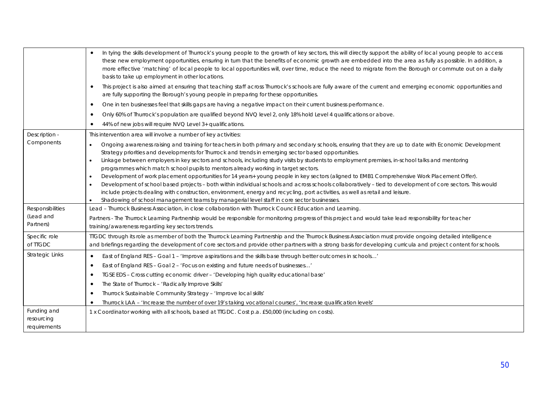|                                           | In tying the skills development of Thurrock's young people to the growth of key sectors, this will directly support the ability of local young people to access<br>$\bullet$<br>these new employment opportunities, ensuring in turn that the benefits of economic growth are embedded into the area as fully as possible. In addition, a<br>more effective 'matching' of local people to local opportunities will, over time, reduce the need to migrate from the Borough or commute out on a daily<br>basis to take up employment in other locations.<br>This project is also aimed at ensuring that teaching staff across Thurrock's schools are fully aware of the current and emerging economic opportunities and<br>$\bullet$<br>are fully supporting the Borough's young people in preparing for these opportunities. |
|-------------------------------------------|------------------------------------------------------------------------------------------------------------------------------------------------------------------------------------------------------------------------------------------------------------------------------------------------------------------------------------------------------------------------------------------------------------------------------------------------------------------------------------------------------------------------------------------------------------------------------------------------------------------------------------------------------------------------------------------------------------------------------------------------------------------------------------------------------------------------------|
|                                           | One in ten businesses feel that skills gaps are having a negative impact on their current business performance.<br>$\bullet$                                                                                                                                                                                                                                                                                                                                                                                                                                                                                                                                                                                                                                                                                                 |
|                                           | Only 60% of Thurrock's population are qualified beyond NVQ level 2, only 18% hold Level 4 qualifications or above.                                                                                                                                                                                                                                                                                                                                                                                                                                                                                                                                                                                                                                                                                                           |
|                                           | 44% of new jobs will require NVQ Level 3+ qualifications.<br>٠                                                                                                                                                                                                                                                                                                                                                                                                                                                                                                                                                                                                                                                                                                                                                               |
| Description -                             | This intervention area will involve a number of key activities:                                                                                                                                                                                                                                                                                                                                                                                                                                                                                                                                                                                                                                                                                                                                                              |
| Components                                | Ongoing awareness raising and training for teachers in both primary and secondary schools, ensuring that they are up to date with Economic Development<br>$\bullet$<br>Strategy priorities and developments for Thurrock and trends in emerging sector based opportunities.                                                                                                                                                                                                                                                                                                                                                                                                                                                                                                                                                  |
|                                           | Linkage between employers in key sectors and schools, including study visits by students to employment premises, in-school talks and mentoring                                                                                                                                                                                                                                                                                                                                                                                                                                                                                                                                                                                                                                                                               |
|                                           | programmes which match school pupils to mentors already working in target sectors.<br>Development of work placement opportunities for 14 years+ young people in key sectors (aligned to EMB1 Comprehensive Work Placement Offer).                                                                                                                                                                                                                                                                                                                                                                                                                                                                                                                                                                                            |
|                                           | Development of school based projects - both within individual schools and across schools collaboratively - tied to development of core sectors. This would<br>include projects dealing with construction, environment, energy and recycling, port activities, as well as retail and leisure.<br>Shadowing of school management teams by managerial level staff in core sector businesses.<br>$\bullet$                                                                                                                                                                                                                                                                                                                                                                                                                       |
| Responsibilities                          | Lead - Thurrock Business Association, in close collaboration with Thurrock Council Education and Learning.                                                                                                                                                                                                                                                                                                                                                                                                                                                                                                                                                                                                                                                                                                                   |
| (Lead and<br>Partners)                    | Partners - The Thurrock Learning Partnership would be responsible for monitoring progress of this project and would take lead responsibility for teacher<br>training/awareness regarding key sectors trends.                                                                                                                                                                                                                                                                                                                                                                                                                                                                                                                                                                                                                 |
| Specific role<br>of TTGDC                 | TIGDC through its role as member of both the Thurrock Learning Partnership and the Thurrock Business Association must provide ongoing detailed intelligence<br>and briefings regarding the development of core sectors and provide other partners with a strong basis for developing curricula and project content for schools.                                                                                                                                                                                                                                                                                                                                                                                                                                                                                              |
| <b>Strategic Links</b>                    | East of England RES - Goal 1 - 'Improve aspirations and the skills base through better outcomes in schools'<br>$\bullet$                                                                                                                                                                                                                                                                                                                                                                                                                                                                                                                                                                                                                                                                                                     |
|                                           | East of England RES - Goal 2 - 'Focus on existing and future needs of businesses'<br>$\bullet$                                                                                                                                                                                                                                                                                                                                                                                                                                                                                                                                                                                                                                                                                                                               |
|                                           | TGSE EDS - Cross cutting economic driver - 'Developing high quality educational base'<br>$\bullet$                                                                                                                                                                                                                                                                                                                                                                                                                                                                                                                                                                                                                                                                                                                           |
|                                           | The State of Thurrock - 'Radically Improve Skills'<br>$\bullet$                                                                                                                                                                                                                                                                                                                                                                                                                                                                                                                                                                                                                                                                                                                                                              |
|                                           | Thurrock Sustainable Community Strategy - 'Improve local skills'<br>٠                                                                                                                                                                                                                                                                                                                                                                                                                                                                                                                                                                                                                                                                                                                                                        |
|                                           | Thurrock LAA - 'Increase the number of over 19's taking vocational courses', 'Increase qualification levels'                                                                                                                                                                                                                                                                                                                                                                                                                                                                                                                                                                                                                                                                                                                 |
| Funding and<br>resourcing<br>requirements | 1 x Coordinator working with all schools, based at TTGDC. Cost p.a. £50,000 (including on costs).                                                                                                                                                                                                                                                                                                                                                                                                                                                                                                                                                                                                                                                                                                                            |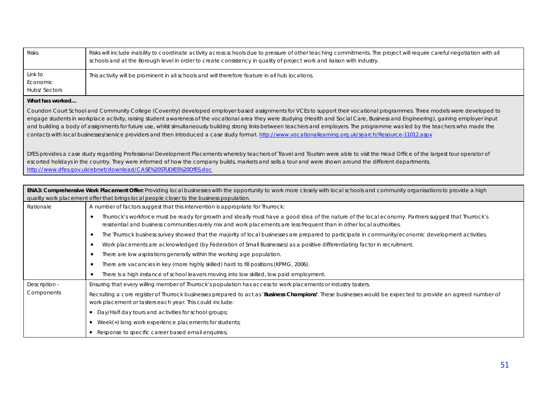| <b>Risks</b>                        | Risks will include inability to coordinate activity across schools due to pressure of other teaching commitments. The project will require careful negotiation with all<br>schools and at the Borough level in order to create consistency in quality of project work and liaison with industry. |
|-------------------------------------|--------------------------------------------------------------------------------------------------------------------------------------------------------------------------------------------------------------------------------------------------------------------------------------------------|
| Link to<br>Economic<br>Hubs/Sectors | This activity will be prominent in all schools and will therefore feature in all hub locations.                                                                                                                                                                                                  |

Coundon Court School and Community College (Coventry) developed employer based assignments for VCEs to support their vocational programmes. Three models were developed to engage students in workplace activity, raising student awareness of the vocational area they were studying (Health and Social Care, Business and Engineering), gaining employer input and building a body of assignments for future use, whilst simultaneously building strong links between teachers and employers. The programme was led by the teachers who made the contacts with local businesses/service providers and then introduced a case study format. http://www.vocationallearning.org.uk/search/Resource-11012.aspx

DfES provides a case study regarding Professional Development Placements whereby teachers of Travel and Tourism were able to visit the Head Office of the largest tour operator of escorted holidays in the country. They were informed of how the company builds, markets and sells a tour and were shown around the different departments. http://www.dfes.gov.uk/ebnet/download/CASE%20STUDIES%20DfES.doc

| <b>ENA3: Comprehensive Work Placement Offer:</b> Providing local businesses with the opportunity to work more closely with local schools and community organisations to provide a high<br>quality work placement offer that brings local people closer to the business population. |                                                                                                                                                                                                                                                                                |  |
|------------------------------------------------------------------------------------------------------------------------------------------------------------------------------------------------------------------------------------------------------------------------------------|--------------------------------------------------------------------------------------------------------------------------------------------------------------------------------------------------------------------------------------------------------------------------------|--|
| Rationale                                                                                                                                                                                                                                                                          | A number of factors suggest that this intervention is appropriate for Thurrock:                                                                                                                                                                                                |  |
|                                                                                                                                                                                                                                                                                    | Thurrock's workforce must be ready for growth and ideally must have a good idea of the nature of the local economy. Partners suggest that Thurrock's<br>residential and business communities rarely mix and work placements are less frequent than in other local authorities. |  |
|                                                                                                                                                                                                                                                                                    | The Thurrock business survey showed that the majority of local businesses are prepared to participate in community/economic development activities.                                                                                                                            |  |
|                                                                                                                                                                                                                                                                                    | Work placements are acknowledged (by Federation of Small Businesses) as a positive differentiating factor in recruitment.                                                                                                                                                      |  |
|                                                                                                                                                                                                                                                                                    | There are low aspirations generally within the working age population.                                                                                                                                                                                                         |  |
|                                                                                                                                                                                                                                                                                    | There are vacancies in key (more highly skilled) hard to fill positions (KPMG, 2006).                                                                                                                                                                                          |  |
|                                                                                                                                                                                                                                                                                    | There is a high instance of school leavers moving into low skilled, low paid employment.                                                                                                                                                                                       |  |
| Description -                                                                                                                                                                                                                                                                      | Ensuring that every willing member of Thurrock's population has access to work placements or industry tasters.                                                                                                                                                                 |  |
| Components                                                                                                                                                                                                                                                                         | Recruiting a core register of Thurrock businesses prepared to act as 'Business Champions'. These businesses would be expected to provide an agreed number of<br>work placement or tasters each year. This could include:                                                       |  |
|                                                                                                                                                                                                                                                                                    | • Day/Half day tours and activities for school groups;                                                                                                                                                                                                                         |  |
|                                                                                                                                                                                                                                                                                    | • Week $(*)$ long work experience placements for students;                                                                                                                                                                                                                     |  |
|                                                                                                                                                                                                                                                                                    | • Response to specific career based email enquiries;                                                                                                                                                                                                                           |  |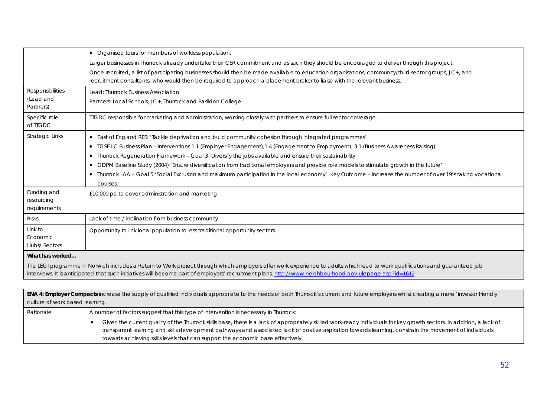|                                            | • Organised tours for members of workless population.                                                                                                                                                                                                                                                                                  |
|--------------------------------------------|----------------------------------------------------------------------------------------------------------------------------------------------------------------------------------------------------------------------------------------------------------------------------------------------------------------------------------------|
|                                            | Larger businesses in Thurrock already undertake their CSR commitment and as such they should be encouraged to deliver through this project.                                                                                                                                                                                            |
|                                            | Once recruited, a list of participating businesses should then be made available to education organisations, community/third sector groups, JC+, and<br>recruitment consultants, who would then be required to approach a placement broker to liaise with the relevant business.                                                       |
| Responsibilities<br>(Lead and<br>Partners) | Lead: Thurrock Business Association<br>Partners: Local Schools, JC+, Thurrock and Basildon College                                                                                                                                                                                                                                     |
| Specific role<br>of TTGDC                  | TIGDC responsible for marketing and administration, working closely with partners to ensure full sector coverage.                                                                                                                                                                                                                      |
| <b>Strategic Links</b>                     | • East of England RES: 'Tackle deprivation and build community cohesion through integrated programmes'                                                                                                                                                                                                                                 |
|                                            | • TGSE IIC Business Plan - Interventions 1.1 (Employer Engagement), 1.4 (Engagement to Employment), 3.1 (Business Awareness Raising)                                                                                                                                                                                                   |
|                                            | Thurrock Regeneration Framework - Goal 3 'Diversify the jobs available and ensure their sustainability'                                                                                                                                                                                                                                |
|                                            | • ODPM Baseline Study (2004) 'Ensure diversification from traditional employers and provide role models to stimulate growth in the future'                                                                                                                                                                                             |
|                                            | • Thurrock LAA - Goal 5 'Social Exclusion and maximum participation in the local economy'. Key Outcome - Increase the number of over 19's taking vocational<br>courses.                                                                                                                                                                |
| Funding and<br>resourcing<br>requirements  | £10,000 pa to cover administration and marketing.                                                                                                                                                                                                                                                                                      |
| <b>Risks</b>                               | Lack of time / inclination from business community                                                                                                                                                                                                                                                                                     |
| Link to<br>Economic<br>Hubs/Sectors        | Opportunity to link local population to less traditional opportunity sectors.                                                                                                                                                                                                                                                          |
| What has worked                            |                                                                                                                                                                                                                                                                                                                                        |
|                                            | The LEGI programme in Norwich includes a Return to Work project through which employers offer work experience to adults which lead to work qualifications and guaranteed job<br>interviews. It is anticipated that such initiatives will become part of employers' recruitment plans. http://www.neighbourhood.gov.uk/page.asp?id=1612 |
|                                            |                                                                                                                                                                                                                                                                                                                                        |

| <b>ENA 4: Employer Compacts</b> increase the supply of qualified individuals appropriate to the needs of both Thurrock's current and future employers whilst creating a more 'investor friendly' |                                                                                                                                                                                                                                                                                                                                                                                                                     |  |
|--------------------------------------------------------------------------------------------------------------------------------------------------------------------------------------------------|---------------------------------------------------------------------------------------------------------------------------------------------------------------------------------------------------------------------------------------------------------------------------------------------------------------------------------------------------------------------------------------------------------------------|--|
| culture of work based learning.                                                                                                                                                                  |                                                                                                                                                                                                                                                                                                                                                                                                                     |  |
| Rationale                                                                                                                                                                                        | A number of factors suggest that this type of intervention is necessary in Thurrock:                                                                                                                                                                                                                                                                                                                                |  |
|                                                                                                                                                                                                  | Given the current quality of the Thurrock skills base, there is a lack of appropriately skilled work-ready individuals for key growth sectors. In addition, a lack of<br>transparent learning and skills development pathways and associated lack of positive aspiration towards learning, constrain the movement of individuals<br>towards achieving skills levels that can support the economic base effectively. |  |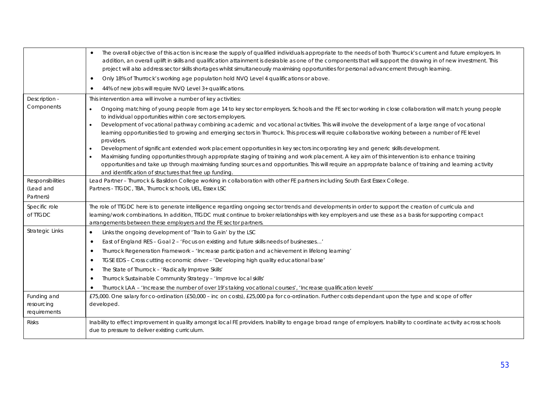|                                           | The overall objective of this action is increase the supply of qualified individuals appropriate to the needs of both Thurrock's current and future employers. In<br>$\bullet$<br>addition, an overall uplift in skills and qualification attainment is desirable as one of the components that will support the drawing in of new investment. This<br>project will also address sector skills shortages whilst simultaneously maximising opportunities for personal advancement through learning. |
|-------------------------------------------|----------------------------------------------------------------------------------------------------------------------------------------------------------------------------------------------------------------------------------------------------------------------------------------------------------------------------------------------------------------------------------------------------------------------------------------------------------------------------------------------------|
|                                           | Only 18% of Thurrock's working age population hold NVQ Level 4 qualifications or above.<br>$\bullet$                                                                                                                                                                                                                                                                                                                                                                                               |
|                                           | 44% of new jobs will require NVQ Level 3+ qualifications.<br>$\bullet$                                                                                                                                                                                                                                                                                                                                                                                                                             |
| Description -                             | This intervention area will involve a number of key activities:                                                                                                                                                                                                                                                                                                                                                                                                                                    |
| Components                                | Ongoing matching of young people from age 14 to key sector employers. Schools and the FE sector working in close collaboration will match young people<br>$\bullet$<br>to individual opportunities within core sectors employers.                                                                                                                                                                                                                                                                  |
|                                           | Development of vocational pathway combining academic and vocational activities. This will involve the development of a large range of vocational<br>$\bullet$<br>learning opportunities tied to growing and emerging sectors in Thurrock. This process will require collaborative working between a number of FE level<br>providers.                                                                                                                                                               |
|                                           | Development of significant extended work placement opportunities in key sectors incorporating key and generic skills development.                                                                                                                                                                                                                                                                                                                                                                  |
|                                           | Maximising funding opportunities through appropriate staging of training and work placement. A key aim of this intervention is to enhance training<br>opportunities and take up through maximising funding sources and opportunities. This will require an appropriate balance of training and learning activity<br>and identification of structures that free up funding.                                                                                                                         |
| Responsibilities                          | Lead Partner - Thurrock & Basildon College working in collaboration with other FE partners including South East Essex College.                                                                                                                                                                                                                                                                                                                                                                     |
| (Lead and                                 | Partners - TTGDC, TBA, Thurrock schools, UEL, Essex LSC                                                                                                                                                                                                                                                                                                                                                                                                                                            |
| Partners)                                 |                                                                                                                                                                                                                                                                                                                                                                                                                                                                                                    |
|                                           |                                                                                                                                                                                                                                                                                                                                                                                                                                                                                                    |
| Specific role                             | The role of TIGDC here is to generate intelligence regarding ongoing sector trends and developments in order to support the creation of curricula and                                                                                                                                                                                                                                                                                                                                              |
| of TTGDC                                  | learning/work combinations. In addition, TIGDC must continue to broker relationships with key employers and use these as a basis for supporting compact                                                                                                                                                                                                                                                                                                                                            |
| <b>Strategic Links</b>                    | arrangements between these employers and the FE sector partners.<br>Links the ongoing development of 'Train to Gain' by the LSC<br>$\bullet$                                                                                                                                                                                                                                                                                                                                                       |
|                                           | East of England RES - Goal 2 - 'Focus on existing and future skills needs of businesses'<br>$\bullet$                                                                                                                                                                                                                                                                                                                                                                                              |
|                                           | Thurrock Regeneration Framework - 'Increase participation and achievement in lifelong learning'<br>٠                                                                                                                                                                                                                                                                                                                                                                                               |
|                                           | TGSE EDS - Cross cutting economic driver - 'Developing high quality educational base'<br>٠                                                                                                                                                                                                                                                                                                                                                                                                         |
|                                           | The State of Thurrock - 'Radically Improve Skills'<br>٠                                                                                                                                                                                                                                                                                                                                                                                                                                            |
|                                           | Thurrock Sustainable Community Strategy - 'Improve local skills'<br>٠                                                                                                                                                                                                                                                                                                                                                                                                                              |
|                                           | Thurrock LAA - 'Increase the number of over 19's taking vocational courses', 'Increase qualification levels'                                                                                                                                                                                                                                                                                                                                                                                       |
| Funding and<br>resourcing<br>requirements | £75,000. One salary for co-ordination (£50,000 - inc on costs), £25,000 pa for co-ordination. Further costs dependant upon the type and scope of offer<br>developed.                                                                                                                                                                                                                                                                                                                               |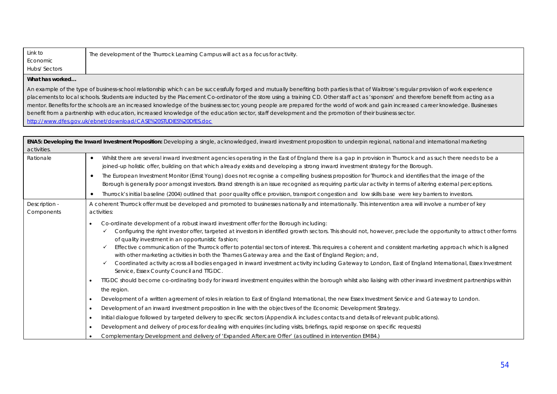| Link to             | The development of the Thurrock Learning Campus will act as a focus for activity. |
|---------------------|-----------------------------------------------------------------------------------|
| Economic            |                                                                                   |
| <b>Hubs/Sectors</b> |                                                                                   |

An example of the type of business-school relationship which can be successfully forged and mutually benefiting both parties is that of Waitrose's regular provision of work experience placements to local schools. Students are inducted by the Placement Co-ordinator of the store using a training CD. Other staff act as 'sponsors' and therefore benefit from acting as a mentor. Benefits for the schools are an increased knowledge of the business sector; young people are prepared for the world of work and gain increased career knowledge. Businesses benefit from a partnership with education, increased knowledge of the education sector, staff development and the promotion of their business sector. http://www.dfes.gov.uk/ebnet/download/CASE%20STUDIES%20DfES.doc

| activities.                 | ENA5: Developing the Inward Investment Proposition: Developing a single, acknowledged, inward investment proposition to underpin regional, national and international marketing                                                                                                                                                                                                                                                                                                                                                                                                                                                                                                                                                                                                                                                                                                                                                                                                                                                 |  |  |
|-----------------------------|---------------------------------------------------------------------------------------------------------------------------------------------------------------------------------------------------------------------------------------------------------------------------------------------------------------------------------------------------------------------------------------------------------------------------------------------------------------------------------------------------------------------------------------------------------------------------------------------------------------------------------------------------------------------------------------------------------------------------------------------------------------------------------------------------------------------------------------------------------------------------------------------------------------------------------------------------------------------------------------------------------------------------------|--|--|
| Rationale                   | Whilst there are several inward investment agencies operating in the East of England there is a gap in provision in Thurrock and as such there needs to be a<br>$\bullet$<br>joined-up holistic offer, building on that which already exists and developing a strong inward investment strategy for the Borough.                                                                                                                                                                                                                                                                                                                                                                                                                                                                                                                                                                                                                                                                                                                |  |  |
|                             | The European Investment Monitor (Ernst Young) does not recognise a compelling business proposition for Thurrock and identifies that the image of the<br>$\bullet$<br>Borough is generally poor amongst investors. Brand strength is an issue recognised as requiring particular activity in terms of altering external perceptions.                                                                                                                                                                                                                                                                                                                                                                                                                                                                                                                                                                                                                                                                                             |  |  |
|                             | Thurrock's initial baseline (2004) outlined that poor quality office provision, transport congestion and low skills base were key barriers to investors.<br>$\bullet$                                                                                                                                                                                                                                                                                                                                                                                                                                                                                                                                                                                                                                                                                                                                                                                                                                                           |  |  |
| Description -<br>Components | A coherent Thurrock offer must be developed and promoted to businesses nationally and internationally. This intervention area will involve a number of key<br>activities:                                                                                                                                                                                                                                                                                                                                                                                                                                                                                                                                                                                                                                                                                                                                                                                                                                                       |  |  |
|                             | Co-ordinate development of a robust inward investment offer for the Borough including:<br>$\bullet$<br>Configuring the right investor offer, targeted at investors in identified growth sectors. This should not, however, preclude the opportunity to attract other forms<br>of quality investment in an opportunistic fashion;<br>Effective communication of the Thurrock offer to potential sectors of interest. This requires a coherent and consistent marketing approach which is aligned<br>$\checkmark$<br>with other marketing activities in both the Thames Gateway area and the East of England Region; and,<br>Coordinated activity across all bodies engaged in inward investment activity including Gateway to London, East of England International, Essex Investment<br>Service, Essex County Council and TTGDC.<br>TIGDC should become co-ordinating body for inward investment enquiries within the borough whilst also liaising with other inward investment partnerships within<br>$\bullet$<br>the region. |  |  |
|                             | Development of a written agreement of roles in relation to East of England International, the new Essex Investment Service and Gateway to London.<br>$\bullet$<br>Development of an inward investment proposition in line with the objectives of the Economic Development Strategy.<br>$\bullet$                                                                                                                                                                                                                                                                                                                                                                                                                                                                                                                                                                                                                                                                                                                                |  |  |
|                             | Initial dialogue followed by targeted delivery to specific sectors (Appendix A includes contacts and details of relevant publications).<br>$\bullet$                                                                                                                                                                                                                                                                                                                                                                                                                                                                                                                                                                                                                                                                                                                                                                                                                                                                            |  |  |
|                             | Development and delivery of process for dealing with enguiries (including visits, briefings, rapid response on specific requests)<br>$\bullet$                                                                                                                                                                                                                                                                                                                                                                                                                                                                                                                                                                                                                                                                                                                                                                                                                                                                                  |  |  |
|                             | Complementary Development and delivery of 'Expanded Aftercare Offer' (as outlined in intervention EMB4.)<br>$\bullet$                                                                                                                                                                                                                                                                                                                                                                                                                                                                                                                                                                                                                                                                                                                                                                                                                                                                                                           |  |  |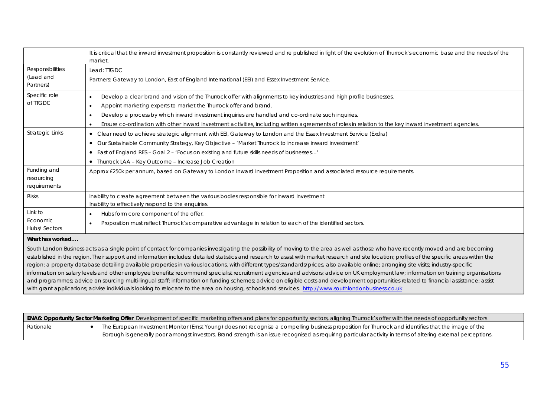|                         | It is critical that the inward investment proposition is constantly reviewed and re published in light of the evolution of Thurrock's economic base and the needs of the            |
|-------------------------|-------------------------------------------------------------------------------------------------------------------------------------------------------------------------------------|
|                         | market.                                                                                                                                                                             |
| <b>Responsibilities</b> | Lead: TIGDC                                                                                                                                                                         |
| (Lead and               | Partners: Gateway to London, East of England International (EEI) and Essex Investment Service.                                                                                      |
| Partners)               |                                                                                                                                                                                     |
| Specific role           | Develop a clear brand and vision of the Thurrock offer with alignments to key industries and high profile businesses.                                                               |
| of TTGDC                | Appoint marketing experts to market the Thurrock offer and brand.                                                                                                                   |
|                         | Develop a process by which inward investment inquiries are handled and co-ordinate such inquiries.<br>٠                                                                             |
|                         | Ensure co-ordination with other inward investment activities, including written agreements of roles in relation to the key inward investment agencies.                              |
| <b>Strategic Links</b>  | • Clear need to achieve strategic alignment with EEI, Gateway to London and the Essex Investment Service (Exdra)                                                                    |
|                         | Our Sustainable Community Strategy, Key Objective - 'Market Thurrock to increase inward investment'<br>$\bullet$                                                                    |
|                         | • East of England RES - Goal 2 - 'Focus on existing and future skills needs of businesses'                                                                                          |
|                         | • Thurrock LAA - Key Outcome - Increase Job Creation                                                                                                                                |
| Funding and             | Approx £250k per annum, based on Gateway to London Inward Investment Proposition and associated resource requirements.                                                              |
| resourcing              |                                                                                                                                                                                     |
| requirements            |                                                                                                                                                                                     |
| <b>Risks</b>            | Inability to create agreement between the various bodies responsible for inward investment                                                                                          |
|                         | Inability to effectively respond to the enquiries.                                                                                                                                  |
| Link to                 | Hubs form core component of the offer.<br>٠                                                                                                                                         |
| Economic                | Proposition must reflect Thurrock's comparative advantage in relation to each of the identified sectors.                                                                            |
| Hubs/Sectors            |                                                                                                                                                                                     |
| What has worked         |                                                                                                                                                                                     |
|                         | South London Rusiness acts as a single point of contact for companies investigating the possibility of moving to the area as well as those who have recently moved and are becoming |

.ondon Business acts as a single point of contact for companies investigating the possibility of moving to the area as well as those who have recently moved and are becoming established in the region. Their support and information includes: detailed statistics and research to assist with market research and site location; profiles of the specific areas within the region; a property database detailing available properties in various locations, with different types/standards/prices, also available online; arranging site visits; industry-specific information on salary levels and other employee benefits; recommend specialist recruitment agencies and advisors; advice on UK employment law; information on training organisations and programmes; advice on sourcing multi-lingual staff; information on funding schemes; advice on eligible costs and development opportunities related to financial assistance; assist with grant applications; advise individuals looking to relocate to the area on housing, schools and services. http://www.southlondonbusiness.co.uk

| ENA6: Opportunity Sector Marketing Offer Development of specific marketing offers and plans for opportunity sectors, aligning Thurrock's offer with the needs of opportunity sectors |  |                                                                                                                                                                |
|--------------------------------------------------------------------------------------------------------------------------------------------------------------------------------------|--|----------------------------------------------------------------------------------------------------------------------------------------------------------------|
| Rationale                                                                                                                                                                            |  | The European Investment Monitor (Ernst Young) does not recognise a compelling business proposition for Thurrock and identifies that the image of the           |
|                                                                                                                                                                                      |  | Borough is generally poor amongst investors. Brand strength is an issue recognised as requiring particular activity in terms of altering external perceptions. |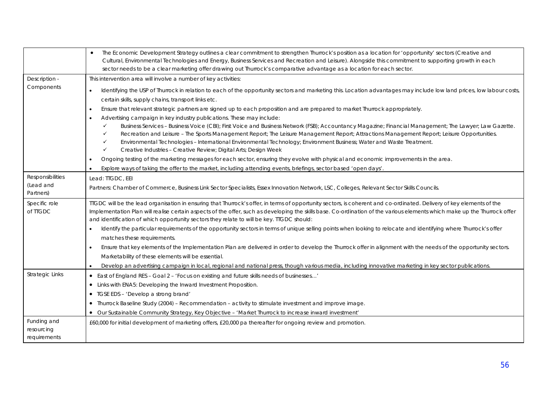|                                            | The Economic Development Strategy outlines a clear commitment to strengthen Thurrock's position as a location for 'opportunity' sectors (Creative and<br>$\bullet$<br>Cultural, Environmental Technologies and Energy, Business Services and Recreation and Leisure). Alongside this commitment to supporting growth in each<br>sector needs to be a clear marketing offer drawing out Thurrock's comparative advantage as a location for each sector.                                                                                                                                                               |
|--------------------------------------------|----------------------------------------------------------------------------------------------------------------------------------------------------------------------------------------------------------------------------------------------------------------------------------------------------------------------------------------------------------------------------------------------------------------------------------------------------------------------------------------------------------------------------------------------------------------------------------------------------------------------|
| Description -                              | This intervention area will involve a number of key activities:                                                                                                                                                                                                                                                                                                                                                                                                                                                                                                                                                      |
| Components                                 | Identifying the USP of Thurrock in relation to each of the opportunity sectors and marketing this. Location advantages may include low land prices, low labour costs,<br>$\bullet$<br>certain skills, supply chains, transport links etc.                                                                                                                                                                                                                                                                                                                                                                            |
|                                            | Ensure that relevant strategic partners are signed up to each proposition and are prepared to market Thurrock appropriately.<br>$\bullet$                                                                                                                                                                                                                                                                                                                                                                                                                                                                            |
|                                            | Advertising campaign in key industry publications. These may include:<br>$\bullet$                                                                                                                                                                                                                                                                                                                                                                                                                                                                                                                                   |
|                                            | ✓<br>Business Services - Business Voice (CBI); First Voice and Business Network (FSB); Accountancy Magazine; Financial Management; The Lawyer; Law Gazette.<br>✓<br>Recreation and Leisure – The Sports Management Report; The Leisure Management Report; Attractions Management Report; Leisure Opportunities.<br>$\checkmark$<br>Environmental Technologies - International Environmental Technology; Environment Business; Water and Waste Treatment.<br>$\checkmark$<br>Creative Industries - Creative Review; Digital Arts; Design Week                                                                         |
|                                            | Ongoing testing of the marketing messages for each sector, ensuring they evolve with physical and economic improvements in the area.                                                                                                                                                                                                                                                                                                                                                                                                                                                                                 |
|                                            | Explore ways of taking the offer to the market, including attending events, briefings, sector based 'open days'.                                                                                                                                                                                                                                                                                                                                                                                                                                                                                                     |
| Responsibilities<br>(Lead and<br>Partners) | Lead: TTGDC, EEI<br>Partners: Chamber of Commerce, Business Link Sector Specialists, Essex Innovation Network, LSC, Colleges, Relevant Sector Skills Councils.                                                                                                                                                                                                                                                                                                                                                                                                                                                       |
| Specific role<br>of TTGDC                  | TIGDC will be the lead organisation in ensuring that Thurrock's offer, in terms of opportunity sectors, is coherent and co-ordinated. Delivery of key elements of the<br>Implementation Plan will realise certain aspects of the offer, such as developing the skills base. Co-ordination of the various elements which make up the Thurrock offer<br>and identification of which opportunity sectors they relate to will be key. TIGDC should:<br>Identify the particular requirements of the opportunity sectors in terms of unique selling points when looking to relocate and identifying where Thurrock's offer |
|                                            | matches these requirements.                                                                                                                                                                                                                                                                                                                                                                                                                                                                                                                                                                                          |
|                                            | Ensure that key elements of the Implementation Plan are delivered in order to develop the Thurrock offer in alignment with the needs of the opportunity sectors.<br>$\bullet$<br>Marketability of these elements will be essential.                                                                                                                                                                                                                                                                                                                                                                                  |
|                                            | Develop an advertising campaign in local, regional and national press, though various media, including innovative marketing in key sector publications.<br>$\bullet$                                                                                                                                                                                                                                                                                                                                                                                                                                                 |
| <b>Strategic Links</b>                     | East of England RES - Goal 2 - 'Focus on existing and future skills needs of businesses'<br>$\bullet$<br>• Links with ENA5: Developing the Inward Investment Proposition.                                                                                                                                                                                                                                                                                                                                                                                                                                            |
|                                            | • TGSE EDS - 'Develop a strong brand'                                                                                                                                                                                                                                                                                                                                                                                                                                                                                                                                                                                |
|                                            | • Thurrock Baseline Study (2004) - Recommendation - activity to stimulate investment and improve image.                                                                                                                                                                                                                                                                                                                                                                                                                                                                                                              |
|                                            | • Our Sustainable Community Strategy, Key Objective - 'Market Thurrock to increase inward investment'                                                                                                                                                                                                                                                                                                                                                                                                                                                                                                                |
| Funding and                                | £60,000 for initial development of marketing offers, £20,000 pa thereafter for ongoing review and promotion.                                                                                                                                                                                                                                                                                                                                                                                                                                                                                                         |
| resourcing                                 |                                                                                                                                                                                                                                                                                                                                                                                                                                                                                                                                                                                                                      |
| requirements                               |                                                                                                                                                                                                                                                                                                                                                                                                                                                                                                                                                                                                                      |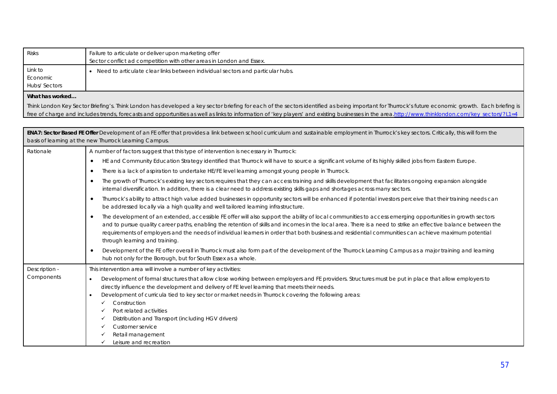| <b>Risks</b>    | Failure to articulate or deliver upon marketing offer                                                                                                                                                                                                                                                                                                                                                                                                                                                                              |  |
|-----------------|------------------------------------------------------------------------------------------------------------------------------------------------------------------------------------------------------------------------------------------------------------------------------------------------------------------------------------------------------------------------------------------------------------------------------------------------------------------------------------------------------------------------------------|--|
|                 | Sector conflict ad competition with other areas in London and Essex.                                                                                                                                                                                                                                                                                                                                                                                                                                                               |  |
| Link to         | • Need to articulate clear links between individual sectors and particular hubs.                                                                                                                                                                                                                                                                                                                                                                                                                                                   |  |
| Economic        |                                                                                                                                                                                                                                                                                                                                                                                                                                                                                                                                    |  |
| Hubs/ Sectors   |                                                                                                                                                                                                                                                                                                                                                                                                                                                                                                                                    |  |
| What has worked |                                                                                                                                                                                                                                                                                                                                                                                                                                                                                                                                    |  |
|                 | Think London Key Sector Briefing's. Think London has developed a key sector briefing for each of the sectors identified as being important for Thurrock's future economic growth. Each briefing is                                                                                                                                                                                                                                                                                                                                 |  |
|                 | free of charge and includes trends, forecasts and opportunities as well as links to information of 'key players' and existing businesses in the area.http://www.thinklondon.com/key sectors/?L1=4                                                                                                                                                                                                                                                                                                                                  |  |
|                 |                                                                                                                                                                                                                                                                                                                                                                                                                                                                                                                                    |  |
|                 | ENA7: Sector Based FE Offer Development of an FE offer that provides a link between school curriculum and sustainable employment in Thurrock's key sectors. Critically, this will form the                                                                                                                                                                                                                                                                                                                                         |  |
|                 | basis of learning at the new Thurrock Learning Campus.                                                                                                                                                                                                                                                                                                                                                                                                                                                                             |  |
| Rationale       | A number of factors suggest that this type of intervention is necessary in Thurrock:                                                                                                                                                                                                                                                                                                                                                                                                                                               |  |
|                 | HE and Community Education Strategy identified that Thurrock will have to source a significant volume of its highly skilled jobs from Eastern Europe.<br>$\bullet$                                                                                                                                                                                                                                                                                                                                                                 |  |
|                 | There is a lack of aspiration to undertake HE/FE level learning amongst young people in Thurrock.<br>$\bullet$                                                                                                                                                                                                                                                                                                                                                                                                                     |  |
|                 | The growth of Thurrock's existing key sectors requires that they can access training and skills development that facilitates ongoing expansion alongside<br>$\bullet$<br>internal diversification. In addition, there is a clear need to address existing skills gaps and shortages across many sectors.                                                                                                                                                                                                                           |  |
|                 | Thurrock's ability to attract high value added businesses in opportunity sectors will be enhanced if potential investors perceive that their training needs can<br>$\bullet$<br>be addressed locally via a high quality and well tailored learning infrastructure.                                                                                                                                                                                                                                                                 |  |
|                 | The development of an extended, accessible FE offer will also support the ability of local communities to access emerging opportunities in growth sectors<br>$\bullet$<br>and to pursue quality career paths, enabling the retention of skills and incomes in the local area. There is a need to strike an effective balance between the<br>requirements of employers and the needs of individual learners in order that both business and residential communities can achieve maximum potential<br>through learning and training. |  |
|                 | Development of the FE offer overall in Thurrock must also form part of the development of the Thurrock Learning Campus as a major training and learning<br>$\bullet$<br>hub not only for the Borough, but for South Essex as a whole.                                                                                                                                                                                                                                                                                              |  |
| Description -   | This intervention area will involve a number of key activities:                                                                                                                                                                                                                                                                                                                                                                                                                                                                    |  |
| Components      | Development of formal structures that allow close working between employers and FE providers. Structures must be put in place that allow employers to                                                                                                                                                                                                                                                                                                                                                                              |  |
|                 | directly influence the development and delivery of FE level learning that meets their needs.                                                                                                                                                                                                                                                                                                                                                                                                                                       |  |
|                 | Development of curricula tied to key sector or market needs in Thurrock covering the following areas:                                                                                                                                                                                                                                                                                                                                                                                                                              |  |
|                 | Construction<br>$\checkmark$                                                                                                                                                                                                                                                                                                                                                                                                                                                                                                       |  |
|                 | Port related activities<br>✓                                                                                                                                                                                                                                                                                                                                                                                                                                                                                                       |  |
|                 | Distribution and Transport (including HGV drivers)<br>✓                                                                                                                                                                                                                                                                                                                                                                                                                                                                            |  |
|                 | Customer service<br>✓                                                                                                                                                                                                                                                                                                                                                                                                                                                                                                              |  |
|                 | Retail management                                                                                                                                                                                                                                                                                                                                                                                                                                                                                                                  |  |
|                 | Leisure and recreation<br>$\checkmark$                                                                                                                                                                                                                                                                                                                                                                                                                                                                                             |  |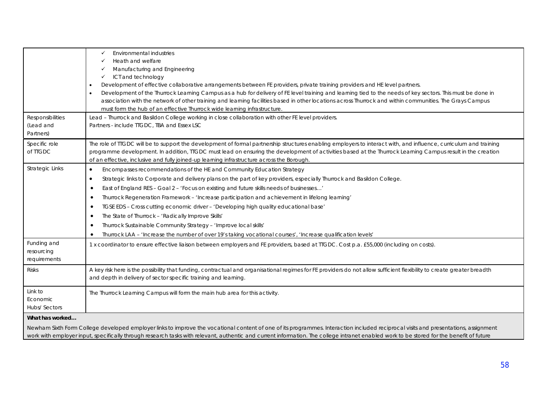| Responsibilities<br>(Lead and<br>Partners) | Environmental industries<br>✓<br>Heath and welfare<br>Manufacturing and Engineering<br>ICT and technology<br>✓<br>Development of effective collaborative arrangements between FE providers, private training providers and HE level partners.<br>Development of the Thurrock Learning Campus as a hub for delivery of FE level training and learning tied to the needs of key sectors. This must be done in<br>association with the network of other training and learning facilities based in other locations across Thurrock and within communities. The Grays Campus<br>must form the hub of an effective Thurrock wide learning infrastructure.<br>Lead - Thurrock and Basildon College working in close collaboration with other FE level providers.<br>Partners - include TIGDC, TBA and Essex LSC    |
|--------------------------------------------|-------------------------------------------------------------------------------------------------------------------------------------------------------------------------------------------------------------------------------------------------------------------------------------------------------------------------------------------------------------------------------------------------------------------------------------------------------------------------------------------------------------------------------------------------------------------------------------------------------------------------------------------------------------------------------------------------------------------------------------------------------------------------------------------------------------|
| Specific role<br>of TIGDC                  | The role of TIGDC will be to support the development of formal partnership structures enabling employers to interact with, and influence, curriculum and training<br>programme development. In addition, TIGDC must lead on ensuring the development of activities based at the Thurrock Learning Campus result in the creation<br>of an effective, inclusive and fully joined-up learning infrastructure across the Borough.                                                                                                                                                                                                                                                                                                                                                                               |
| <b>Strategic Links</b>                     | Encompasses recommendations of the HE and Community Education Strategy<br>$\bullet$<br>Strategic links to Corporate and delivery plans on the part of key providers, especially Thurrock and Basildon College.<br>$\bullet$<br>East of England RES - Goal 2 - 'Focus on existing and future skills needs of businesses'<br>٠<br>Thurrock Regeneration Framework - 'Increase participation and achievement in lifelong learning'<br>$\bullet$<br>TGSE EDS - Cross cutting economic driver - 'Developing high quality educational base'<br>$\bullet$<br>The State of Thurrock - 'Radically Improve Skills'<br>٠<br>Thurrock Sustainable Community Strategy - 'Improve local skills'<br>٠<br>Thurrock LAA - 'Increase the number of over 19's taking vocational courses', 'Increase qualification levels'<br>٠ |
| Funding and<br>resourcing<br>requirements  | 1 x coordinator to ensure effective liaison between employers and FE providers, based at TTGDC. Cost p.a. £55,000 (including on costs).                                                                                                                                                                                                                                                                                                                                                                                                                                                                                                                                                                                                                                                                     |
| <b>Risks</b>                               | A key risk here is the possibility that funding, contractual and organisational regimes for FE providers do not allow sufficient flexibility to create greater breadth<br>and depth in delivery of sector specific training and learning.                                                                                                                                                                                                                                                                                                                                                                                                                                                                                                                                                                   |
| Link to<br>Economic<br>Hubs/Sectors        | The Thurrock Learning Campus will form the main hub area for this activity.                                                                                                                                                                                                                                                                                                                                                                                                                                                                                                                                                                                                                                                                                                                                 |
| What has worked                            | Newham Sixth Form College developed employer links to improve the vocational content of one of its programmes. Interaction included reciprocal visits and presentations, assignment<br>work with employer input, specifically through research tasks with relevant, authentic and current information. The college intranet enabled work to be stored for the benefit of future                                                                                                                                                                                                                                                                                                                                                                                                                             |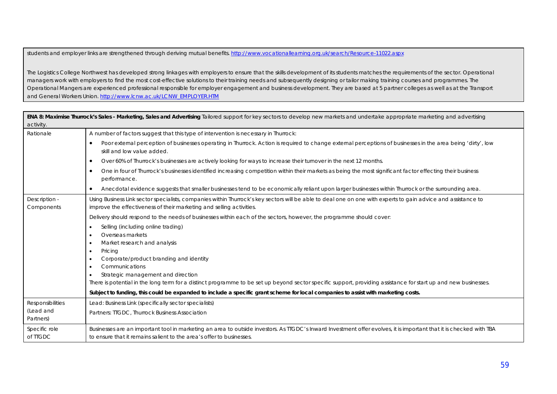students and employer links are strengthened through deriving mutual benefits. http://www.vocationallearning.org.uk/search/Resource-11022.aspx

The Logistics College Northwest has developed strong linkages with employers to ensure that the skills development of its students matches the requirements of the sector. Operational managers work with employers to find the most cost-effective solutions to their training needs and subsequently designing or tailor making training courses and programmes. The Operational Mangers are experienced professional responsible for employer engagement and business development. They are based at 5 partner colleges as well as at the Transport and General Workers Union. http://www.lcnw.ac.uk/LCNW\_EMPLOYER.HTM

| activity.                   | ENA 8: Maximise Thurrock's Sales - Marketing, Sales and Advertising Tailored support for key sectors to develop new markets and undertake appropriate marketing and advertising                                                       |
|-----------------------------|---------------------------------------------------------------------------------------------------------------------------------------------------------------------------------------------------------------------------------------|
| Rationale                   | A number of factors suggest that this type of intervention is necessary in Thurrock:                                                                                                                                                  |
|                             | Poor external perception of businesses operating in Thurrock. Action is required to change external perceptions of businesses in the area being 'dirty', low<br>٠<br>skill and low value added.                                       |
|                             | Over 60% of Thurrock's businesses are actively looking for ways to increase their turnover in the next 12 months.<br>$\bullet$                                                                                                        |
|                             | One in four of Thurrock's businesses identified increasing competition within their markets as being the most significant factor effecting their business<br>$\bullet$<br>performance.                                                |
|                             | Anecdotal evidence suggests that smaller businesses tend to be economically reliant upon larger businesses within Thurrock or the surrounding area.<br>$\bullet$                                                                      |
| Description -<br>Components | Using Business Link sector specialists, companies within Thurrock's key sectors will be able to deal one on one with experts to gain advice and assistance to<br>improve the effectiveness of their marketing and selling activities. |
|                             | Delivery should respond to the needs of businesses within each of the sectors, however, the programme should cover:                                                                                                                   |
|                             | Selling (including online trading)                                                                                                                                                                                                    |
|                             | Overseas markets                                                                                                                                                                                                                      |
|                             | Market research and analysis<br>٠                                                                                                                                                                                                     |
|                             | Pricing                                                                                                                                                                                                                               |
|                             | Corporate/product branding and identity<br>Communications                                                                                                                                                                             |
|                             | ٠<br>Strategic management and direction<br>٠                                                                                                                                                                                          |
|                             | There is potential in the long term for a distinct programme to be set up beyond sector specific support, providing assistance for start up and new businesses.                                                                       |
|                             | Subject to funding, this could be expanded to include a specific grant scheme for local companies to assist with marketing costs.                                                                                                     |
| Responsibilities            | Lead: Business Link (specifically sector specialists)                                                                                                                                                                                 |
| (Lead and<br>Partners)      | Partners: TTGDC, Thurrock Business Association                                                                                                                                                                                        |
| Specific role               | Businesses are an important tool in marketing an area to outside investors. As TIGDC's Inward Investment offer evolves, it is important that it is checked with TBA                                                                   |
| of TTGDC                    | to ensure that it remains salient to the area's offer to businesses.                                                                                                                                                                  |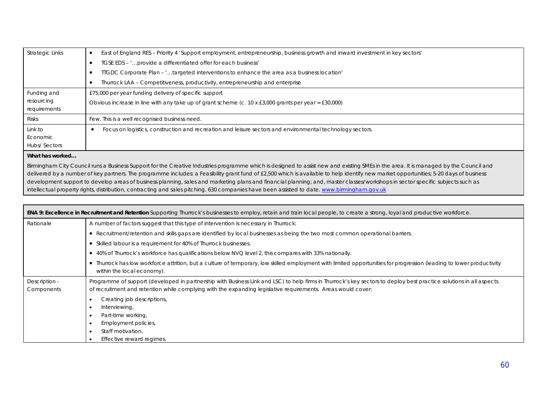| Strategic Links                     | East of England RES – Priority 4 'Support employment, entrepreneurship, business growth and inward investment in key sectors' |
|-------------------------------------|-------------------------------------------------------------------------------------------------------------------------------|
|                                     | TGSE EDS - ' provide a differentiated offer for each business'                                                                |
|                                     | TIGDC Corporate Plan - 'targeted interventions to enhance the area as a business location'                                    |
|                                     | Thurrock LAA - Competitiveness, productivity, entrepreneurship and enterprise                                                 |
| Funding and                         | £75,000 per year funding delivery of specific support                                                                         |
| resourcing<br>requirements          | Obvious increase in line with any take up of grant scheme (c. $10 \times £3,000$ grants per year = £30,000)                   |
| <b>Risks</b>                        | Few. This is a well recognised business need.                                                                                 |
| Link to<br>Economic<br>Hubs/Sectors | Focus on logistics, construction and recreation and leisure sectors and environmental technology sectors.                     |
|                                     |                                                                                                                               |

Birmingham City Council runs a Business Support for the Creative Industries programme which is designed to assist new and existing SMEs in the area. It is managed by the Council and delivered by a number of key partners. The programme includes: a Feasibility grant fund of £2,500 which is available to help identify new market opportunities; 5-20 days of business development support to develop areas of business planning, sales and marketing plans and financial planning; and, master classes/workshops in sector specific subjects such as intellectual property rights, distribution, contracting and sales pitching. 630 companies have been assisted to date. www.birmingham.gov.uk

| ENA 9: Excellence in Recruitment and Retention Supporting Thurrock's businesses to employ, retain and train local people, to create a strong, loyal and productive workforce. |                                                                                                                                                                                                                                                                                     |  |
|-------------------------------------------------------------------------------------------------------------------------------------------------------------------------------|-------------------------------------------------------------------------------------------------------------------------------------------------------------------------------------------------------------------------------------------------------------------------------------|--|
| Rationale                                                                                                                                                                     | A number of factors suggest that this type of intervention is necessary in Thurrock:                                                                                                                                                                                                |  |
|                                                                                                                                                                               | • Recruitment/retention and skills gaps are identified by local businesses as being the two most common operational barriers.                                                                                                                                                       |  |
|                                                                                                                                                                               | • Skilled labour is a requirement for 40% of Thurrock businesses.                                                                                                                                                                                                                   |  |
|                                                                                                                                                                               | • 40% of Thurrock's workforce has qualifications below NVQ level 2, this compares with 33% nationally.                                                                                                                                                                              |  |
|                                                                                                                                                                               | • Thurrock has low workforce attrition, but a culture of temporary, low skilled employment with limited opportunities for progression (leading to lower productivity<br>within the local economy).                                                                                  |  |
| Description -<br>Components                                                                                                                                                   | Programme of support (developed in partnership with Business Link and LSC) to help firms in Thurrock's key sectors to deploy best practice solutions in all aspects<br>of recruitment and retention while complying with the expanding legislative requirements. Areas would cover: |  |
|                                                                                                                                                                               | Creating job descriptions,                                                                                                                                                                                                                                                          |  |
|                                                                                                                                                                               | Interviewing,                                                                                                                                                                                                                                                                       |  |
|                                                                                                                                                                               | Part-time working,                                                                                                                                                                                                                                                                  |  |
|                                                                                                                                                                               | Employment policies,                                                                                                                                                                                                                                                                |  |
|                                                                                                                                                                               | Staff motivation.                                                                                                                                                                                                                                                                   |  |
|                                                                                                                                                                               | Effective reward regimes.                                                                                                                                                                                                                                                           |  |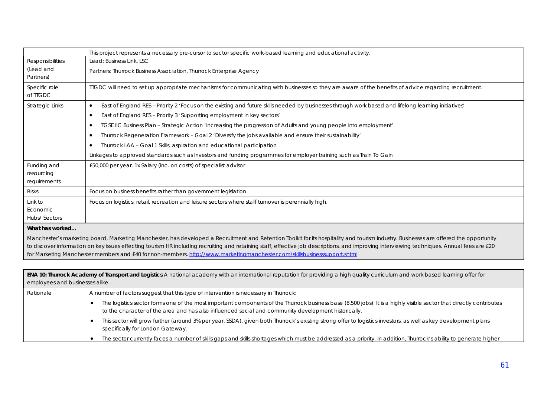|                                     | This project represents a necessary pre-cursor to sector specific work-based learning and educational activity.                                                                                                                                                                                                                                                                                                                                                                                                                                                                                                                                                                                                                                                                |
|-------------------------------------|--------------------------------------------------------------------------------------------------------------------------------------------------------------------------------------------------------------------------------------------------------------------------------------------------------------------------------------------------------------------------------------------------------------------------------------------------------------------------------------------------------------------------------------------------------------------------------------------------------------------------------------------------------------------------------------------------------------------------------------------------------------------------------|
| <b>Responsibilities</b>             | Lead: Business Link, LSC                                                                                                                                                                                                                                                                                                                                                                                                                                                                                                                                                                                                                                                                                                                                                       |
| (Lead and<br>Partners)              | Partners: Thurrock Business Association, Thurrock Enterprise Agency                                                                                                                                                                                                                                                                                                                                                                                                                                                                                                                                                                                                                                                                                                            |
| Specific role<br>of ITGDC           | TIGDC will need to set up appropriate mechanisms for communicating with businesses so they are aware of the benefits of advice regarding recruitment.                                                                                                                                                                                                                                                                                                                                                                                                                                                                                                                                                                                                                          |
| Strategic Links<br>Funding and      | East of England RES - Priority 2 'Focus on the existing and future skills needed by businesses through work based and lifelong learning initiatives'<br>$\bullet$<br>East of England RES - Priority 3 'Supporting employment in key sectors'<br>$\bullet$<br>TGSE IIC Business Plan – Strategic Action 'Increasing the progression of Adults and young people into employment'<br>٠<br>Thurrock Regeneration Framework - Goal 2 'Diversify the jobs available and ensure their sustainability'<br>٠<br>Thurrock LAA - Goal 1 Skills, aspiration and educational participation<br>٠<br>Linkages to approved standards such as Investors and funding programmes for employer training such as Train To Gain<br>£50,000 per year. 1x Salary (inc. on costs) of specialist advisor |
| resourcing<br>requirements          |                                                                                                                                                                                                                                                                                                                                                                                                                                                                                                                                                                                                                                                                                                                                                                                |
| <b>Risks</b>                        | Focus on business benefits rather than government legislation.                                                                                                                                                                                                                                                                                                                                                                                                                                                                                                                                                                                                                                                                                                                 |
| Link to<br>Economic<br>Hubs/Sectors | Focus on logistics, retail, recreation and leisure sectors where staff turnover is perennially high.                                                                                                                                                                                                                                                                                                                                                                                                                                                                                                                                                                                                                                                                           |
| What has worked                     | Manchester's marketing board, Marketing Manchester, has developed a Recruitment and Retention Toolkit for its hospitality and tourism industry. Businesses are offered the opportunity<br>to discover information on key issues effecting tourism HR including recruiting and retaining staff, effective job descriptions, and improving interviewing techniques. Annual fees are £20                                                                                                                                                                                                                                                                                                                                                                                          |

| ENA 10: Thurrock Academy of Transport and Logistics A national academy with an international reputation for providing a high quality curriculum and work based learning offer for<br>employees and businesses alike. |                                                                                      |                                                                                                                                                                                                                                                                            |
|----------------------------------------------------------------------------------------------------------------------------------------------------------------------------------------------------------------------|--------------------------------------------------------------------------------------|----------------------------------------------------------------------------------------------------------------------------------------------------------------------------------------------------------------------------------------------------------------------------|
| Rationale                                                                                                                                                                                                            | A number of factors suggest that this type of intervention is necessary in Thurrock: |                                                                                                                                                                                                                                                                            |
|                                                                                                                                                                                                                      |                                                                                      | The logistics sector forms one of the most important components of the Thurrock business base (8,500 jobs). It is a highly visible sector that directly contributes<br>to the character of the area and has also influenced social and community development historically. |
|                                                                                                                                                                                                                      |                                                                                      | This sector will grow further (around 3% per year, SSDA), given both Thurrock's existing strong offer to logistics investors, as well as key development plans<br>specifically for London Gateway.                                                                         |
|                                                                                                                                                                                                                      |                                                                                      | The sector currently faces a number of skills gaps and skills shortages which must be addressed as a priority. In addition, Thurrock's ability to generate higher                                                                                                          |

for Marketing Manchester members and £40 for non-members. http://www.marketingmanchester.com/skillsbusinesssupport.shtml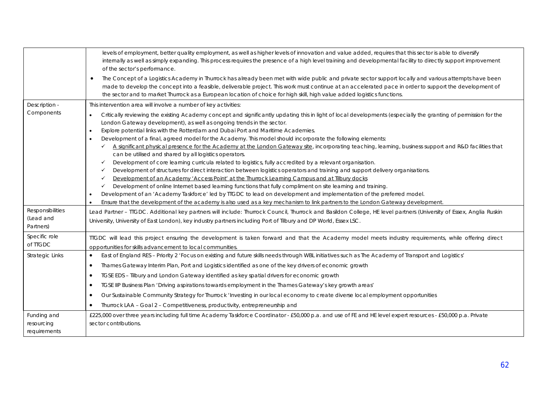|                                            | levels of employment, better quality employment, as well as higher levels of innovation and value added, requires that this sector is able to diversify<br>internally as well as simply expanding. This process requires the presence of a high level training and developmental facility to directly support improvement<br>of the sector's performance.                                                                                                                                                                                                                                                                                                                                                                                                                                                                                                                                                                                                                                                                                                                                                                                                                                       |
|--------------------------------------------|-------------------------------------------------------------------------------------------------------------------------------------------------------------------------------------------------------------------------------------------------------------------------------------------------------------------------------------------------------------------------------------------------------------------------------------------------------------------------------------------------------------------------------------------------------------------------------------------------------------------------------------------------------------------------------------------------------------------------------------------------------------------------------------------------------------------------------------------------------------------------------------------------------------------------------------------------------------------------------------------------------------------------------------------------------------------------------------------------------------------------------------------------------------------------------------------------|
|                                            | The Concept of a Logistics Academy in Thurrock has already been met with wide public and private sector support locally and various attempts have been<br>made to develop the concept into a feasible, deliverable project. This work must continue at an accelerated pace in order to support the development of<br>the sector and to market Thurrock as a European location of choice for high skill, high value added logistics functions.                                                                                                                                                                                                                                                                                                                                                                                                                                                                                                                                                                                                                                                                                                                                                   |
| Description -                              | This intervention area will involve a number of key activities:                                                                                                                                                                                                                                                                                                                                                                                                                                                                                                                                                                                                                                                                                                                                                                                                                                                                                                                                                                                                                                                                                                                                 |
| Components                                 | Critically reviewing the existing Academy concept and significantly updating this in light of local developments (especially the granting of permission for the<br>$\bullet$<br>London Gateway development), as well as ongoing trends in the sector.<br>Explore potential links with the Rotterdam and Dubai Port and Maritime Academies.<br>$\bullet$<br>Development of a final, agreed model for the Academy. This model should incorporate the following elements:<br>$\bullet$<br>A significant physical presence for the Academy at the London Gateway site, incorporating teaching, learning, business support and R&D facilities that<br>✓<br>can be utilised and shared by all logistics operators.<br>Development of core learning curricula related to logistics, fully accredited by a relevant organisation.<br>✓<br>Development of structures for direct interaction between logistics operators and training and support delivery organisations.<br>✓<br>Development of an Academy 'Access Point' at the Thurrock Learning Campus and at Tilbury docks<br>✓<br>Development of online Internet based learning functions that fully compliment on site learning and training.<br>✓ |
|                                            | Development of an 'Academy Taskforce' led by TTGDC to lead on development and implementation of the preferred model.                                                                                                                                                                                                                                                                                                                                                                                                                                                                                                                                                                                                                                                                                                                                                                                                                                                                                                                                                                                                                                                                            |
|                                            | Ensure that the development of the academy is also used as a key mechanism to link partners to the London Gateway development.                                                                                                                                                                                                                                                                                                                                                                                                                                                                                                                                                                                                                                                                                                                                                                                                                                                                                                                                                                                                                                                                  |
| Responsibilities<br>(Lead and<br>Partners) | Lead Partner - TTGDC. Additional key partners will include: Thurrock Council, Thurrock and Basildon College, HE level partners (University of Essex, Anglia Ruskin<br>University, University of East London), key industry partners including Port of Tilbury and DP World, Essex LSC.                                                                                                                                                                                                                                                                                                                                                                                                                                                                                                                                                                                                                                                                                                                                                                                                                                                                                                          |
| Specific role<br>of TTGDC                  | TIGDC will lead this project ensuring the development is taken forward and that the Academy model meets industry requirements, while offering direct<br>opportunities for skills advancement to local communities.                                                                                                                                                                                                                                                                                                                                                                                                                                                                                                                                                                                                                                                                                                                                                                                                                                                                                                                                                                              |
| <b>Strategic Links</b>                     | East of England RES - Priority 2 'Focus on existing and future skills needs through WBL initiatives such as The Academy of Transport and Logistics'                                                                                                                                                                                                                                                                                                                                                                                                                                                                                                                                                                                                                                                                                                                                                                                                                                                                                                                                                                                                                                             |
|                                            | Thames Gateway Interim Plan, Port and Logistics identified as one of the key drivers of economic growth<br>$\bullet$                                                                                                                                                                                                                                                                                                                                                                                                                                                                                                                                                                                                                                                                                                                                                                                                                                                                                                                                                                                                                                                                            |
|                                            | TGSE EDS - Tilbury and London Gateway identified as key spatial drivers for economic growth<br>٠                                                                                                                                                                                                                                                                                                                                                                                                                                                                                                                                                                                                                                                                                                                                                                                                                                                                                                                                                                                                                                                                                                |
|                                            | TGSE IIP Business Plan 'Driving aspirations towards employment in the Thames Gateway's key growth areas'<br>$\bullet$                                                                                                                                                                                                                                                                                                                                                                                                                                                                                                                                                                                                                                                                                                                                                                                                                                                                                                                                                                                                                                                                           |
|                                            | Our Sustainable Community Strategy for Thurrock 'Investing in our local economy to create diverse local employment opportunities<br>٠                                                                                                                                                                                                                                                                                                                                                                                                                                                                                                                                                                                                                                                                                                                                                                                                                                                                                                                                                                                                                                                           |
|                                            | Thurrock LAA - Goal 2 - Competitiveness, productivity, entrepreneurship and                                                                                                                                                                                                                                                                                                                                                                                                                                                                                                                                                                                                                                                                                                                                                                                                                                                                                                                                                                                                                                                                                                                     |
| Funding and                                | £225,000 over three years including full time Academy Taskforce Coordinator - £50,000 p.a. and use of FE and HE level expert resources - £50,000 p.a. Private                                                                                                                                                                                                                                                                                                                                                                                                                                                                                                                                                                                                                                                                                                                                                                                                                                                                                                                                                                                                                                   |
| resourcing<br>requirements                 | sector contributions.                                                                                                                                                                                                                                                                                                                                                                                                                                                                                                                                                                                                                                                                                                                                                                                                                                                                                                                                                                                                                                                                                                                                                                           |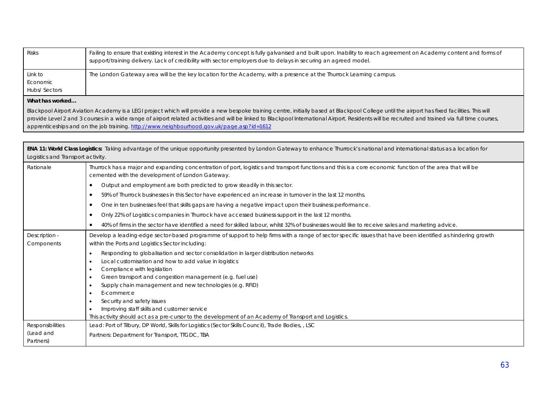| <b>Risks</b>                                                                                      | Failing to ensure that existing interest in the Academy concept is fully galvanised and built upon. Inability to reach agreement on Academy content and forms of<br>support/training delivery. Lack of credibility with sector employers due to delays in securing an agreed model. |
|---------------------------------------------------------------------------------------------------|-------------------------------------------------------------------------------------------------------------------------------------------------------------------------------------------------------------------------------------------------------------------------------------|
| Link to                                                                                           | The London Gateway area will be the key location for the Academy, with a presence at the Thurrock Learning campus.                                                                                                                                                                  |
| Economic                                                                                          |                                                                                                                                                                                                                                                                                     |
| <b>Hubs/Sectors</b>                                                                               |                                                                                                                                                                                                                                                                                     |
| $\blacksquare$ <b>1871</b> and <b>1.</b> Let $\blacksquare$ and $\blacksquare$ and $\blacksquare$ |                                                                                                                                                                                                                                                                                     |

Blackpool Airport Aviation Academy is a LEGI project which will provide a new bespoke training centre, initially based at Blackpool College until the airport has fixed facilities. This will provide Level 2 and 3 courses in a wide range of airport related activities and will be linked to Blackpool International Airport. Residents will be recruited and trained via full time courses, apprenticeships and on the job training. http://www.neighbourhood.gov.uk/page.asp?id=1612

| ENA 11: World Class Logistics: Taking advantage of the unique opportunity presented by London Gateway to enhance Thurrock's national and international status as a location for<br>Logistics and Transport activity. |                                                                                                                                                                                                                                                                                                                                                                                                                                                                                                           |  |
|----------------------------------------------------------------------------------------------------------------------------------------------------------------------------------------------------------------------|-----------------------------------------------------------------------------------------------------------------------------------------------------------------------------------------------------------------------------------------------------------------------------------------------------------------------------------------------------------------------------------------------------------------------------------------------------------------------------------------------------------|--|
| Rationale                                                                                                                                                                                                            | Thurrock has a major and expanding concentration of port, logistics and transport functions and this is a core economic function of the area that will be<br>cemented with the development of London Gateway.                                                                                                                                                                                                                                                                                             |  |
|                                                                                                                                                                                                                      | Output and employment are both predicted to grow steadily in this sector.<br>٠                                                                                                                                                                                                                                                                                                                                                                                                                            |  |
|                                                                                                                                                                                                                      | 59% of Thurrock businesses in this Sector have experienced an increase in turnover in the last 12 months.<br>٠                                                                                                                                                                                                                                                                                                                                                                                            |  |
|                                                                                                                                                                                                                      | One in ten businesses feel that skills gaps are having a negative impact upon their business performance.<br>٠                                                                                                                                                                                                                                                                                                                                                                                            |  |
|                                                                                                                                                                                                                      | Only 22% of Logistics companies in Thurrock have accessed business support in the last 12 months.<br>٠                                                                                                                                                                                                                                                                                                                                                                                                    |  |
|                                                                                                                                                                                                                      | 40% of firms in the sector have identified a need for skilled labour, whilst 32% of businesses would like to receive sales and marketing advice.                                                                                                                                                                                                                                                                                                                                                          |  |
| Description -<br>Components                                                                                                                                                                                          | Develop a leading-edge sector-based programme of support to help firms with a range of sector specific issues that have been identified as hindering growth<br>within the Ports and Logistics Sector including:                                                                                                                                                                                                                                                                                           |  |
|                                                                                                                                                                                                                      | Responding to globalisation and sector consolidation in larger distribution networks<br>Local customisation and how to add value in logistics<br>Compliance with legislation<br>Green transport and congestion management (e.g. fuel use)<br>Supply chain management and new technologies (e.g. RFID)<br>E-commerce<br>Security and safety issues<br>Improving staff skills and customer service<br>This activity should act as a pre-cursor to the development of an Academy of Transport and Logistics. |  |
| Responsibilities<br>(Lead and<br>Partners)                                                                                                                                                                           | Lead: Port of Tilbury, DP World, Skills for Logistics (Sector Skills Council), Trade Bodies, , LSC<br>Partners: Department for Transport, TTGDC, TBA                                                                                                                                                                                                                                                                                                                                                      |  |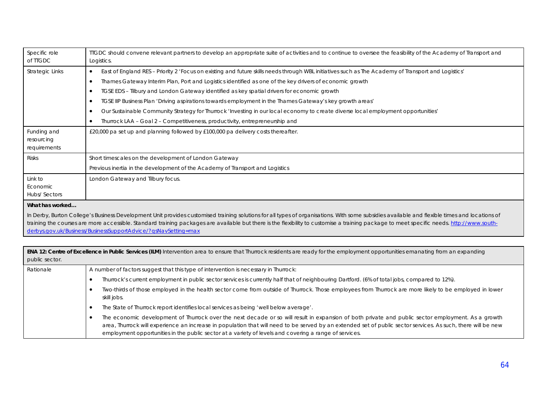| Specific role<br>of TIGDC                                                                                                                                                                                                                                                                                                                                                                                                                                    | TIGDC should convene relevant partners to develop an appropriate suite of activities and to continue to oversee the feasibility of the Academy of Transport and<br>Logistics. |
|--------------------------------------------------------------------------------------------------------------------------------------------------------------------------------------------------------------------------------------------------------------------------------------------------------------------------------------------------------------------------------------------------------------------------------------------------------------|-------------------------------------------------------------------------------------------------------------------------------------------------------------------------------|
| Strategic Links                                                                                                                                                                                                                                                                                                                                                                                                                                              | East of England RES - Priority 2 'Focus on existing and future skills needs through WBL initiatives such as The Academy of Transport and Logistics'<br>$\bullet$              |
|                                                                                                                                                                                                                                                                                                                                                                                                                                                              | Thames Gateway Interim Plan, Port and Logistics identified as one of the key drivers of economic growth<br>$\bullet$                                                          |
|                                                                                                                                                                                                                                                                                                                                                                                                                                                              | TGSE EDS - Tilbury and London Gateway identified as key spatial drivers for economic growth<br>$\bullet$                                                                      |
|                                                                                                                                                                                                                                                                                                                                                                                                                                                              | TGSE IIP Business Plan 'Driving aspirations towards employment in the Thames Gateway's key growth areas'<br>$\bullet$                                                         |
|                                                                                                                                                                                                                                                                                                                                                                                                                                                              | Our Sustainable Community Strategy for Thurrock 'Investing in our local economy to create diverse local employment opportunities'<br>$\bullet$                                |
|                                                                                                                                                                                                                                                                                                                                                                                                                                                              | Thurrock LAA - Goal 2 - Competitiveness, productivity, entrepreneurship and                                                                                                   |
| Funding and<br>resourcing<br>requirements                                                                                                                                                                                                                                                                                                                                                                                                                    | £20,000 pa set up and planning followed by £100,000 pa delivery costs thereafter.                                                                                             |
| <b>Risks</b>                                                                                                                                                                                                                                                                                                                                                                                                                                                 | Short timescales on the development of London Gateway                                                                                                                         |
|                                                                                                                                                                                                                                                                                                                                                                                                                                                              | Previous inertia in the development of the Academy of Transport and Logistics                                                                                                 |
| Link to<br>Economic<br>Hubs/Sectors                                                                                                                                                                                                                                                                                                                                                                                                                          | London Gateway and Tilbury focus.                                                                                                                                             |
| What has worked                                                                                                                                                                                                                                                                                                                                                                                                                                              |                                                                                                                                                                               |
| In Derby, Burton College's Business Development Unit provides customised training solutions for all types of organisations. With some subsidies available and flexible times and locations of<br>training the courses are more accessible. Standard training packages are available but there is the flexibility to customise a training package to meet specific needs. http://www.south-<br>derbys.gov.uk/Business/BusinessSupportAdvice/?gsNavSetting=max |                                                                                                                                                                               |

**ENA 12: Centre of Excellence in Public Services (ILM)** Intervention area to ensure that Thurrock residents are ready for the employment opportunities emanating from an expanding public sector.

| Rationale | A number of factors suggest that this type of intervention is necessary in Thurrock:                                                                                                                                                                                                                                                                                                                                          |
|-----------|-------------------------------------------------------------------------------------------------------------------------------------------------------------------------------------------------------------------------------------------------------------------------------------------------------------------------------------------------------------------------------------------------------------------------------|
|           | Thurrock's current employment in public sector services is currently half that of neighbouring Dartford. (6% of total jobs, compared to 12%).                                                                                                                                                                                                                                                                                 |
|           | Two-thirds of those employed in the health sector come from outside of Thurrock. Those employees from Thurrock are more likely to be employed in lower<br>skill jobs.                                                                                                                                                                                                                                                         |
|           | The State of Thurrock report identifies local services as being 'well below average'.                                                                                                                                                                                                                                                                                                                                         |
|           | The economic development of Thurrock over the next decade or so will result in expansion of both private and public sector employment. As a growth<br>area, Thurrock will experience an increase in population that will need to be served by an extended set of public sector services. As such, there will be new<br>employment opportunities in the public sector at a variety of levels and covering a range of services. |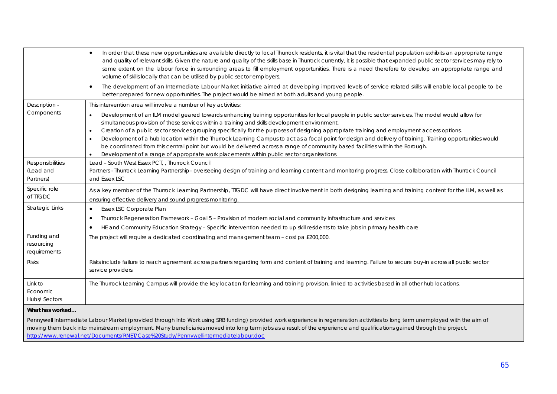|                                           | In order that these new opportunities are available directly to local Thurrock residents, it is vital that the residential population exhibits an appropriate range<br>$\bullet$<br>and quality of relevant skills. Given the nature and quality of the skills base in Thurrock currently, it is possible that expanded public sector services may rely to<br>some extent on the labour force in surrounding areas to fill employment opportunities. There is a need therefore to develop an appropriate range and<br>volume of skills locally that can be utilised by public sector employers.<br>The development of an Intermediate Labour Market initiative aimed at developing improved levels of service related skills will enable local people to be<br>$\bullet$<br>better prepared for new opportunities. The project would be aimed at both adults and young people. |
|-------------------------------------------|--------------------------------------------------------------------------------------------------------------------------------------------------------------------------------------------------------------------------------------------------------------------------------------------------------------------------------------------------------------------------------------------------------------------------------------------------------------------------------------------------------------------------------------------------------------------------------------------------------------------------------------------------------------------------------------------------------------------------------------------------------------------------------------------------------------------------------------------------------------------------------|
| Description -                             | This intervention area will involve a number of key activities:                                                                                                                                                                                                                                                                                                                                                                                                                                                                                                                                                                                                                                                                                                                                                                                                                |
| Components                                | Development of an ILM model geared towards enhancing training opportunities for local people in public sector services. The model would allow for<br>$\bullet$<br>simultaneous provision of these services within a training and skills development environment.<br>Creation of a public sector services grouping specifically for the purposes of designing appropriate training and employment access options.<br>$\bullet$<br>Development of a hub location within the Thurrock Learning Campus to act as a focal point for design and delivery of training. Training opportunities would<br>$\bullet$<br>be coordinated from this central point but would be delivered across a range of community based facilities within the Borough.<br>Development of a range of appropriate work placements within public sector organisations.                                       |
| Responsibilities                          | Lead - South West Essex PCT, , Thurrock Council                                                                                                                                                                                                                                                                                                                                                                                                                                                                                                                                                                                                                                                                                                                                                                                                                                |
| (Lead and<br>Partners)                    | Partners - Thurrock Learning Partnership- overseeing design of training and learning content and monitoring progress. Close collaboration with Thurrock Council<br>and Essex LSC                                                                                                                                                                                                                                                                                                                                                                                                                                                                                                                                                                                                                                                                                               |
| Specific role<br>of TTGDC                 | As a key member of the Thurrock Learning Partnership, TTGDC will have direct involvement in both designing learning and training content for the ILM, as well as<br>ensuring effective delivery and sound progress monitoring.                                                                                                                                                                                                                                                                                                                                                                                                                                                                                                                                                                                                                                                 |
| <b>Strategic Links</b>                    | Essex LSC Corporate Plan<br>$\bullet$                                                                                                                                                                                                                                                                                                                                                                                                                                                                                                                                                                                                                                                                                                                                                                                                                                          |
|                                           | Thurrock Regeneration Framework - Goal 5 - Provision of modern social and community infrastructure and services<br>٠                                                                                                                                                                                                                                                                                                                                                                                                                                                                                                                                                                                                                                                                                                                                                           |
|                                           | HE and Community Education Strategy - Specific intervention needed to up skill residents to take jobs in primary health care<br>$\bullet$                                                                                                                                                                                                                                                                                                                                                                                                                                                                                                                                                                                                                                                                                                                                      |
| Funding and<br>resourcing<br>requirements | The project will require a dedicated coordinating and management team - cost pa £200,000.                                                                                                                                                                                                                                                                                                                                                                                                                                                                                                                                                                                                                                                                                                                                                                                      |
| <b>Risks</b>                              | Risks include failure to reach agreement across partners regarding form and content of training and learning. Failure to secure buy-in across all public sector<br>service providers.                                                                                                                                                                                                                                                                                                                                                                                                                                                                                                                                                                                                                                                                                          |
| Link to<br>Economic<br>Hubs/ Sectors      | The Thurrock Learning Campus will provide the key location for learning and training provision, linked to activities based in all other hub locations.                                                                                                                                                                                                                                                                                                                                                                                                                                                                                                                                                                                                                                                                                                                         |
| What has worked                           |                                                                                                                                                                                                                                                                                                                                                                                                                                                                                                                                                                                                                                                                                                                                                                                                                                                                                |
|                                           | Pennywell Intermediate Labour Market (provided through Into Work using SRB funding) provided work experience in regeneration activities to long term unemployed with the aim of<br>moving them back into mainstream employment. Many beneficiaries moved into long term jobs as a result of the experience and qualifications gained through the project.<br>http://www.renewal.net/Documents/RNET/Case%20Study/Pennywellintermediatelabour.doc                                                                                                                                                                                                                                                                                                                                                                                                                                |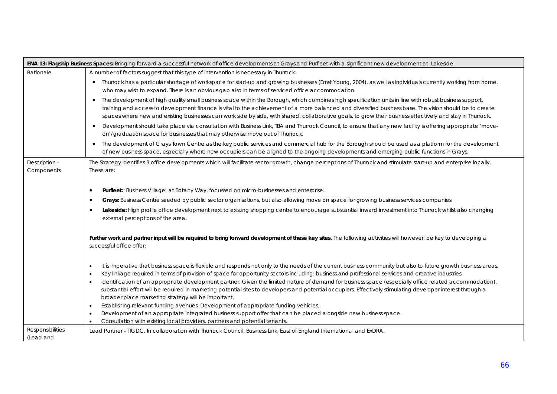|                               | ENA 13: Flagship Business Spaces: Bringing forward a successful network of office developments at Grays and Purfleet with a significant new development at Lakeside.                                                                                                                                                                                                                                                                                                                                                                                                                                                                                                                                                                                                                                                                                                                                                                                                               |
|-------------------------------|------------------------------------------------------------------------------------------------------------------------------------------------------------------------------------------------------------------------------------------------------------------------------------------------------------------------------------------------------------------------------------------------------------------------------------------------------------------------------------------------------------------------------------------------------------------------------------------------------------------------------------------------------------------------------------------------------------------------------------------------------------------------------------------------------------------------------------------------------------------------------------------------------------------------------------------------------------------------------------|
| Rationale                     | A number of factors suggest that this type of intervention is necessary in Thurrock:                                                                                                                                                                                                                                                                                                                                                                                                                                                                                                                                                                                                                                                                                                                                                                                                                                                                                               |
|                               | Thurrock has a particular shortage of workspace for start-up and growing businesses (Ernst Young, 2004), as well as individuals currently working from home,<br>$\bullet$<br>who may wish to expand. There is an obvious gap also in terms of serviced office accommodation.                                                                                                                                                                                                                                                                                                                                                                                                                                                                                                                                                                                                                                                                                                       |
|                               | The development of high quality small business space within the Borough, which combines high specification units in line with robust business support,<br>$\bullet$<br>training and access to development finance is vital to the achievement of a more balanced and diversified business base. The vision should be to create<br>spaces where new and existing businesses can work side by side, with shared, collaborative goals, to grow their business effectively and stay in Thurrock.                                                                                                                                                                                                                                                                                                                                                                                                                                                                                       |
|                               | Development should take place via consultation with Business Link, TBA and Thurrock Council, to ensure that any new facility is offering appropriate 'move-<br>$\bullet$<br>on'/graduation space for businesses that may otherwise move out of Thurrock.                                                                                                                                                                                                                                                                                                                                                                                                                                                                                                                                                                                                                                                                                                                           |
|                               | The development of Grays Town Centre as the key public services and commercial hub for the Borough should be used as a platform for the development<br>$\bullet$<br>of new business space, especially where new occupiers can be aligned to the ongoing developments and emerging public functions in Grays.                                                                                                                                                                                                                                                                                                                                                                                                                                                                                                                                                                                                                                                                       |
| Description -<br>Components   | The Strategy identifies 3 office developments which will facilitate sector growth, change perceptions of Thurrock and stimulate start-up and enterprise locally.<br>These are:                                                                                                                                                                                                                                                                                                                                                                                                                                                                                                                                                                                                                                                                                                                                                                                                     |
|                               | Purfleet: 'Business Village' at Botany Way, focussed on micro-businesses and enterprise.<br>$\bullet$                                                                                                                                                                                                                                                                                                                                                                                                                                                                                                                                                                                                                                                                                                                                                                                                                                                                              |
|                               | Grays: Business Centre seeded by public sector organisations, but also allowing move on space for growing business services companies<br>٠                                                                                                                                                                                                                                                                                                                                                                                                                                                                                                                                                                                                                                                                                                                                                                                                                                         |
|                               | Lakeside: High profile office development next to existing shopping centre to encourage substantial inward investment into Thurrock whilst also changing<br>$\bullet$<br>external perceptions of the area.                                                                                                                                                                                                                                                                                                                                                                                                                                                                                                                                                                                                                                                                                                                                                                         |
|                               | Further work and partner input will be required to bring forward development of these key sites. The following activities will however, be key to developing a<br>successful office offer:                                                                                                                                                                                                                                                                                                                                                                                                                                                                                                                                                                                                                                                                                                                                                                                         |
|                               | It is imperative that business space is flexible and responds not only to the needs of the current business community but also to future growth business areas.<br>$\bullet$<br>Key linkage required in terms of provision of space for opportunity sectors including: business and professional services and creative industries.<br>$\bullet$<br>Identification of an appropriate development partner. Given the limited nature of demand for business space (especially office related accommodation),<br>$\bullet$<br>substantial effort will be required in marketing potential sites to developers and potential occupiers. Effectively stimulating developer interest through a<br>broader place marketing strategy will be important.<br>Establishing relevant funding avenues. Development of appropriate funding vehicles.<br>$\bullet$<br>Development of an appropriate integrated business support offer that can be placed alongside new business space.<br>$\bullet$ |
|                               | Consultation with existing local providers, partners and potential tenants.                                                                                                                                                                                                                                                                                                                                                                                                                                                                                                                                                                                                                                                                                                                                                                                                                                                                                                        |
| Responsibilities<br>(Lead and | Lead Partner -TTGDC. In collaboration with Thurrock Council, Business Link, East of England International and ExDRA.                                                                                                                                                                                                                                                                                                                                                                                                                                                                                                                                                                                                                                                                                                                                                                                                                                                               |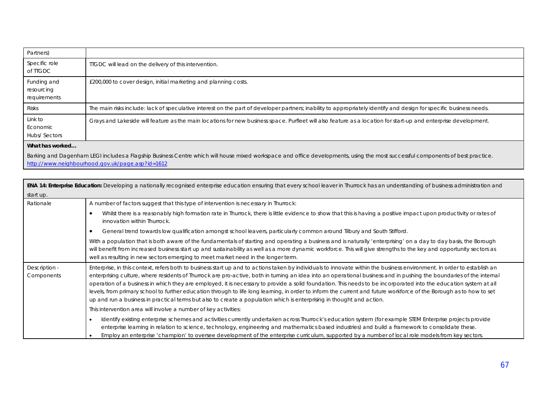| Partners)                                 |                                                                                                                                                                     |
|-------------------------------------------|---------------------------------------------------------------------------------------------------------------------------------------------------------------------|
| Specific role<br>of TIGDC                 | TIGDC will lead on the delivery of this intervention.                                                                                                               |
| Funding and<br>resourcing<br>requirements | £200,000 to cover design, initial marketing and planning costs.                                                                                                     |
| <b>Risks</b>                              | The main risks include: lack of speculative interest on the part of developer partners; inability to appropriately identify and design for specific business needs. |
| Link to<br>Economic<br>Hubs/Sectors       | Grays and Lakeside will feature as the main locations for new business space. Purfleet will also feature as a location for start-up and enterprise development.     |
| What has worked                           |                                                                                                                                                                     |

Barking and Dagenham LEGI includes a Flagship Business Centre which will house mixed workspace and office developments, using the most successful components of best practice. http://www.neighbourhood.gov.uk/page.asp?id=1612

 $\blacksquare$ 

|                             | <b>ENA 14: Enterprise Education:</b> Developing a nationally recognised enterprise education ensuring that every school leaver in Thurrock has an understanding of business administration and                                                                                                                                                                                                                                                                                                                                                                                                                                                                                                                                                                                                                       |
|-----------------------------|----------------------------------------------------------------------------------------------------------------------------------------------------------------------------------------------------------------------------------------------------------------------------------------------------------------------------------------------------------------------------------------------------------------------------------------------------------------------------------------------------------------------------------------------------------------------------------------------------------------------------------------------------------------------------------------------------------------------------------------------------------------------------------------------------------------------|
| start up.                   |                                                                                                                                                                                                                                                                                                                                                                                                                                                                                                                                                                                                                                                                                                                                                                                                                      |
| Rationale                   | A number of factors suggest that this type of intervention is necessary in Thurrock:                                                                                                                                                                                                                                                                                                                                                                                                                                                                                                                                                                                                                                                                                                                                 |
|                             | Whilst there is a reasonably high formation rate in Thurrock, there is little evidence to show that this is having a positive impact upon productivity or rates of<br>innovation within Thurrock.                                                                                                                                                                                                                                                                                                                                                                                                                                                                                                                                                                                                                    |
|                             | General trend towards low qualification amongst school leavers, particularly common around Tilbury and South Stifford.                                                                                                                                                                                                                                                                                                                                                                                                                                                                                                                                                                                                                                                                                               |
|                             | With a population that is both aware of the fundamentals of starting and operating a business and is naturally 'enterprising' on a day to day basis, the Borough<br>will benefit from increased business start up and sustainability as well as a more dynamic workforce. This will give strengths to the key and opportunity sectors as<br>well as resulting in new sectors emerging to meet market need in the longer term.                                                                                                                                                                                                                                                                                                                                                                                        |
| Description -<br>Components | Enterprise, in this context, refers both to business start up and to actions taken by individuals to innovate within the business environment. In order to establish an<br>enterprising culture, where residents of Thurrock are pro-active, both in turning an idea into an operational business and in pushing the boundaries of the internal<br>operation of a business in which they are employed, it is necessary to provide a solid foundation. This needs to be incorporated into the education system at all<br>levels, from primary school to further education through to life long learning, in order to inform the current and future workforce of the Borough as to how to set<br>up and run a business in practical terms but also to create a population which is enterprising in thought and action. |
|                             | This intervention area will involve a number of key activities:                                                                                                                                                                                                                                                                                                                                                                                                                                                                                                                                                                                                                                                                                                                                                      |
|                             | Identify existing enterprise schemes and activities currently undertaken across Thurrock's education system (for example STEM Enterprise projects provide<br>enterprise learning in relation to science, technology, engineering and mathematics based industries) and build a framework to consolidate these.<br>Employ an enterprise 'champion' to oversee development of the enterprise curriculum, supported by a number of local role models from key sectors.                                                                                                                                                                                                                                                                                                                                                  |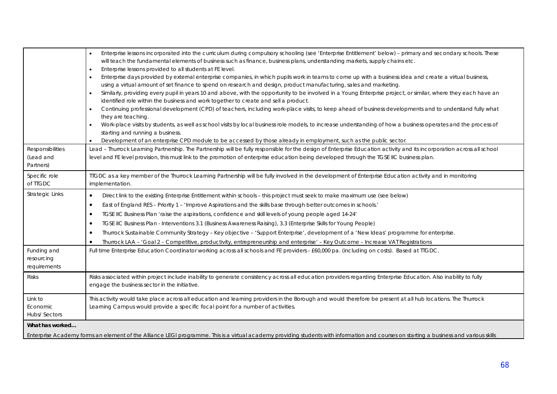|                                           | Enterprise lessons incorporated into the curriculum during compulsory schooling (see 'Enterprise Entitlement' below) - primary and secondary schools. These<br>$\bullet$                                                                        |
|-------------------------------------------|-------------------------------------------------------------------------------------------------------------------------------------------------------------------------------------------------------------------------------------------------|
|                                           | will teach the fundamental elements of business such as finance, business plans, understanding markets, supply chains etc.<br>Enterprise lessons provided to all students at FE level.<br>$\bullet$                                             |
|                                           | Enterprise days provided by external enterprise companies, in which pupils work in teams to come up with a business idea and create a virtual business,<br>$\bullet$                                                                            |
|                                           | using a virtual amount of set finance to spend on research and design, product manufacturing, sales and marketing.                                                                                                                              |
|                                           | Similarly, providing every pupil in years 10 and above, with the opportunity to be involved in a Young Enterprise project, or similar, where they each have an<br>$\bullet$                                                                     |
|                                           | identified role within the business and work together to create and sell a product.                                                                                                                                                             |
|                                           | Continuing professional development (CPD) of teachers, including work-place visits, to keep ahead of business developments and to understand fully what<br>$\bullet$<br>they are teaching.                                                      |
|                                           | Work-place visits by students, as well as school visits by local business role models, to increase understanding of how a business operates and the process of<br>$\bullet$                                                                     |
|                                           | starting and running a business.                                                                                                                                                                                                                |
|                                           | Development of an enterprise CPD module to be accessed by those already in employment, such as the public sector.                                                                                                                               |
| Responsibilities                          | Lead - Thurrock Learning Partnership. The Partnership will be fully responsible for the design of Enterprise Education activity and its incorporation across all school                                                                         |
| (Lead and                                 | level and FE level provision, this must link to the promotion of enterprise education being developed through the TGSE IIC business plan.                                                                                                       |
| Partners)                                 |                                                                                                                                                                                                                                                 |
| Specific role<br>of TTGDC                 | TIGDC as a key member of the Thurrock Learning Partnership will be fully involved in the development of Enterprise Education activity and in monitoring<br>implementation.                                                                      |
| <b>Strategic Links</b>                    | Direct link to the existing Enterprise Entitlement within schools - this project must seek to make maximum use (see below)<br>$\bullet$                                                                                                         |
|                                           | East of England RES - Priority 1 - 'Improve Aspirations and the skills base through better outcomes in schools.'<br>$\bullet$                                                                                                                   |
|                                           | TGSE IIC Business Plan 'raise the aspirations, confidence and skill levels of young people aged 14-24'<br>$\bullet$                                                                                                                             |
|                                           | TGSE IIC Business Plan - Interventions 3.1 (Business Awareness Raising), 3.3 (Enterprise Skills for Young People)<br>$\bullet$                                                                                                                  |
|                                           | Thurrock Sustainable Community Strategy - Key objective - 'Support Enterprise', development of a 'New Ideas' programme for enterprise.<br>$\bullet$                                                                                             |
|                                           | Thurrock LAA - 'Goal 2 - Competitive, productivity, entrepreneurship and enterprise' - Key Outcome - Increase VAT Registrations                                                                                                                 |
| Funding and<br>resourcing<br>requirements | Full time Enterprise Education Coordinator working across all schools and FE providers - £60,000 pa. (including on costs). Based at TTGDC.                                                                                                      |
| <b>Risks</b>                              | Risks associated within project include inability to generate consistency across all education providers regarding Enterprise Education. Also inability to fully<br>engage the business sector in the initiative.                               |
| Link to<br>Economic<br>Hubs/Sectors       | This activity would take place across all education and learning providers in the Borough and would therefore be present at all hub locations. The Thurrock<br>Learning Campus would provide a specific focal point for a number of activities. |
| What has worked                           |                                                                                                                                                                                                                                                 |
|                                           | Enterprise Academy forms an element of the Alliance LEGI programme. This is a virtual academy providing students with information and courses on starting a business and various skills                                                         |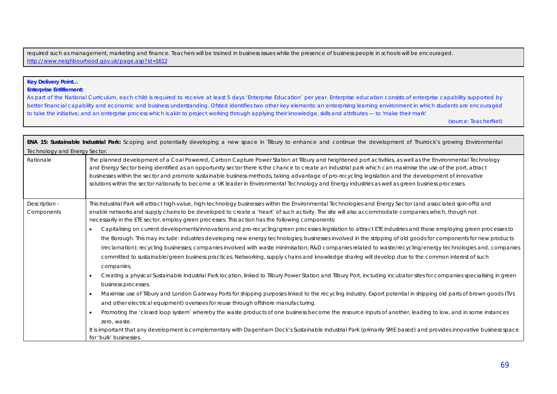required such as management, marketing and finance. Teachers will be trained in business issues while the presence of business people in schools will be encouraged. http://www.neighbourhood.gov.uk/page.asp?id=1612

### **Key Delivery Point…**

**Enterprise Entitlement:** 

As part of the National Curriculum, each child is required to receive at least 5 days 'Enterprise Education' per year. Enterprise education consists of enterprise capability supported by better financial capability and economic and business understanding. Ofsted identifies two other key elements: an enterprising learning environment in which students are encouraged to take the initiative; and an enterprise process which is akin to project working through applying their knowledge, skills and attributes — to 'make their mark'

(source: TeacherNet)

| ENA 15: Sustainable Industrial Park: Scoping and potentially developing a new space in Tilbury to enhance and continue the development of Thurrock's growing Environmental |                                                                                                                                                                                                                                                                                                                                                                                                                                                                                                                                                                                                                                             |  |  |
|----------------------------------------------------------------------------------------------------------------------------------------------------------------------------|---------------------------------------------------------------------------------------------------------------------------------------------------------------------------------------------------------------------------------------------------------------------------------------------------------------------------------------------------------------------------------------------------------------------------------------------------------------------------------------------------------------------------------------------------------------------------------------------------------------------------------------------|--|--|
|                                                                                                                                                                            | Technology and Energy Sector.                                                                                                                                                                                                                                                                                                                                                                                                                                                                                                                                                                                                               |  |  |
| Rationale                                                                                                                                                                  | The planned development of a Coal Powered, Carbon Capture Power Station at Tilbury and heightened port activities, as well as the Environmental Technology<br>and Energy Sector being identified as an opportunity sector there is the chance to create an industrial park which can maximise the use of the port, attract<br>businesses within the sector and promote sustainable business methods, taking advantage of pro-recycling legislation and the development of innovative<br>solutions within the sector nationally to become a UK leader in Environmental Technology and Energy industries as well as green business processes. |  |  |
| Description -<br>Components                                                                                                                                                | This Industrial Park will attract high-value, high-technology businesses within the Environmental Technologies and Energy Sector (and associated spin-offs) and<br>enable networks and supply chains to be developed to create a 'heart' of such activity. The site will also accommodate companies which, though not<br>necessarily in the ETE sector, employ green processes. This action has the following components:<br>Capitalising on current developments/innovations and pro-recycling/green processes legislation to attract ETE industries and those employing green processes to                                                |  |  |
|                                                                                                                                                                            | the Borough. This may include: industries developing new energy technologies; businesses involved in the stripping of old goods for components for new products<br>(reclamation); recycling businesses; companies involved with waste minimisation; R&D companies related to waste/recycling/energy technologies and, companies<br>committed to sustainable/green business practices. Networking, supply chains and knowledge sharing will develop due to the common interest of such<br>companies.                                                                                                                                         |  |  |
|                                                                                                                                                                            | Creating a physical Sustainable Industrial Park location, linked to Tilbury Power Station and Tilbury Port, including incubator sites for companies specialising in green<br>business processes.                                                                                                                                                                                                                                                                                                                                                                                                                                            |  |  |
|                                                                                                                                                                            | Maximise use of Tilbury and London Gateway Ports for shipping purposes linked to the recycling industry. Export potential in shipping old parts of brown goods (TVs<br>and other electrical equipment) oversees for reuse through offshore manufacturing.                                                                                                                                                                                                                                                                                                                                                                                   |  |  |
|                                                                                                                                                                            | Promoting the 'closed loop system' whereby the waste products of one business become the resource inputs of another, leading to low, and in some instances<br>zero, waste.<br>It is important that any development is complementary with Dagenham Dock's Sustainable Industrial Park (primarily SME based) and provides innovative business space<br>for 'bulk' businesses.                                                                                                                                                                                                                                                                 |  |  |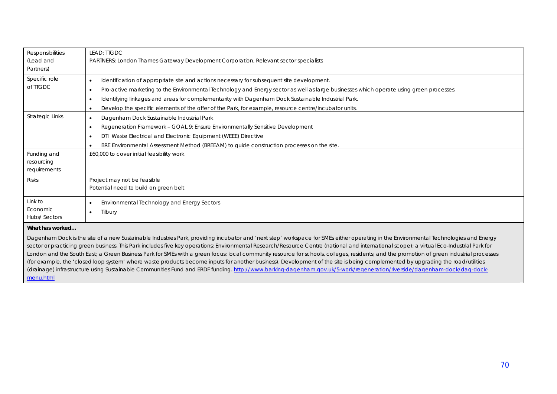| Responsibilities       | LEAD: TIGDC                                                                                                                                                                               |
|------------------------|-------------------------------------------------------------------------------------------------------------------------------------------------------------------------------------------|
| (Lead and<br>Partners) | PARTNERS: London Thames Gateway Development Corporation, Relevant sector specialists                                                                                                      |
| Specific role          | Identification of appropriate site and actions necessary for subsequent site development.                                                                                                 |
| of TIGDC               | Pro-active marketing to the Environmental Technology and Energy sector as well as large businesses which operate using green processes.<br>٠                                              |
|                        | Identifying linkages and areas for complementarity with Dagenham Dock Sustainable Industrial Park.<br>٠                                                                                   |
|                        | Develop the specific elements of the offer of the Park, for example, resource centre/incubator units.<br>$\bullet$                                                                        |
| Strategic Links        | Dagenham Dock Sustainable Industrial Park<br>$\bullet$                                                                                                                                    |
|                        | Regeneration Framework - GOAL 9: Ensure Environmentally Sensitive Development<br>$\bullet$                                                                                                |
|                        | DTI Waste Electrical and Electronic Equipment (WEEE) Directive                                                                                                                            |
|                        | BRE Environmental Assessment Method (BREEAM) to guide construction processes on the site.                                                                                                 |
| Funding and            | £60,000 to cover initial feasibility work                                                                                                                                                 |
| resourcing             |                                                                                                                                                                                           |
| requirements           |                                                                                                                                                                                           |
| <b>Risks</b>           | Project may not be feasible                                                                                                                                                               |
|                        | Potential need to build on green belt                                                                                                                                                     |
| Link to                | Environmental Technology and Energy Sectors                                                                                                                                               |
| Economic               | Tilbury                                                                                                                                                                                   |
| Hubs/Sectors           |                                                                                                                                                                                           |
| What has worked        |                                                                                                                                                                                           |
|                        | Dagenham Dock is the site of a new Sustainable Industries Park, providing incubator and 'next step' workspace for SMEs either operating in the Environmental Technologies and Energy      |
|                        | sector or practicing green business. This Park includes five key operations: Environmental Research/Resource Centre (national and international scope); a virtual Eco-Industrial Park for |
|                        | London and the South East; a Green Business Park for SMEs with a green focus; local community resource for schools, colleges, residents; and the promotion of green industrial processes  |

(for example, the 'closed loop system' where waste products become inputs for another business). Development of the site is being complemented by upgrading the road/utilities (drainage) infrastructure using Sustainable Communities Fund and ERDF funding. http://www.barking-dagenham.gov.uk/5-work/regeneration/riverside/dagenham-dock/dag-dockmenu.html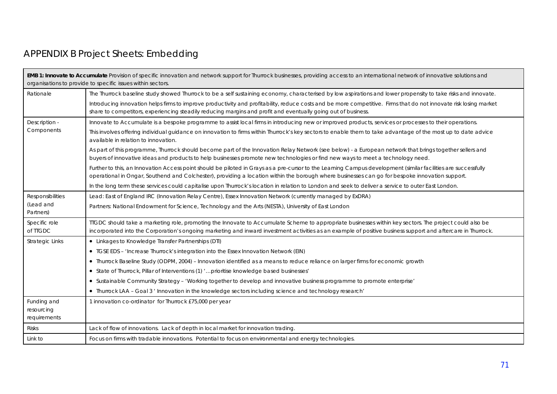# APPENDIX B Project Sheets: Embedding

| EMB 1: Innovate to Accumulate Provision of specific innovation and network support for Thurrock businesses, providing access to an international network of innovative solutions and<br>organisations to provide to specific issues within sectors. |                                                                                                                                                                                                                                                                                                                         |
|-----------------------------------------------------------------------------------------------------------------------------------------------------------------------------------------------------------------------------------------------------|-------------------------------------------------------------------------------------------------------------------------------------------------------------------------------------------------------------------------------------------------------------------------------------------------------------------------|
| Rationale                                                                                                                                                                                                                                           | The Thurrock baseline study showed Thurrock to be a self sustaining economy, characterised by low aspirations and lower propensity to take risks and innovate.                                                                                                                                                          |
|                                                                                                                                                                                                                                                     | Introducing innovation helps firms to improve productivity and profitability, reduce costs and be more competitive. Firms that do not innovate risk losing market<br>share to competitors, experiencing steadily reducing margins and profit and eventually going out of business.                                      |
| Description -<br>Components                                                                                                                                                                                                                         | Innovate to Accumulate is a bespoke programme to assist local firms in introducing new or improved products, services or processes to their operations.                                                                                                                                                                 |
|                                                                                                                                                                                                                                                     | This involves offering individual guidance on innovation to firms within Thurrock's key sectors to enable them to take advantage of the most up to date advice<br>available in relation to innovation.                                                                                                                  |
|                                                                                                                                                                                                                                                     | As part of this programme, Thurrock should become part of the Innovation Relay Network (see below) - a European network that brings together sellers and<br>buyers of innovative ideas and products to help businesses promote new technologies or find new ways to meet a technology need.                             |
|                                                                                                                                                                                                                                                     | Further to this, an Innovation Access point should be piloted in Grays as a pre-cursor to the Learning Campus development (similar facilities are successfully<br>operational in Ongar, Southend and Colchester), providing a location within the borough where businesses can go for bespoke innovation support.       |
|                                                                                                                                                                                                                                                     | In the long term these services could capitalise upon Thurrock's location in relation to London and seek to deliver a service to outer East London.                                                                                                                                                                     |
| <b>Responsibilities</b>                                                                                                                                                                                                                             | Lead: East of England IRC (Innovation Relay Centre), Essex Innovation Network (currently managed by ExDRA)                                                                                                                                                                                                              |
| (Lead and<br>Partners)                                                                                                                                                                                                                              | Partners: National Endowment for Science, Technology and the Arts (NESTA), University of East London                                                                                                                                                                                                                    |
| Specific role<br>of TTGDC                                                                                                                                                                                                                           | TIGDC should take a marketing role, promoting the Innovate to Accumulate Scheme to appropriate businesses within key sectors. The project could also be<br>incorporated into the Corporation's ongoing marketing and inward investment activities as an example of positive business support and aftercare in Thurrock. |
| <b>Strategic Links</b>                                                                                                                                                                                                                              | • Linkages to Knowledge Transfer Partnerships (DTI)                                                                                                                                                                                                                                                                     |
|                                                                                                                                                                                                                                                     | • TGSE EDS - 'Increase Thurrock's integration into the Essex Innovation Network (EIN)                                                                                                                                                                                                                                   |
|                                                                                                                                                                                                                                                     | • Thurrock Baseline Study (ODPM, 2004) - Innovation identified as a means to reduce reliance on larger firms for economic growth                                                                                                                                                                                        |
|                                                                                                                                                                                                                                                     | • State of Thurrock, Pillar of Interventions (1) ' prioritise knowledge based businesses'                                                                                                                                                                                                                               |
|                                                                                                                                                                                                                                                     | • Sustainable Community Strategy - 'Working together to develop and innovative business programme to promote enterprise'                                                                                                                                                                                                |
|                                                                                                                                                                                                                                                     | • Thurrock LAA - Goal 3 ' Innovation in the knowledge sectors including science and technology research'                                                                                                                                                                                                                |
| Funding and<br>resourcing<br>requirements                                                                                                                                                                                                           | 1 innovation co-ordinator for Thurrock £75,000 per year                                                                                                                                                                                                                                                                 |
| <b>Risks</b>                                                                                                                                                                                                                                        | Lack of flow of innovations. Lack of depth in local market for innovation trading.                                                                                                                                                                                                                                      |
| Link to                                                                                                                                                                                                                                             | Focus on firms with tradable innovations. Potential to focus on environmental and energy technologies.                                                                                                                                                                                                                  |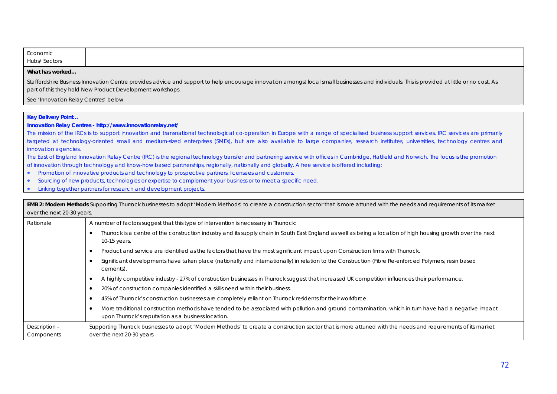| Economic            |  |  |
|---------------------|--|--|
| <b>Hubs/Sectors</b> |  |  |

### **What has worked…**

Staffordshire Business Innovation Centre provides advice and support to help encourage innovation amongst local small businesses and individuals. This is provided at little or no cost. As part of this they hold New Product Development workshops.

See 'Innovation Relay Centres' below

#### **Key Delivery Point…**

### **Innovation Relay Centres - http://www.innovationrelay.net/**

The mission of the IRCs is to support innovation and transnational technological co-operation in Europe with a range of specialised business support services. IRC services are primarily targeted at technology-oriented small and medium-sized enterprises (SMEs), but are also available to large companies, research institutes, universities, technology centres and innovation agencies.

The East of England Innovation Relay Centre (IRC) is the regional technology transfer and partnering service with offices in Cambridge, Hatfield and Norwich. The focus is the promotion of innovation through technology and know-how based partnerships, regionally, nationally and globally. A free service is offered including:

- Promotion of innovative products and technology to prospective partners, licensees and customers.
- Sourcing of new products, technologies or expertise to complement your business or to meet a specific need.
- Linking together partners for research and development projects.

| <b>EMB 2: Modern Methods</b> Supporting Thurrock businesses to adopt 'Modern Methods' to create a construction sector that is more attuned with the needs and requirements of its market<br>over the next 20-30 years. |                                                                                                                                                                                                            |  |
|------------------------------------------------------------------------------------------------------------------------------------------------------------------------------------------------------------------------|------------------------------------------------------------------------------------------------------------------------------------------------------------------------------------------------------------|--|
| Rationale                                                                                                                                                                                                              | A number of factors suggest that this type of intervention is necessary in Thurrock:                                                                                                                       |  |
|                                                                                                                                                                                                                        | Thurrock is a centre of the construction industry and its supply chain in South East England as well as being a location of high housing growth over the next<br>10-15 years.                              |  |
|                                                                                                                                                                                                                        | Product and service are identified as the factors that have the most significant impact upon Construction firms with Thurrock.                                                                             |  |
|                                                                                                                                                                                                                        | Significant developments have taken place (nationally and internationally) in relation to the Construction (Fibre Re-enforced Polymers, resin based<br>cements).                                           |  |
|                                                                                                                                                                                                                        | A highly competitive industry - 27% of construction businesses in Thurrock suggest that increased UK competition influences their performance.                                                             |  |
|                                                                                                                                                                                                                        | 20% of construction companies identified a skills need within their business.                                                                                                                              |  |
|                                                                                                                                                                                                                        | 45% of Thurrock's construction businesses are completely reliant on Thurrock residents for their workforce.                                                                                                |  |
|                                                                                                                                                                                                                        | More traditional construction methods have tended to be associated with pollution and ground contamination, which in turn have had a negative impact<br>upon Thurrock's reputation as a business location. |  |
| Description -<br>Components                                                                                                                                                                                            | Supporting Thurrock businesses to adopt 'Modern Methods' to create a construction sector that is more attuned with the needs and requirements of its market<br>over the next 20-30 years.                  |  |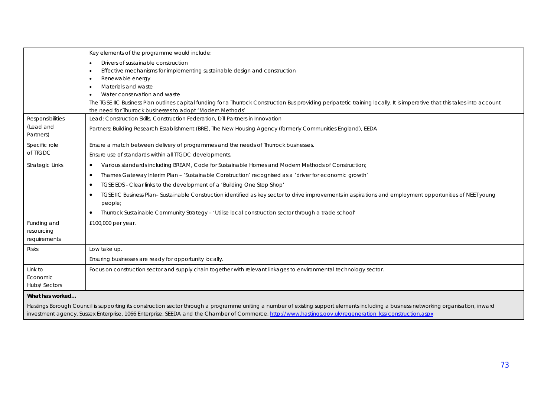|                                           | Key elements of the programme would include:                                                                                                                                                                                                                                                                                                     |
|-------------------------------------------|--------------------------------------------------------------------------------------------------------------------------------------------------------------------------------------------------------------------------------------------------------------------------------------------------------------------------------------------------|
|                                           | Drivers of sustainable construction                                                                                                                                                                                                                                                                                                              |
|                                           | Effective mechanisms for implementing sustainable design and construction                                                                                                                                                                                                                                                                        |
|                                           | Renewable energy                                                                                                                                                                                                                                                                                                                                 |
|                                           | Materials and waste                                                                                                                                                                                                                                                                                                                              |
|                                           | Water conservation and waste                                                                                                                                                                                                                                                                                                                     |
|                                           | The TGSE IIC Business Plan outlines capital funding for a Thurrock Construction Bus providing peripatetic training locally. It is imperative that this takes into account                                                                                                                                                                        |
|                                           | the need for Thurrock businesses to adopt 'Modern Methods'                                                                                                                                                                                                                                                                                       |
| Responsibilities                          | Lead: Construction Skills, Construction Federation, DTI Partners in Innovation                                                                                                                                                                                                                                                                   |
| (Lead and<br>Partners)                    | Partners: Building Research Establishment (BRE), The New Housing Agency (formerly Communities England), EEDA                                                                                                                                                                                                                                     |
| Specific role                             | Ensure a match between delivery of programmes and the needs of Thurrock businesses.                                                                                                                                                                                                                                                              |
| of TTGDC                                  | Ensure use of standards within all TTGDC developments.                                                                                                                                                                                                                                                                                           |
| Strategic Links                           | Various standards including BREAM, Code for Sustainable Homes and Modern Methods of Construction;<br>$\bullet$                                                                                                                                                                                                                                   |
|                                           | Thames Gateway Interim Plan - 'Sustainable Construction' recognised as a 'driver for economic growth'<br>$\bullet$                                                                                                                                                                                                                               |
|                                           | TGSE EDS - Clear links to the development of a 'Building One Stop Shop'                                                                                                                                                                                                                                                                          |
|                                           | TGSE IIC Business Plan-Sustainable Construction identified as key sector to drive improvements in aspirations and employment opportunities of NEET young<br>people;                                                                                                                                                                              |
|                                           | Thurrock Sustainable Community Strategy - 'Utilise local construction sector through a trade school'<br>$\bullet$                                                                                                                                                                                                                                |
| Funding and<br>resourcing<br>requirements | £100,000 per year.                                                                                                                                                                                                                                                                                                                               |
| <b>Risks</b>                              | Low take up.                                                                                                                                                                                                                                                                                                                                     |
|                                           | Ensuring businesses are ready for opportunity locally.                                                                                                                                                                                                                                                                                           |
| Link to<br>Economic<br>Hubs/Sectors       | Focus on construction sector and supply chain together with relevant linkages to environmental technology sector.                                                                                                                                                                                                                                |
| What has worked                           |                                                                                                                                                                                                                                                                                                                                                  |
|                                           | Hastings Borough Council is supporting its construction sector through a programme uniting a number of existing support elements including a business networking organisation, inward<br>investment agency, Sussex Enterprise, 1066 Enterprise, SEEDA and the Chamber of Commerce. http://www.hastings.gov.uk/regeneration_kss/construction.aspx |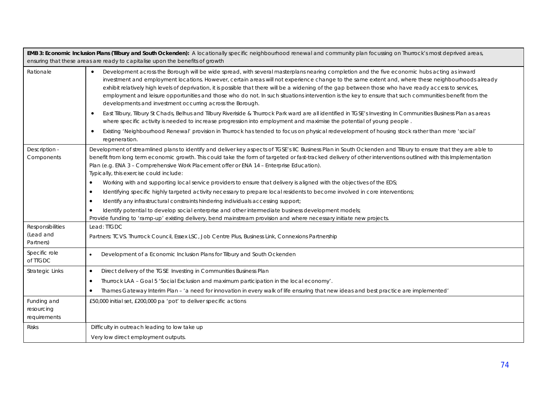|                                            | EMB 3: Economic Inclusion Plans (Tilbury and South Ockenden): A locationally specific neighbourhood renewal and community plan focussing on Thurrock's most deprived areas,<br>ensuring that these areas are ready to capitalise upon the benefits of growth                                                                                                                                                                                                                                                                                                                                                                                                                                                                                                                                                                                                                    |
|--------------------------------------------|---------------------------------------------------------------------------------------------------------------------------------------------------------------------------------------------------------------------------------------------------------------------------------------------------------------------------------------------------------------------------------------------------------------------------------------------------------------------------------------------------------------------------------------------------------------------------------------------------------------------------------------------------------------------------------------------------------------------------------------------------------------------------------------------------------------------------------------------------------------------------------|
| Rationale                                  | Development across the Borough will be wide spread, with several masterplans nearing completion and the five economic hubs acting as inward<br>$\bullet$<br>investment and employment locations. However, certain areas will not experience change to the same extent and, where these neighbourhoods already<br>exhibit relatively high levels of deprivation, it is possible that there will be a widening of the gap between those who have ready access to services,<br>employment and leisure opportunities and those who do not. In such situations intervention is the key to ensure that such communities benefit from the<br>developments and investment occurring across the Borough.<br>East Tilbury, Tilbury St Chads, Belhus and Tilbury Riveriside & Thurrock Park ward are all identified in TGSE's Investing In Communities Business Plan as areas<br>$\bullet$ |
|                                            | where specific activity is needed to increase progression into employment and maximise the potential of young people.<br>Existing 'Neighbourhood Renewal' provision in Thurrock has tended to focus on physical redevelopment of housing stock rather than more 'social'<br>regeneration.                                                                                                                                                                                                                                                                                                                                                                                                                                                                                                                                                                                       |
| Description -<br>Components                | Development of streamlined plans to identify and deliver key aspects of TGSE's IIC Business Plan in South Ockenden and Tilbury to ensure that they are able to<br>benefit from long term economic growth. This could take the form of targeted or fast-tracked delivery of other interventions outlined with this Implementation<br>Plan (e.g. ENA 3 - Comprehensive Work Placement offer or ENA 14 - Enterprise Education).<br>Typically, this exercise could include:<br>Working with and supporting local service providers to ensure that delivery is aligned with the objectives of the EDS;<br>$\bullet$                                                                                                                                                                                                                                                                  |
|                                            | Identifying specific highly targeted activity necessary to prepare local residents to become involved in core interventions;<br>$\bullet$<br>Identify any infrastructural constraints hindering individuals accessing support;<br>$\bullet$                                                                                                                                                                                                                                                                                                                                                                                                                                                                                                                                                                                                                                     |
|                                            | Identify potential to develop social enterprise and other intermediate business development models;<br>$\bullet$<br>Provide funding to 'ramp-up' existing delivery, bend mainstream provision and where necessary initiate new projects.                                                                                                                                                                                                                                                                                                                                                                                                                                                                                                                                                                                                                                        |
| Responsibilities<br>(Lead and<br>Partners) | Lead: TTGDC<br>Partners: TCVS. Thurrock Council, Essex LSC, Job Centre Plus, Business Link, Connexions Partnership                                                                                                                                                                                                                                                                                                                                                                                                                                                                                                                                                                                                                                                                                                                                                              |
| Specific role<br>of TTGDC                  | Development of a Economic Inclusion Plans for Tilbury and South Ockenden<br>$\bullet$                                                                                                                                                                                                                                                                                                                                                                                                                                                                                                                                                                                                                                                                                                                                                                                           |
| Strategic Links                            | Direct delivery of the TGSE Investing in Communities Business Plan<br>$\bullet$<br>Thurrock LAA - Goal 5 'Social Exclusion and maximum participation in the local economy'.<br>٠                                                                                                                                                                                                                                                                                                                                                                                                                                                                                                                                                                                                                                                                                                |
|                                            | Thames Gateway Interim Plan - 'a need for innovation in every walk of life ensuring that new ideas and best practice are implemented'<br>٠                                                                                                                                                                                                                                                                                                                                                                                                                                                                                                                                                                                                                                                                                                                                      |
| Funding and<br>resourcing<br>requirements  | £50,000 initial set, £200,000 pa 'pot' to deliver specific actions                                                                                                                                                                                                                                                                                                                                                                                                                                                                                                                                                                                                                                                                                                                                                                                                              |
| <b>Risks</b>                               | Difficulty in outreach leading to low take up                                                                                                                                                                                                                                                                                                                                                                                                                                                                                                                                                                                                                                                                                                                                                                                                                                   |
|                                            | Very low direct employment outputs.                                                                                                                                                                                                                                                                                                                                                                                                                                                                                                                                                                                                                                                                                                                                                                                                                                             |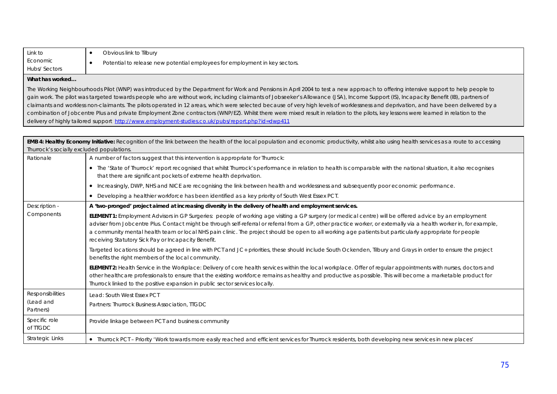| Link to                         | Obvious link to Tilbury                                                     |
|---------------------------------|-----------------------------------------------------------------------------|
| Economic<br><b>Hubs/Sectors</b> | Potential to release new potential employees for employment in key sectors. |
|                                 |                                                                             |

#### **What has worked…**

The Working Neighbourhoods Pilot (WNP) was introduced by the Department for Work and Pensions in April 2004 to test a new approach to offering intensive support to help people to gain work. The pilot was targeted towards people who are without work, including claimants of Jobseeker's Allowance (JSA), Income Support (IS), Incapacity Benefit (IB), partners of claimants and workless non-claimants. The pilots operated in 12 areas, which were selected because of very high levels of worklessness and deprivation, and have been delivered by a combination of Jobcentre Plus and private Employment Zone contractors (WNP/EZ). Whilst there were mixed result in relation to the pilots, key lessons were learned in relation to the delivery of highly tailored support http://www.employment-studies.co.uk/pubs/report.php?id=dwp411

**EMB 4: Healthy Economy Initiative:** Recognition of the link between the health of the local population and economic productivity, whilst also using health services as a route to accessing Thurrock's socially excluded populations. Rationale A number of factors suggest that this intervention is appropriate for Thurrock: • The 'State of Thurrock' report recognised that whilst Thurrock's performance in relation to health is comparable with the national situation, it also recognises that there are significant pockets of extreme health deprivation. x Increasingly, DWP, NHS and NICE are recognising the link between health and worklessness and subsequently poor economic performance. x Developing a healthier workforce has been identified as a key priority of South West Essex PCT. Description - Components **A 'two-pronged' project aimed at increasing diversity in the delivery of health and employment services. ELEMENT 1:** *Employment Advisors in GP Surgeries:* people of working age visiting a GP surgery (or medical centre) will be offered advice by an employment adviser from Jobcentre Plus. Contact might be through self-referral or referral from a GP, other practice worker, or externally via a health worker in, for example, a community mental health team or local NHS pain clinic. The project should be open to all working age patients but particularly appropriate for people receiving Statutory Sick Pay or Incapacity Benefit. Targeted locations should be agreed in line with PCT and JC+ priorities, these should include South Ockenden, Tilbury and Grays in order to ensure the project benefits the right members of the local community. **ELEMENT 2:** *Health Service in the Workplace:* Delivery of core health services within the local workplace. Offer of regular appointments with nurses, doctors and other healthcare professionals to ensure that the existing workforce remains as healthy and productive as possible. This will become a marketable product for Thurrock linked to the positive expansion in public sector services locally. Responsibilities (Lead and Partners) Lead: South West Essex PCT Partners: Thurrock Business Association, TTGDC Specific role of TTGDC Provide linkage between PCT and business community Strategic Links **in the Strategic Links in the Strategic Links** Thurrock PCT – Priority 'Work towards more easily reached and efficient services for Thurrock residents, both developing new services in new places'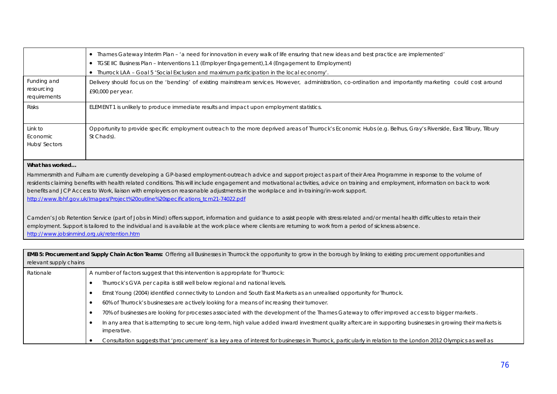|                                                                                                                                                                                                           | • Thames Gateway Interim Plan - 'a need for innovation in every walk of life ensuring that new ideas and best practice are implemented'                                                   |  |  |
|-----------------------------------------------------------------------------------------------------------------------------------------------------------------------------------------------------------|-------------------------------------------------------------------------------------------------------------------------------------------------------------------------------------------|--|--|
|                                                                                                                                                                                                           | • TGSE IIC Business Plan - Interventions 1.1 (Employer Engagement), 1.4 (Engagement to Employment)                                                                                        |  |  |
|                                                                                                                                                                                                           | • Thurrock LAA - Goal 5 'Social Exclusion and maximum participation in the local economy'.                                                                                                |  |  |
| Funding and                                                                                                                                                                                               | Delivery should focus on the 'bending' of existing mainstream services. However, administration, co-ordination and importantly marketing could cost around                                |  |  |
| resourcing<br>requirements                                                                                                                                                                                | £90,000 per year.                                                                                                                                                                         |  |  |
|                                                                                                                                                                                                           |                                                                                                                                                                                           |  |  |
| <b>Risks</b>                                                                                                                                                                                              | ELEMENT 1 is unlikely to produce immediate results and impact upon employment statistics.                                                                                                 |  |  |
|                                                                                                                                                                                                           |                                                                                                                                                                                           |  |  |
| Link to<br>Economic                                                                                                                                                                                       | Opportunity to provide specific employment outreach to the more deprived areas of Thurrock's Economic Hubs (e.g. Belhus, Gray's Riverside, East Tilbury, Tilbury<br>St Chads).            |  |  |
| Hubs/Sectors                                                                                                                                                                                              |                                                                                                                                                                                           |  |  |
|                                                                                                                                                                                                           |                                                                                                                                                                                           |  |  |
| What has worked                                                                                                                                                                                           |                                                                                                                                                                                           |  |  |
|                                                                                                                                                                                                           | Hammersmith and Fulham are currently developing a GP-based employment-outreach advice and support project as part of their Area Programme in response to the volume of                    |  |  |
|                                                                                                                                                                                                           | residents claiming benefits with health related conditions. This will include engagement and motivational activities, advice on training and employment, information on back to work      |  |  |
|                                                                                                                                                                                                           | benefits and JCP Access to Work, liaison with employers on reasonable adjustments in the workplace and in-training/in-work support.                                                       |  |  |
|                                                                                                                                                                                                           | http://www.lbhf.gov.uk/Images/Project%20outline%20specifications_tcm21-74022.pdf                                                                                                          |  |  |
|                                                                                                                                                                                                           |                                                                                                                                                                                           |  |  |
|                                                                                                                                                                                                           | Camden's Job Retention Service (part of Jobs in Mind) offers support, information and guidance to assist people with stress related and/or mental health difficulties to retain their     |  |  |
| employment. Support is tailored to the individual and is available at the work place where clients are returning to work from a period of sickness absence.<br>http://www.jobsinmind.org.uk/retention.htm |                                                                                                                                                                                           |  |  |
|                                                                                                                                                                                                           |                                                                                                                                                                                           |  |  |
|                                                                                                                                                                                                           | EMB 5: Procurement and Supply Chain Action Teams: Offering all Businesses in Thurrock the opportunity to grow in the borough by linking to existing procurement opportunities and         |  |  |
| relevant supply chains                                                                                                                                                                                    |                                                                                                                                                                                           |  |  |
| Rationale                                                                                                                                                                                                 | A number of factors suggest that this intervention is appropriate for Thurrock:                                                                                                           |  |  |
|                                                                                                                                                                                                           | Thurrock's GVA per capita is still well below regional and national levels.<br>$\bullet$                                                                                                  |  |  |
|                                                                                                                                                                                                           | Ernst Young (2004) identified connectivity to London and South East Markets as an unrealised opportunity for Thurrock.<br>$\bullet$                                                       |  |  |
|                                                                                                                                                                                                           | 60% of Thurrock's businesses are actively looking for a means of increasing their turnover.<br>$\bullet$                                                                                  |  |  |
|                                                                                                                                                                                                           | 70% of businesses are looking for processes associated with the development of the Thames Gateway to offer improved access to bigger markets.<br>$\bullet$                                |  |  |
|                                                                                                                                                                                                           | In any area that is attempting to secure long-term, high value added inward investment quality aftercare in supporting businesses in growing their markets is<br>$\bullet$<br>imperative. |  |  |
|                                                                                                                                                                                                           | Consultation suggests that 'procurement' is a key area of interest for businesses in Thurrock, particularly in relation to the London 2012 Olympics as well as                            |  |  |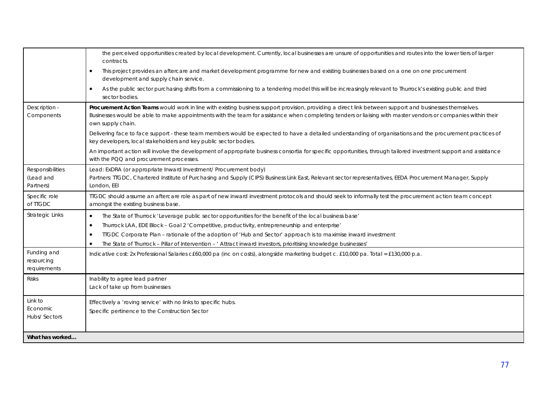|                                            | the perceived opportunities created by local development. Currently, local businesses are unsure of opportunities and routes into the lower tiers of larger<br>contracts.                                                                                                                                                                     |
|--------------------------------------------|-----------------------------------------------------------------------------------------------------------------------------------------------------------------------------------------------------------------------------------------------------------------------------------------------------------------------------------------------|
|                                            | This project provides an aftercare and market development programme for new and existing businesses based on a one on one procurement<br>development and supply chain service.                                                                                                                                                                |
|                                            | As the public sector purchasing shifts from a commissioning to a tendering model this will be increasingly relevant to Thurrock's existing public and third<br>$\bullet$<br>sector bodies.                                                                                                                                                    |
| Description -<br>Components                | Procurement Action Teams would work in line with existing business support provision, providing a direct link between support and businesses themselves.<br>Businesses would be able to make appointments with the team for assistance when completing tenders or liaising with master vendors or companies within their<br>own supply chain. |
|                                            | Delivering face to face support - these team members would be expected to have a detailed understanding of organisations and the procurement practices of<br>key developers, local stakeholders and key public sector bodies.                                                                                                                 |
|                                            | An important action will involve the development of appropriate business consortia for specific opportunities, through tailored investment support and assistance<br>with the PQQ and procurement processes.                                                                                                                                  |
| Responsibilities<br>(Lead and<br>Partners) | Lead: ExDRA (or appropriate Inward Investment/ Procurement body)<br>Partners: TIGDC, Chartered Institute of Purchasing and Supply (CIPS) Business Link East, Relevant sector representatives, EEDA Procurement Manager, Supply<br>London, EEI                                                                                                 |
| Specific role<br>of TTGDC                  | TIGDC should assume an aftercare role as part of new inward investment protocols and should seek to informally test the procurement action team concept<br>amongst the existing business base.                                                                                                                                                |
| <b>Strategic Links</b>                     | The State of Thurrock 'Leverage public sector opportunities for the benefit of the local business base'<br>$\bullet$                                                                                                                                                                                                                          |
|                                            | Thurrock LAA, EDE Block - Goal 2 'Competitive, productivity, entrepreneurship and enterprise'                                                                                                                                                                                                                                                 |
|                                            | TTGDC Corporate Plan - rationale of the adoption of 'Hub and Sector' approach is to maximise inward investment<br>$\bullet$                                                                                                                                                                                                                   |
|                                            | The State of Thurrock - Pillar of Intervention - ' Attract inward investors, prioritising knowledge businesses'<br>$\bullet$                                                                                                                                                                                                                  |
| Funding and<br>resourcing<br>requirements  | Indicative cost: 2x Professional Salaries c£60,000 pa (inc on costs), alongside marketing budget c. £10,000 pa. Total = £130,000 p.a.                                                                                                                                                                                                         |
| <b>Risks</b>                               | Inability to agree lead partner<br>Lack of take up from businesses                                                                                                                                                                                                                                                                            |
| Link to<br>Economic<br>Hubs/Sectors        | Effectively a 'roving service' with no links to specific hubs.<br>Specific pertinence to the Construction Sector                                                                                                                                                                                                                              |
| What has worked                            |                                                                                                                                                                                                                                                                                                                                               |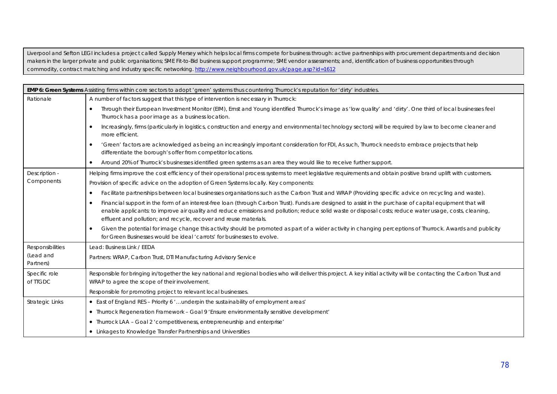Liverpool and Sefton LEGI includes a project called Supply Mersey which helps local firms compete for business through: active partnerships with procurement departments and decision makers in the larger private and public organisations; SME Fit-to-Bid business support programme; SME vendor assessments; and, identification of business opportunities through commodity, contract matching and industry specific networking. http://www.neighbourhood.gov.uk/page.asp?id=1612

|                           | EMP 6: Green Systems Assisting firms within core sectors to adopt 'green' systems thus countering Thurrock's reputation for 'dirty' industries.                                                                                                                                                                                                                                                          |
|---------------------------|----------------------------------------------------------------------------------------------------------------------------------------------------------------------------------------------------------------------------------------------------------------------------------------------------------------------------------------------------------------------------------------------------------|
| Rationale                 | A number of factors suggest that this type of intervention is necessary in Thurrock:                                                                                                                                                                                                                                                                                                                     |
|                           | Through their European Investment Monitor (EIM), Ernst and Young identified Thurrock's image as 'low quality' and 'dirty'. One third of local businesses feel<br>Thurrock has a poor image as a business location.                                                                                                                                                                                       |
|                           | Increasingly, firms (particularly in logistics, construction and energy and environmental technology sectors) will be required by law to become cleaner and<br>$\bullet$<br>more efficient.                                                                                                                                                                                                              |
|                           | 'Green' factors are acknowledged as being an increasingly important consideration for FDI, As such, Thurrock needs to embrace projects that help<br>$\bullet$<br>differentiate the borough's offer from competitor locations.                                                                                                                                                                            |
|                           | Around 20% of Thurrock's businesses identified green systems as an area they would like to receive further support.<br>$\bullet$                                                                                                                                                                                                                                                                         |
| Description -             | Helping firms improve the cost efficiency of their operational process systems to meet legislative requirements and obtain positive brand uplift with customers.                                                                                                                                                                                                                                         |
| Components                | Provision of specific advice on the adoption of Green Systems locally. Key components:                                                                                                                                                                                                                                                                                                                   |
|                           | Facilitate partnerships between local businesses organisations such as the Carbon Trust and WRAP (Providing specific advice on recycling and waste).<br>$\bullet$                                                                                                                                                                                                                                        |
|                           | Financial support in the form of an interest-free loan (through Carbon Trust). Funds are designed to assist in the purchase of capital equipment that will<br>$\bullet$<br>enable applicants: to improve air quality and reduce emissions and pollution; reduce solid waste or disposal costs; reduce water usage, costs, cleaning,<br>effluent and pollution; and recycle, recover and reuse materials. |
|                           | Given the potential for image change this activity should be promoted as part of a wider activity in changing perceptions of Thurrock. Awards and publicity<br>$\bullet$<br>for Green Businesses would be ideal 'carrots' for businesses to evolve.                                                                                                                                                      |
| <b>Responsibilities</b>   | Lead: Business Link / EEDA                                                                                                                                                                                                                                                                                                                                                                               |
| (Lead and<br>Partners)    | Partners: WRAP, Carbon Trust, DTI Manufacturing Advisory Service                                                                                                                                                                                                                                                                                                                                         |
| Specific role<br>of TTGDC | Responsible for bringing in/together the key national and regional bodies who will deliver this project. A key initial activity will be contacting the Carbon Trust and<br>WRAP to agree the scope of their involvement.                                                                                                                                                                                 |
|                           | Responsible for promoting project to relevant local businesses.                                                                                                                                                                                                                                                                                                                                          |
| <b>Strategic Links</b>    | • East of England RES - Priority 6 'underpin the sustainability of employment areas'                                                                                                                                                                                                                                                                                                                     |
|                           | • Thurrock Regeneration Framework - Goal 9 'Ensure environmentally sensitive development'                                                                                                                                                                                                                                                                                                                |
|                           | • Thurrock LAA - Goal 2 'competitiveness, entrepreneurship and enterprise'                                                                                                                                                                                                                                                                                                                               |
|                           | • Linkages to Knowledge Transfer Partnerships and Universities                                                                                                                                                                                                                                                                                                                                           |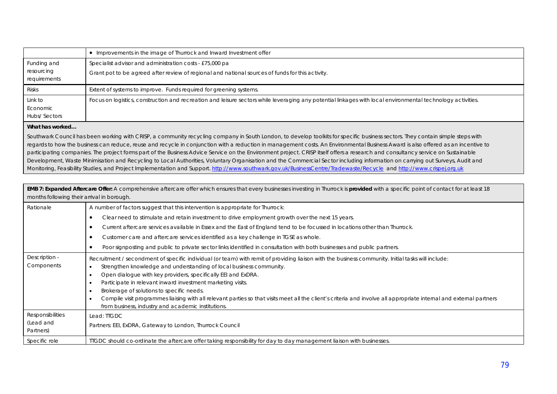|                                           | • Improvements in the image of Thurrock and Inward Investment offer                                                                                          |
|-------------------------------------------|--------------------------------------------------------------------------------------------------------------------------------------------------------------|
| Funding and<br>resourcing<br>requirements | Specialist advisor and administration costs - £75,000 pa<br>Grant pot to be agreed after review of regional and national sources of funds for this activity. |
| <b>Risks</b>                              | Extent of systems to improve. Funds required for greening systems.                                                                                           |
| Link to<br>Economic<br>Hubs/Sectors       | Focus on logistics, construction and recreation and leisure sectors while leveraging any potential linkages with local environmental technology activities.  |
| Illiant languaged and                     |                                                                                                                                                              |

### **What has worked…**

Southwark Council has been working with CRISP, a community recycling company in South London, to develop toolkits for specific business sectors. They contain simple steps with regards to how the business can reduce, reuse and recycle in conjunction with a reduction in management costs. An Environmental Business Award is also offered as an incentive to participating companies. The project forms part of the Business Advice Service on the Environment project. CRISP itself offers a research and consultancy service on Sustainable Development, Waste Minimisation and Recycling to Local Authorities, Voluntary Organisation and the Commercial Sector including information on carrying out Surveys, Audit and Monitoring, Feasibility Studies, and Project Implementation and Support. http://www.southwark.gov.uk/BusinessCentre/Tradewaste/Recycle and http://www.crispej.org.uk

| EMB 7: Expanded Aftercare Offer: A comprehensive aftercare offer which ensures that every businesses investing in Thurrock is provided with a specific point of contact for at least 18<br>months following their arrival in borough. |                                                                                                                                                                                                                                                                                                                                                                                                                                                                                                                                                                                                                                      |  |
|---------------------------------------------------------------------------------------------------------------------------------------------------------------------------------------------------------------------------------------|--------------------------------------------------------------------------------------------------------------------------------------------------------------------------------------------------------------------------------------------------------------------------------------------------------------------------------------------------------------------------------------------------------------------------------------------------------------------------------------------------------------------------------------------------------------------------------------------------------------------------------------|--|
| Rationale                                                                                                                                                                                                                             | A number of factors suggest that this intervention is appropriate for Thurrock:                                                                                                                                                                                                                                                                                                                                                                                                                                                                                                                                                      |  |
|                                                                                                                                                                                                                                       | Clear need to stimulate and retain investment to drive employment growth over the next 15 years.                                                                                                                                                                                                                                                                                                                                                                                                                                                                                                                                     |  |
|                                                                                                                                                                                                                                       | Current aftercare services available in Essex and the East of England tend to be focussed in locations other than Thurrock.                                                                                                                                                                                                                                                                                                                                                                                                                                                                                                          |  |
|                                                                                                                                                                                                                                       | Customer care and aftercare services identified as a key challenge in TGSE as whole.                                                                                                                                                                                                                                                                                                                                                                                                                                                                                                                                                 |  |
|                                                                                                                                                                                                                                       | Poor signposting and public to private sector links identified in consultation with both businesses and public partners.                                                                                                                                                                                                                                                                                                                                                                                                                                                                                                             |  |
| Description -<br>Components                                                                                                                                                                                                           | Recruitment / secondment of specific individual (or team) with remit of providing liaison with the business community. Initial tasks will include:<br>Strengthen knowledge and understanding of local business community.<br>Open dialogue with key providers, specifically EEI and ExDRA.<br>Participate in relevant inward investment marketing visits.<br>Brokerage of solutions to specific needs.<br>Compile visit programmes liaising with all relevant parties so that visits meet all the client's criteria and involve all appropriate internal and external partners<br>from business, industry and academic institutions. |  |
| Responsibilities<br>(Lead and<br>Partners)                                                                                                                                                                                            | Lead: TIGDC<br>Partners: EEI, ExDRA, Gateway to London, Thurrock Council                                                                                                                                                                                                                                                                                                                                                                                                                                                                                                                                                             |  |
| Specific role                                                                                                                                                                                                                         | TIGDC should co-ordinate the aftercare offer taking responsibility for day to day management liaison with businesses.                                                                                                                                                                                                                                                                                                                                                                                                                                                                                                                |  |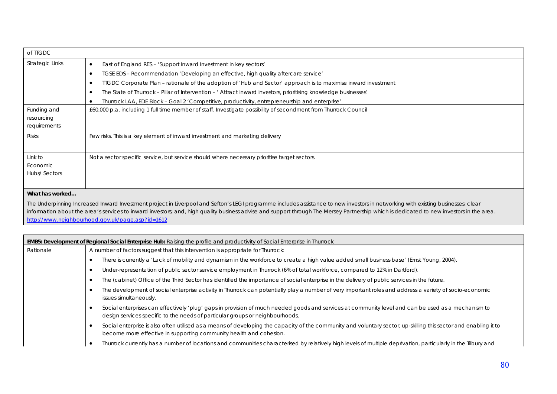| of TTGDC                                  |                                                                                                                                                                                                                                                                                                                                                                                                                                  |
|-------------------------------------------|----------------------------------------------------------------------------------------------------------------------------------------------------------------------------------------------------------------------------------------------------------------------------------------------------------------------------------------------------------------------------------------------------------------------------------|
| <b>Strategic Links</b>                    | East of England RES - 'Support Inward Investment in key sectors'<br>TGSE EDS - Recommendation 'Developing an effective, high quality aftercare service'<br>$\bullet$<br>TIGDC Corporate Plan - rationale of the adoption of 'Hub and Sector' approach is to maximise inward investment<br>The State of Thurrock – Pillar of Intervention – ' Attract inward investors, prioritising knowledge businesses'                        |
|                                           | Thurrock LAA, EDE Block - Goal 2 'Competitive, productivity, entrepreneurship and enterprise'                                                                                                                                                                                                                                                                                                                                    |
| Funding and<br>resourcing<br>requirements | £60,000 p.a. including 1 full time member of staff. Investigate possibility of secondment from Thurrock Council                                                                                                                                                                                                                                                                                                                  |
| Risks                                     | Few risks. This is a key element of inward investment and marketing delivery                                                                                                                                                                                                                                                                                                                                                     |
| Link to<br>Economic<br>Hubs/Sectors       | Not a sector specific service, but service should where necessary prioritise target sectors.                                                                                                                                                                                                                                                                                                                                     |
| What has worked                           |                                                                                                                                                                                                                                                                                                                                                                                                                                  |
|                                           | The Underpinning Increased Inward Investment project in Liverpool and Sefton's LEGI programme includes assistance to new investors in networking with existing businesses; clear<br>information about the area's services to inward investors; and, high quality business advise and support through The Mersey Partnership which is dedicated to new investors in the area.<br>http://www.neighbourhood.gov.uk/page.asp?id=1612 |

| <b>EMB5: Development of Regional Social Enterprise Hub:</b> Raising the profile and productivity of Social Enterprise in Thurrock |                                                                                                                                                                                                                                        |  |
|-----------------------------------------------------------------------------------------------------------------------------------|----------------------------------------------------------------------------------------------------------------------------------------------------------------------------------------------------------------------------------------|--|
| Rationale                                                                                                                         | A number of factors suggest that this intervention is appropriate for Thurrock:                                                                                                                                                        |  |
|                                                                                                                                   | There is currently a 'Lack of mobility and dynamism in the workforce to create a high value added small business base' (Ernst Young, 2004).                                                                                            |  |
|                                                                                                                                   | Under-representation of public sector service employment in Thurrock (6% of total workforce, compared to 12% in Dartford).                                                                                                             |  |
|                                                                                                                                   | The (cabinet) Office of the Third Sector has identified the importance of social enterprise in the delivery of public services in the future.                                                                                          |  |
|                                                                                                                                   | The development of social enterprise activity in Thurrock can potentially play a number of very important roles and address a variety of socio-economic<br>issues simultaneously.                                                      |  |
|                                                                                                                                   | Social enterprises can effectively 'plug' gaps in provision of much needed goods and services at community level and can be used as a mechanism to<br>design services specific to the needs of particular groups or neighbourhoods.    |  |
|                                                                                                                                   | Social enterprise is also often utilised as a means of developing the capacity of the community and voluntary sector, up-skilling this sector and enabling it to<br>become more effective in supporting community health and cohesion. |  |
|                                                                                                                                   | Thurrock currently has a number of locations and communities characterised by relatively high levels of multiple deprivation, particularly in the Tilbury and                                                                          |  |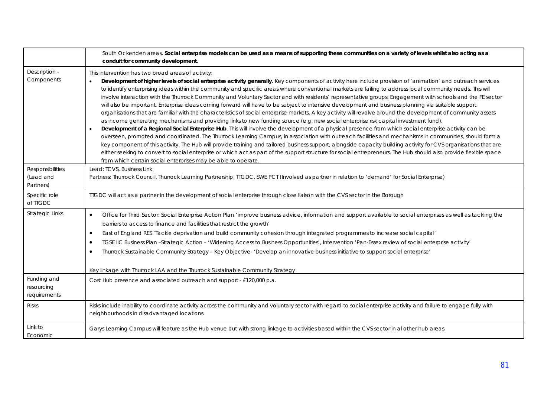|                                            | South Ockenden areas. Social enterprise models can be used as a means of supporting these communities on a variety of levels whilst also acting as a<br>conduit for community development.                                                                                                                                                                                                                                                                                                                                                                                                                                                                                                                                                                                                                                                                                                                                                                                                                                                                                                                                                                                                                                                                                                                                                                                                                                                                                                                                                                                                                                                                                                                                                              |
|--------------------------------------------|---------------------------------------------------------------------------------------------------------------------------------------------------------------------------------------------------------------------------------------------------------------------------------------------------------------------------------------------------------------------------------------------------------------------------------------------------------------------------------------------------------------------------------------------------------------------------------------------------------------------------------------------------------------------------------------------------------------------------------------------------------------------------------------------------------------------------------------------------------------------------------------------------------------------------------------------------------------------------------------------------------------------------------------------------------------------------------------------------------------------------------------------------------------------------------------------------------------------------------------------------------------------------------------------------------------------------------------------------------------------------------------------------------------------------------------------------------------------------------------------------------------------------------------------------------------------------------------------------------------------------------------------------------------------------------------------------------------------------------------------------------|
| Description -<br>Components                | This intervention has two broad areas of activity:<br>Development of higher levels of social enterprise activity generally. Key components of activity here include provision of 'animation' and outreach services<br>to identify enterprising ideas within the community and specific areas where conventional markets are failing to address local community needs. This will<br>involve interaction with the Thurrock Community and Voluntary Sector and with residents' representative groups. Engagement with schools and the FE sector<br>will also be important. Enterprise ideas coming forward will have to be subject to intensive development and business planning via suitable support<br>organisations that are familiar with the characteristics of social enterprise markets. A key activity will revolve around the development of community assets<br>as income generating mechanisms and providing links to new funding source (e.g. new social enterprise risk capital investment fund).<br>Development of a Regional Social Enterprise Hub. This will involve the development of a physical presence from which social enterprise activity can be<br>$\bullet$<br>overseen, promoted and coordinated. The Thurrock Learning Campus, in association with outreach facilities and mechanisms in communities, should form a<br>key component of this activity. The Hub will provide training and tailored business support, alongside capacity building activity for CVS organisations that are<br>either seeking to convert to social enterprise or which act as part of the support structure for social entrepreneurs. The Hub should also provide flexible space<br>from which certain social enterprises may be able to operate. |
| Responsibilities<br>(Lead and<br>Partners) | Lead: TCVS, Business Link<br>Partners: Thurrock Council, Thurrock Learning Partnership, TIGDC, SWE PCT (Involved as partner in relation to 'demand' for Social Enterprise)                                                                                                                                                                                                                                                                                                                                                                                                                                                                                                                                                                                                                                                                                                                                                                                                                                                                                                                                                                                                                                                                                                                                                                                                                                                                                                                                                                                                                                                                                                                                                                              |
| Specific role<br>of TIGDC                  | TIGDC will act as a partner in the development of social enterprise through close liaison with the CVS sector in the Borough                                                                                                                                                                                                                                                                                                                                                                                                                                                                                                                                                                                                                                                                                                                                                                                                                                                                                                                                                                                                                                                                                                                                                                                                                                                                                                                                                                                                                                                                                                                                                                                                                            |
| Strategic Links                            | Office for Third Sector: Social Enterprise Action Plan 'improve business advice, information and support available to social enterprises as well as tackling the<br>$\bullet$<br>barriers to access to finance and facilities that restrict the growth'<br>East of England RES 'Tackle deprivation and build community cohesion through integrated programmes to increase social capital'<br>$\bullet$<br>TGSE IIC Business Plan -Strategic Action - 'Widening Access to Business Opportunities', Intervention 'Pan-Essex review of social enterprise activity'<br>$\bullet$<br>Thurrock Sustainable Community Strategy - Key Objective- 'Develop an innovative business initiative to support social enterprise'<br>٠<br>Key linkage with Thurrock LAA and the Thurrock Sustainable Community Strategy                                                                                                                                                                                                                                                                                                                                                                                                                                                                                                                                                                                                                                                                                                                                                                                                                                                                                                                                                 |
| Funding and<br>resourcing<br>requirements  | Cost Hub presence and associated outreach and support - £120,000 p.a.                                                                                                                                                                                                                                                                                                                                                                                                                                                                                                                                                                                                                                                                                                                                                                                                                                                                                                                                                                                                                                                                                                                                                                                                                                                                                                                                                                                                                                                                                                                                                                                                                                                                                   |
| <b>Risks</b>                               | Risks include inability to coordinate activity across the community and voluntary sector with regard to social enterprise activity and failure to engage fully with<br>neighbourhoods in disadvantaged locations.                                                                                                                                                                                                                                                                                                                                                                                                                                                                                                                                                                                                                                                                                                                                                                                                                                                                                                                                                                                                                                                                                                                                                                                                                                                                                                                                                                                                                                                                                                                                       |
| Link to<br>Economic                        | Garys Learning Campus will feature as the Hub venue but with strong linkage to activities based within the CVS sector in al other hub areas.                                                                                                                                                                                                                                                                                                                                                                                                                                                                                                                                                                                                                                                                                                                                                                                                                                                                                                                                                                                                                                                                                                                                                                                                                                                                                                                                                                                                                                                                                                                                                                                                            |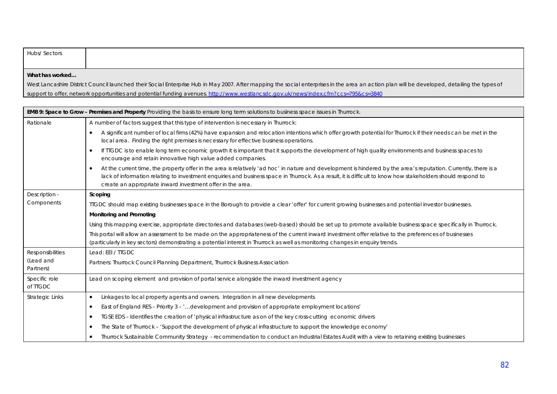| Hubs/ Sectors   |                                                                                                                                                                                              |
|-----------------|----------------------------------------------------------------------------------------------------------------------------------------------------------------------------------------------|
|                 |                                                                                                                                                                                              |
|                 |                                                                                                                                                                                              |
|                 |                                                                                                                                                                                              |
|                 |                                                                                                                                                                                              |
| What has worked |                                                                                                                                                                                              |
|                 |                                                                                                                                                                                              |
|                 | West Lancashire District Council launched their Social Enterprise Hub in May 2007. After mapping the social enterprises in the area an action plan will be developed, detailing the types of |

support to offer, network opportunities and potential funding avenues. http://www.westlancsdc.gov.uk/news/index.cfm?ccs=795&cs=3840

| EMB 9: Space to Grow - Premises and Property Providing the basis to ensure long term solutions to business space issues in Thurrock. |                                                                                                                                                                                                                                                                                                                                                                                                             |  |  |  |
|--------------------------------------------------------------------------------------------------------------------------------------|-------------------------------------------------------------------------------------------------------------------------------------------------------------------------------------------------------------------------------------------------------------------------------------------------------------------------------------------------------------------------------------------------------------|--|--|--|
| Rationale                                                                                                                            | A number of factors suggest that this type of intervention is necessary in Thurrock:                                                                                                                                                                                                                                                                                                                        |  |  |  |
|                                                                                                                                      | A significant number of local firms (42%) have expansion and relocation intentions which offer growth potential for Thurrock if their needs can be met in the<br>٠<br>local area. Finding the right premises is necessary for effective business operations.                                                                                                                                                |  |  |  |
|                                                                                                                                      | If TIGDC is to enable long term economic growth it is important that it supports the development of high quality environments and business spaces to<br>$\bullet$<br>encourage and retain innovative high value added companies.                                                                                                                                                                            |  |  |  |
|                                                                                                                                      | At the current time, the property offer in the area is relatively 'ad hoc' in nature and development is hindered by the area's reputation. Currently, there is a<br>$\bullet$<br>lack of information relating to investment enquiries and business space in Thurrock. As a result, it is difficult to know how stakeholders should respond to<br>create an appropriate inward investment offer in the area. |  |  |  |
| Description -                                                                                                                        | Scoping                                                                                                                                                                                                                                                                                                                                                                                                     |  |  |  |
| Components                                                                                                                           | TIGDC should map existing businesses space in the Borough to provide a clear 'offer' for current growing businesses and potential investor businesses.                                                                                                                                                                                                                                                      |  |  |  |
|                                                                                                                                      | Monitoring and Promoting                                                                                                                                                                                                                                                                                                                                                                                    |  |  |  |
|                                                                                                                                      | Using this mapping exercise, appropriate directories and databases (web-based) should be set up to promote available business space specifically in Thurrock.                                                                                                                                                                                                                                               |  |  |  |
|                                                                                                                                      | This portal will allow an assessment to be made on the appropriateness of the current inward investment offer relative to the preferences of businesses<br>(particularly in key sectors) demonstrating a potential interest in Thurrock as well as monitoring changes in enquiry trends.                                                                                                                    |  |  |  |
| <b>Responsibilities</b>                                                                                                              | Lead: EEI / TTGDC                                                                                                                                                                                                                                                                                                                                                                                           |  |  |  |
| (Lead and<br>Partners)                                                                                                               | Partners: Thurrock Council Planning Department, Thurrock Business Association                                                                                                                                                                                                                                                                                                                               |  |  |  |
| Specific role<br>of TTGDC                                                                                                            | Lead on scoping element and provision of portal service alongside the inward investment agency                                                                                                                                                                                                                                                                                                              |  |  |  |
| Strategic Links                                                                                                                      | Linkages to local property agents and owners. Integration in all new developments<br>$\bullet$                                                                                                                                                                                                                                                                                                              |  |  |  |
|                                                                                                                                      | East of England RES - Priority 3 - 'development and provision of appropriate employment locations'<br>$\bullet$                                                                                                                                                                                                                                                                                             |  |  |  |
|                                                                                                                                      | TGSE EDS – Identifies the creation of 'physical infrastructure as on of the key cross-cutting economic drivers<br>$\bullet$                                                                                                                                                                                                                                                                                 |  |  |  |
|                                                                                                                                      | The State of Thurrock - 'Support the development of physical infrastructure to support the knowledge economy'<br>٠                                                                                                                                                                                                                                                                                          |  |  |  |
|                                                                                                                                      | Thurrock Sustainable Community Strategy - recommendation to conduct an Industrial Estates Audit with a view to retaining existing businesses                                                                                                                                                                                                                                                                |  |  |  |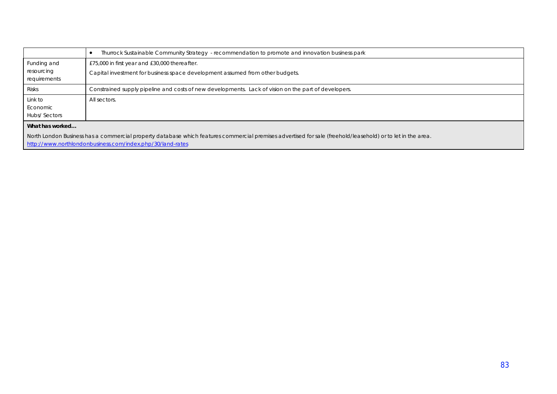|                                                                                                                                                             | Thurrock Sustainable Community Strategy - recommendation to promote and innovation business park     |  |  |  |
|-------------------------------------------------------------------------------------------------------------------------------------------------------------|------------------------------------------------------------------------------------------------------|--|--|--|
| Funding and<br>resourcing                                                                                                                                   | £75,000 in first year and £30,000 thereafter.                                                        |  |  |  |
| requirements                                                                                                                                                | Capital investment for business space development assumed from other budgets.                        |  |  |  |
| Risks                                                                                                                                                       | Constrained supply pipeline and costs of new developments. Lack of vision on the part of developers. |  |  |  |
| Link to                                                                                                                                                     | All sectors.                                                                                         |  |  |  |
| Economic                                                                                                                                                    |                                                                                                      |  |  |  |
| Hubs/Sectors                                                                                                                                                |                                                                                                      |  |  |  |
| What has worked                                                                                                                                             |                                                                                                      |  |  |  |
| North London Business has a commercial property database which features commercial premises advertised for sale (freehold/leasehold) or to let in the area. |                                                                                                      |  |  |  |
|                                                                                                                                                             | http://www.northlondonbusiness.com/index.php/30/land-rates                                           |  |  |  |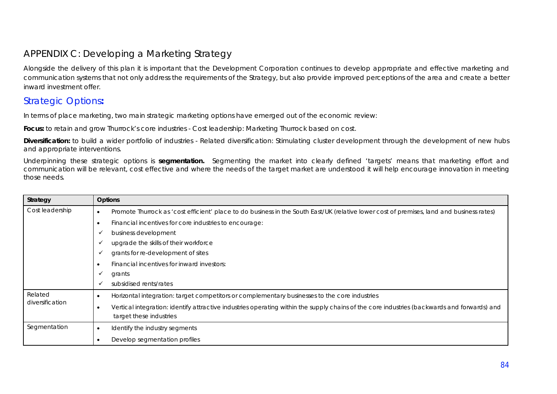## APPENDIX C: Developing a Marketing Strategy

Alongside the delivery of this plan it is important that the Development Corporation continues to develop appropriate and effective marketing and communication systems that not only address the requirements of the Strategy, but also provide improved perceptions of the area and create a better inward investment offer.

### Strategic Options**:**

In terms of place marketing, two main strategic marketing options have emerged out of the economic review:

**Focus:** to retain and grow Thurrock's core industries - *Cost leadership*: Marketing Thurrock based on cost.

**Diversification:** to build a wider portfolio of industries - *Related diversification*: Stimulating cluster development through the development of new hubs and appropriate interventions.

Underpinning these strategic options is **segmentation.** Segmenting the market into clearly defined 'targets' means that marketing effort and communication will be relevant, cost effective and where the needs of the target market are understood it will help encourage innovation in meeting those needs.

| Strategy        | <b>Options</b>                                                                                                                                                         |  |  |  |
|-----------------|------------------------------------------------------------------------------------------------------------------------------------------------------------------------|--|--|--|
| Cost leadership | Promote Thurrock as 'cost efficient' place to do business in the South East/UK (relative lower cost of premises, land and business rates)                              |  |  |  |
|                 | Financial incentives for core industries to encourage:                                                                                                                 |  |  |  |
|                 | business development<br>✓                                                                                                                                              |  |  |  |
|                 | upgrade the skills of their workforce                                                                                                                                  |  |  |  |
|                 | grants for re-development of sites<br>$\checkmark$                                                                                                                     |  |  |  |
|                 | Financial incentives for inward investors:                                                                                                                             |  |  |  |
|                 | grants<br>✓                                                                                                                                                            |  |  |  |
|                 | subsidised rents/rates                                                                                                                                                 |  |  |  |
| Related         | Horizontal integration: target competitors or complementary businesses to the core industries                                                                          |  |  |  |
| diversification | Vertical integration: identify attractive industries operating within the supply chains of the core industries (backwards and forwards) and<br>target these industries |  |  |  |
| Segmentation    |                                                                                                                                                                        |  |  |  |
|                 | Identify the industry segments                                                                                                                                         |  |  |  |
|                 | Develop segmentation profiles                                                                                                                                          |  |  |  |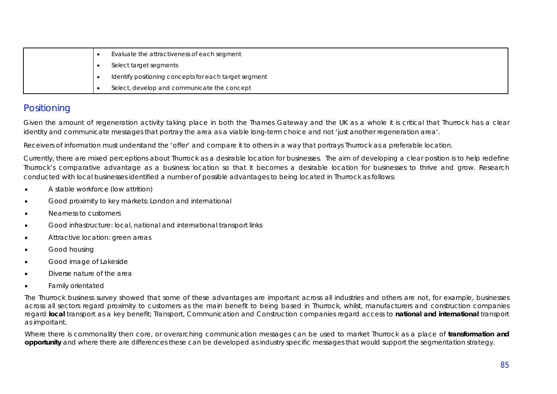|  | Evaluate the attractiveness of each segment           |
|--|-------------------------------------------------------|
|  | Select target segments                                |
|  | Identify positioning concepts for each target segment |
|  | Select, develop and communicate the concept           |

# **Positioning**

Given the amount of regeneration activity taking place in both the Thames Gateway and the UK as a whole it is critical that Thurrock has a clear identity and communicate messages that portray the area as a viable long-term choice and not 'just another regeneration area'.

Receivers of information must understand the 'offer' and compare it to others in a way that portrays Thurrock as a preferable location.

Currently, there are mixed perceptions about Thurrock as a desirable location for businesses. The aim of developing a clear position is to help redefine Thurrock's comparative advantage as a business location so that it becomes a desirable location for businesses to thrive and grow. Research conducted with local businesses identified a number of possible advantages to being located in Thurrock as follows:

- A stable workforce (low attrition)
- Good proximity to key markets: London and international
- Nearness to customers
- x Good infrastructure: local, national and international transport links
- Attractive location: green areas
- Good housing
- **•** Good image of Lakeside
- Diverse nature of the area
- Family orientated

The Thurrock business survey showed that some of these advantages are important across all industries and others are not, for example, businesses across all sectors regard proximity to customers as the main benefit to being based in Thurrock, whilst, manufacturers and construction companies regard **local** transport as a key benefit; Transport, Communication and Construction companies regard access to **national and international** transport as important.

Where there is commonality then core, or overarching communication messages can be used to market Thurrock as a place of **transformation and opportunity** and where there are differences these can be developed as industry specific messages that would support the segmentation strategy.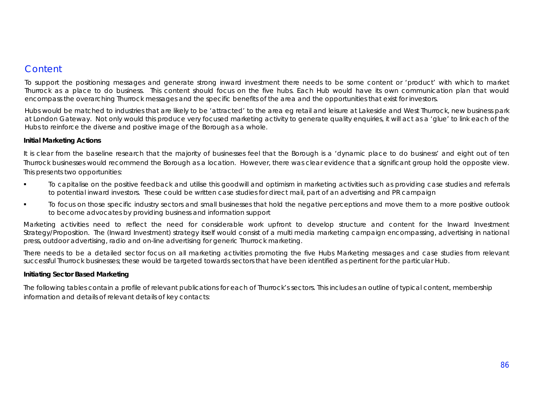## **Content**

To support the positioning messages and generate strong inward investment there needs to be some content or 'product' with which to market Thurrock as a place to do business. This content should focus on the five hubs. Each Hub would have its own communication plan that would encompass the overarching Thurrock messages and the specific benefits of the area and the opportunities that exist for investors.

Hubs would be matched to industries that are likely to be 'attracted' to the area eg retail and leisure at Lakeside and West Thurrock, new business park at London Gateway. Not only would this produce very focused marketing activity to generate quality enquiries, it will act as a 'glue' to link each of the Hubs to reinforce the diverse and positive image of the Borough as a whole.

### **Initial Marketing Actions**

It is clear from the baseline research that the majority of businesses feel that the Borough is a '*dynamic place to do business'* and eight out of ten Thurrock businesses would recommend the Borough as a location. However, there was clear evidence that a significant group hold the opposite view. This presents two opportunities:

- To capitalise on the positive feedback and utilise this goodwill and optimism in marketing activities such as providing case studies and referrals to potential inward investors. These could be written case studies for direct mail, part of an advertising and PR campaign
- To focus on those specific industry sectors and small businesses that hold the negative perceptions and move them to a more positive outlook to become advocates by providing business and information support

Marketing activities need to reflect the need for considerable work upfront to develop structure and content for the Inward Investment Strategy/Proposition. The (Inward Investment) strategy itself would consist of a multi media marketing campaign encompassing, advertising in national press, outdoor advertising, radio and on-line advertising for generic Thurrock marketing.

There needs to be a detailed sector focus on all marketing activities promoting the five Hubs Marketing messages and case studies from relevant successful Thurrock businesses; these would be targeted towards sectors that have been identified as pertinent for the particular Hub.

### **Initiating Sector Based Marketing**

The following tables contain a profile of relevant publications for each of Thurrock's sectors. This includes an outline of typical content, membership information and details of relevant details of key contacts: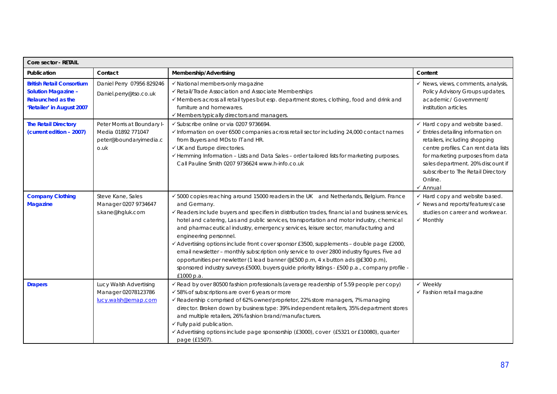| <b>Core sector - RETAIL</b>                                                                                             |                                                                                     |                                                                                                                                                                                                                                                                                                                                                                                                                                                                                                                                                                                                                                                                                                                                                                                                                       |                                                                                                                                                                                                                                                                                                           |  |
|-------------------------------------------------------------------------------------------------------------------------|-------------------------------------------------------------------------------------|-----------------------------------------------------------------------------------------------------------------------------------------------------------------------------------------------------------------------------------------------------------------------------------------------------------------------------------------------------------------------------------------------------------------------------------------------------------------------------------------------------------------------------------------------------------------------------------------------------------------------------------------------------------------------------------------------------------------------------------------------------------------------------------------------------------------------|-----------------------------------------------------------------------------------------------------------------------------------------------------------------------------------------------------------------------------------------------------------------------------------------------------------|--|
| Publication                                                                                                             | Contact                                                                             | Membership/Advertising                                                                                                                                                                                                                                                                                                                                                                                                                                                                                                                                                                                                                                                                                                                                                                                                | Content                                                                                                                                                                                                                                                                                                   |  |
| <b>British Retail Consortium</b><br><b>Solution Magazine -</b><br><b>Relaunched as the</b><br>'Retailer' in August 2007 | Daniel Perry 07956 829246<br>Daniel.perry@tso.co.uk                                 | √ National members-only magazine<br>√ Retail/Trade Association and Associate Memberships<br>√ Members across all retail types but esp. department stores, clothing, food and drink and<br>furniture and homewares.<br>✔ Members typically directors and managers.                                                                                                                                                                                                                                                                                                                                                                                                                                                                                                                                                     | $\checkmark$ News, views, comments, analysis,<br>Policy Advisory Groups updates,<br>academic/ Government/<br>institution articles.                                                                                                                                                                        |  |
| <b>The Retail Directory</b><br>(current edition - 2007)                                                                 | Peter Morris at Boundary I-<br>Media 01892 771047<br>peter@boundaryimedia.c<br>o.uk | √ Subscribe online or via 0207 9736694.<br>√ Information on over 6500 companies across retail sector including 24,000 contact names<br>from Buyers and MDs to IT and HR.<br>√ UK and Europe directories.<br>√ Hemming Information - Lists and Data Sales - order tailored lists for marketing purposes.<br>Call Pauline Smith 0207 9736624 www.h-info.co.uk                                                                                                                                                                                                                                                                                                                                                                                                                                                           | ✔ Hard copy and website based.<br>$\checkmark$ Entries detailing information on<br>retailers, including shopping<br>centre profiles. Can rent data lists<br>for marketing purposes from data<br>sales department. 20% discount if<br>subscriber to The Retail Directory<br>Online.<br>$\checkmark$ Annual |  |
| <b>Company Clothing</b><br><b>Magazine</b>                                                                              | Steve Kane, Sales<br>Manager 0207 9734647<br>s.kane@hgluk.com                       | ✔ 5000 copies reaching around 15000 readers in the UK and Netherlands, Belgium. France<br>and Germany.<br>Geaders include buyers and specifiers in distribution trades, financial and business services,<br>hotel and catering, Las and public services, transportation and motor industry, chemical<br>and pharmaceutical industry, emergency services, leisure sector, manufacturing and<br>engineering personnel.<br>✔ Advertising options include front cover sponsor £3500, supplements - double page £2000,<br>email newsletter - monthly subscription only service to over 2800 industry figures. Five ad<br>opportunities per newletter (1 lead banner @£500 p.m, 4 x button ads @£300 p.m),<br>sponsored industry surveys £5000, buyers guide priority listings - £500 p.a., company profile -<br>£1000 p.a. | $\checkmark$ Hard copy and website based.<br>$\checkmark$ News and reports/features/case<br>studies on career and workwear.<br>$\checkmark$ Monthly                                                                                                                                                       |  |
| <b>Drapers</b>                                                                                                          | Lucy Walsh Advertising<br>Manager 02078123786<br>lucy.walsh@emap.com                | Gead by over 80500 fashion professionals (average readership of 5.59 people per copy)<br>✔ 58% of subscriptions are over 6 years or more<br>√ Readership comprised of 62% owner/proprietor, 22% store managers, 7% managing<br>director. Broken down by business type: 39% independent retailers, 35% department stores<br>and multiple retailers, 26% fashion brand/manufacturers.<br>✓ Fully paid publication.<br>✔ Advertising options include page sponsorship (£3000), cover (£5321 or £10080), quarter<br>page (£1507).                                                                                                                                                                                                                                                                                         | √ Weekly<br>$\checkmark$ Fashion retail magazine                                                                                                                                                                                                                                                          |  |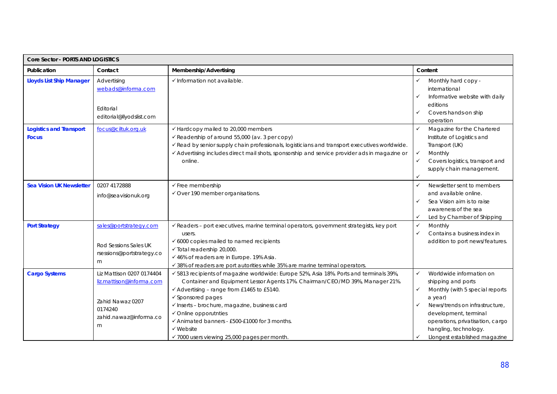| Core Sector - PORTS AND LOGISTICS              |                                                                                                                     |                                                                                                                                                                                                                                                                                                                                                                                                                                                          |                                                                                                                                                                                                                                                                      |  |
|------------------------------------------------|---------------------------------------------------------------------------------------------------------------------|----------------------------------------------------------------------------------------------------------------------------------------------------------------------------------------------------------------------------------------------------------------------------------------------------------------------------------------------------------------------------------------------------------------------------------------------------------|----------------------------------------------------------------------------------------------------------------------------------------------------------------------------------------------------------------------------------------------------------------------|--|
| Publication                                    | Contact                                                                                                             | Membership/Advertising                                                                                                                                                                                                                                                                                                                                                                                                                                   | Content                                                                                                                                                                                                                                                              |  |
| <b>Lloyds List Ship Manager</b>                | Advertising<br>webads@informa.com<br>Editorial<br>editorial@llyodslist.com                                          | √Information not available.                                                                                                                                                                                                                                                                                                                                                                                                                              | Monthly hard copy -<br>international<br>Informative website with daily<br>✓<br>editions<br>Covers hands-on ship<br>✓<br>operation                                                                                                                                    |  |
| <b>Logistics and Transport</b><br><b>Focus</b> | focus@ciltuk.org.uk                                                                                                 | ✔ Hardcopy mailed to 20,000 members<br>Geadership of around 55,000 (av. 3 per copy)<br>√ Read by senior supply chain professionals, logisticians and transport executives worldwide.<br>✔ Advertising includes direct mail shots, sponsorship and service provider ads in magazine or<br>online.                                                                                                                                                         | ✓<br>Magazine for the Chartered<br>Institute of Logistics and<br>Transport (UK)<br>Monthly<br>✓<br>✓<br>Covers logistics, transport and<br>supply chain management.<br>✓                                                                                             |  |
| <b>Sea Vision UK Newsletter</b>                | 0207 4172888<br>info@seavisionuk.org                                                                                | $\checkmark$ Free membership<br>√ Over 190 member organisations.                                                                                                                                                                                                                                                                                                                                                                                         | Newsletter sent to members<br>✓<br>and available online.<br>Sea Vision aim is to raise<br>✓<br>awareness of the sea<br>$\checkmark$<br>Led by Chamber of Shipping                                                                                                    |  |
| <b>Port Strategy</b>                           | sales@portstrategy.com<br>Rod Sessions Sales UK<br>rsessions@portstrategy.co<br>m                                   | Geaders - port executives, marine terminal operators, government strategists, key port<br>users.<br>$\checkmark$ 6000 copies mailed to named recipients<br>√ Total readership 20,000.<br>✔ 46% of readers are in Europe. 19% Asia.<br>√ 38% of readers are port autorities while 35% are marine terminal operators.                                                                                                                                      | ✓<br>Monthly<br>✓<br>Contains a business index in<br>addition to port news/features.                                                                                                                                                                                 |  |
| <b>Cargo Systems</b>                           | Liz Mattison 0207 0174404<br>liz.mattison@informa.com<br>Zahid Nawaz 0207<br>0174240<br>zahid.nawaz@informa.co<br>m | √ 5813 recipients of magazine worldwide: Europe 52%, Asia 18%. Ports and terminals 39%,<br>Container and Equipment Lessor Agents 17%. Chairman/CEO/MD 39%, Manager 21%.<br>✔ Advertising - range from £1465 to £5140.<br>$\checkmark$ Sponsored pages<br>√ Inserts - brochure, magazine, business card<br>✔ Online opporutnties<br>✔ Animated banners - £500-£1000 for 3 months.<br>$\checkmark$ Website<br>✔ 7000 users viewing 25,000 pages per month. | ✓<br>Worldwide information on<br>shipping and ports<br>✓<br>Monthly (with 5 special reports<br>a year)<br>News/trends on infrastructure,<br>✓<br>development, terminal<br>operations, privatisation, cargo<br>hangling, technology.<br>Llongest established magazine |  |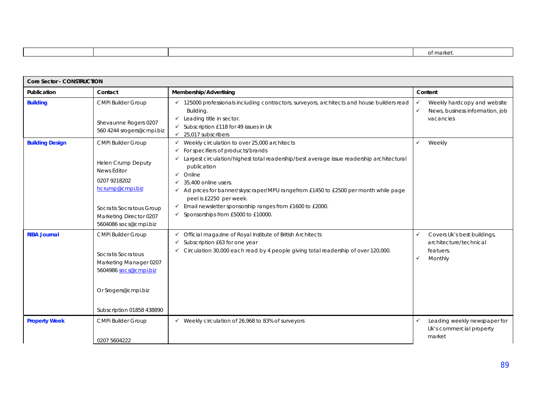|  | ית ורזו |
|--|---------|
|  |         |

|                        | <b>Core Sector - CONSTRUCTION</b>                                                                                                                                                 |                                                                                                                                                                                                                                                                                                                                                                                                                                                                                  |                                                                                         |  |  |
|------------------------|-----------------------------------------------------------------------------------------------------------------------------------------------------------------------------------|----------------------------------------------------------------------------------------------------------------------------------------------------------------------------------------------------------------------------------------------------------------------------------------------------------------------------------------------------------------------------------------------------------------------------------------------------------------------------------|-----------------------------------------------------------------------------------------|--|--|
| Publication            | Contact                                                                                                                                                                           | Membership/Advertising                                                                                                                                                                                                                                                                                                                                                                                                                                                           | Content                                                                                 |  |  |
| <b>Building</b>        | <b>CMPi Builder Group</b><br>Shevaunne Rogers 0207<br>560 4244 srogers@cmpi.biz                                                                                                   | $\checkmark$ 125000 professionals including contractors, surveyors, architects and house builders read<br>Building.<br>$\checkmark$ Leading title in sector.<br>Subscription £118 for 49 issues in Uk<br>25,017 subscribers<br>$\checkmark$                                                                                                                                                                                                                                      | Weekly hardcopy and website<br>News, business information, job<br>✓<br>vacancies        |  |  |
| <b>Building Design</b> | CMPi Builder Group<br>Helen Crump Deputy<br><b>News Editor</b><br>0207 9218202<br>hcrump@cmpi.biz<br>Socratis Socratous Group<br>Marketing Director 0207<br>5604086 socs@cmpi.biz | Weekly circulation to over 25,000 architects<br>✓<br>For specifiers of products/brands<br>✓<br>Largest circulation/highest total readership/best average issue readership architectural<br>✓<br>publication<br>Online<br>✓<br>35,400 online users.<br>✓<br>← Ad prices for banner/skyscraper/MPU rangefrom £1450 to £2500 per month while page<br>peel is £2250 per week.<br>Email newsletter sponsorship ranges from £1600 to £2000.<br>✓<br>Sponsorships from £5000 to £10000. | Weekly<br>✓                                                                             |  |  |
| <b>RIBA Journal</b>    | <b>CMPi Builder Group</b><br>Socratis Socratous<br>Marketing Manager 0207<br>5604986 socs@cmpi.biz<br>Or Srogers@cmpi.biz<br>Subscription 01858 438890                            | Official magazine of Royal Institute of British Architects<br>✓<br>Subscription £63 for one year<br>Circulation 30,000 each read by 4 people giving total readership of over 120,000.                                                                                                                                                                                                                                                                                            | Covers Uk's best buildings,<br>✓<br>architecture/technical<br>featuers.<br>Monthly<br>✓ |  |  |
| <b>Property Week</b>   | <b>CMPi Builder Group</b><br>0207 5604222                                                                                                                                         | $\checkmark$ Weekly circulation of 26,968 to 83% of surveyors                                                                                                                                                                                                                                                                                                                                                                                                                    | Leading weekly newspaper for<br>Uk's commercial property<br>market                      |  |  |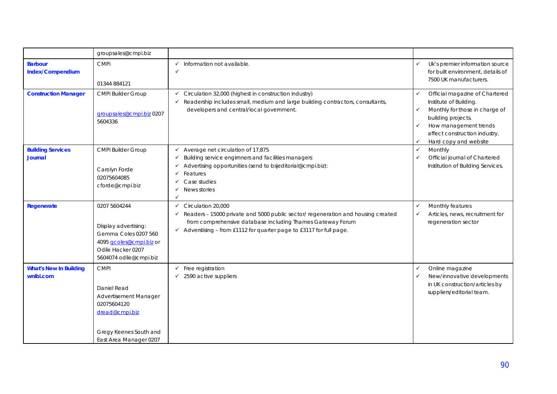|                                            | groupsales@cmpi.biz                                                                                                                      |                                                                                                                                                                                                                                                                                 |                              |                                                                                                                                                                                                     |
|--------------------------------------------|------------------------------------------------------------------------------------------------------------------------------------------|---------------------------------------------------------------------------------------------------------------------------------------------------------------------------------------------------------------------------------------------------------------------------------|------------------------------|-----------------------------------------------------------------------------------------------------------------------------------------------------------------------------------------------------|
| <b>Barbour</b><br>Index/Compendium         | <b>CMPi</b><br>01344 884121                                                                                                              | Information not available.<br>✓<br>✓                                                                                                                                                                                                                                            | $\checkmark$                 | Uk's premier information source<br>for built environment, details of<br>7500 UK manufacturers.                                                                                                      |
| <b>Construction Manager</b>                | <b>CMPi Builder Group</b><br>groupsales@cmpi.biz 0207<br>5604336                                                                         | Circulation 32,000 (highest in construction industry)<br>✓<br>Readership includes small, medium and large building contractors, consultants,<br>✓<br>developers and central/local government.                                                                                   | ✓<br>✓<br>✓<br>✓             | Official magazine of Chartered<br>Institute of Building.<br>Monthly for those in charge of<br>building projects.<br>How management trends<br>affect construction industry.<br>Hard copy and website |
| <b>Building Services</b><br><b>Journal</b> | <b>CMPi Builder Group</b><br>Carolyn Forde<br>02075604085<br>cforde@cmpi.biz                                                             | Average net circulation of 17,875<br>✓<br>Building service engirnners and facilities managers<br>✓<br>Advertising opportunities (send to bsjeditorial@cmpi.biz):<br>✓<br>Features<br>Case studies<br>News stories<br>✓                                                          | $\checkmark$<br>✓            | Monthly<br>Official journal of Chartered<br>Institution of Building Services.                                                                                                                       |
| Regenerate                                 | 0207 5604244<br>Display advertising:<br>Gemma Coles 0207 560<br>4095 gcoles@cmpi.biz or<br>Odile Hacker 0207<br>5604074 odile@cmpi.biz   | Circulation 20,000<br>$\checkmark$<br>Readers - 15000 private and 5000 public sector/ regeneration and housing created<br>$\checkmark$<br>from comprehensive database including Thames Gateway Forum<br>Adverstising - from £1112 for quarter page to £3117 for full page.<br>✓ | $\checkmark$<br>✓            | Monthly features<br>Articles, news, recruitment for<br>regeneration sector                                                                                                                          |
| <b>What's New In Building</b><br>wnibi.com | <b>CMPI</b><br>Daniel Read<br>Advertisement Manager<br>02075604120<br>dread@cmpi.biz<br>Gregy Keenes South and<br>East Area Manager 0207 | Free registration<br>✓<br>2590 active suppliers                                                                                                                                                                                                                                 | $\checkmark$<br>$\checkmark$ | Online magazine<br>New/innovative developments<br>in UK construction/articles by<br>suppliers/editorial team.                                                                                       |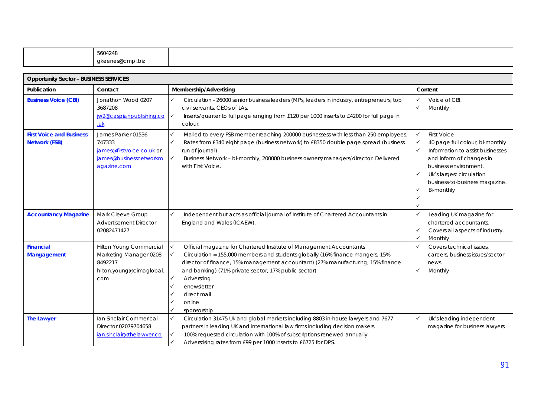|                                                         | 5604248<br>gkeenes@cmpi.biz                                                                        |                                                                                                                                                                                                                                                                                                                                                                                                     |                                                                                                                                                                                                                                                                                            |  |
|---------------------------------------------------------|----------------------------------------------------------------------------------------------------|-----------------------------------------------------------------------------------------------------------------------------------------------------------------------------------------------------------------------------------------------------------------------------------------------------------------------------------------------------------------------------------------------------|--------------------------------------------------------------------------------------------------------------------------------------------------------------------------------------------------------------------------------------------------------------------------------------------|--|
|                                                         |                                                                                                    |                                                                                                                                                                                                                                                                                                                                                                                                     |                                                                                                                                                                                                                                                                                            |  |
| <b>Opportunity Sector - BUSINESS SERVICES</b>           |                                                                                                    |                                                                                                                                                                                                                                                                                                                                                                                                     |                                                                                                                                                                                                                                                                                            |  |
| Publication                                             | Contact                                                                                            | Membership/Advertising                                                                                                                                                                                                                                                                                                                                                                              | Content                                                                                                                                                                                                                                                                                    |  |
| <b>Business Voice (CBI)</b>                             | Jonathon Wood 0207<br>3687208<br>jw2@caspianpublishing.co<br>$\underline{\mathsf{u}\mathsf{k}}$    | ✓<br>Circulation - 26000 senior business leaders (MPs, leaders in industry, entrepreneurs, top<br>civil servants, CEOs of LAs.<br>Inserts/quarter to full page ranging from £120 per 1000 inserts to £4200 for full page in<br>$\checkmark$<br>colour.                                                                                                                                              | ✓<br>Voice of CBI.<br>$\checkmark$<br>Monthly                                                                                                                                                                                                                                              |  |
| <b>First Voice and Business</b><br><b>Network (FSB)</b> | James Parker 01536<br>747333<br>james@firstvoice.co.uk or<br>james@businessnetworkm<br>agazine.com | Mailed to every FSB member reaching 200000 businessess with less than 250 employees.<br>$\checkmark$<br>$\checkmark$<br>Rates from £340 eight page (business network) to £8350 double page spread (business<br>run of journal)<br>$\checkmark$<br>Business Network - bi-monthly, 200000 business owners/managers/director. Delivered<br>with First Voice.                                           | $\checkmark$<br><b>First Voice</b><br>$\checkmark$<br>40 page full colour, bi-monthly<br>$\checkmark$<br>Information to assist businesses<br>and inform of changes in<br>business environment.<br>Uk's largest circulation<br>$\checkmark$<br>business-to-business magazine.<br>Bi-monthly |  |
| <b>Accountancy Magazine</b>                             | Mark Cleeve Group<br><b>Advertisement Director</b><br>02082471427                                  | $\checkmark$<br>Independent but acts as official journal of Institute of Chartered Accountants in<br>England and Wales (ICAEW).                                                                                                                                                                                                                                                                     | ✓<br>Leading UK magazine for<br>chartered accountants.<br>Covers all aspects of industry.<br>✓<br>Monthly<br>$\checkmark$                                                                                                                                                                  |  |
| <b>Financial</b><br><b>Mangagement</b>                  | Hilton Young Commercial<br>Marketing Manager 0208<br>8492217<br>hilton.young@cimaglobal.<br>com    | Official magazine for Chartered Institute of Management Accountants<br>✓<br>Circulation = 155,000 members and students globally (16% finance mangers, 15%<br>✓<br>director of finance, 15% management accountant) (27% manufacturing, 15% finance<br>and banking) (71% private sector, 17% public sector)<br>✓<br>Adversting<br>enewsletter<br>$\checkmark$<br>direct mail<br>online<br>sponsorship | $\checkmark$<br>Covers technical issues,<br>careers, business issues/sector<br>news.<br>$\checkmark$<br>Monthly                                                                                                                                                                            |  |
| <b>The Lawyer</b>                                       | Ian Sinclair Commerical<br>Director 02079704658<br>ian.sinclair@thelawyer.co                       | Circulation 31475 Uk and global markets including 8803 in-house lawyers and 7677<br>✓<br>partners in leading UK and international law firms including decision makers.<br>100% requested circulation with 100% of subscriptions renewed annually.<br>$\checkmark$                                                                                                                                   | Uk's leading independent<br>$\checkmark$<br>magazine for business lawyers                                                                                                                                                                                                                  |  |

 $\checkmark$  Adverstising rates from £99 per 1000 inserts to £6725 for DPS.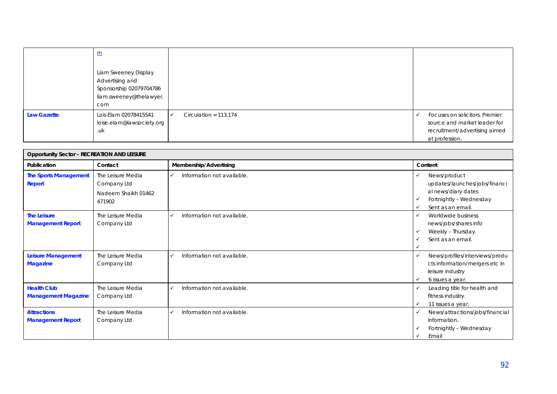|                    | $\underline{\mathsf{m}}$<br>Liam Sweeney Display<br>Advertising and<br>Sponsorship 02079704786<br>liam.sweeney@thelawyer.<br>com |                         |                                                                                                                   |
|--------------------|----------------------------------------------------------------------------------------------------------------------------------|-------------------------|-------------------------------------------------------------------------------------------------------------------|
| <b>Law Gazette</b> | Lois Elam 02078415541<br>loise.elam@lawsociety.org<br>.uk                                                                        | Circulation = $113,174$ | Focuses on solicitors. Premier<br>source and market leader for<br>recruitment/advertising aimed<br>at profession. |

| <b>Opportunity Sector - RECREATION AND LEISURE</b> |                                                                   |                            |                                                                                                                                     |  |
|----------------------------------------------------|-------------------------------------------------------------------|----------------------------|-------------------------------------------------------------------------------------------------------------------------------------|--|
| Publication                                        | Contact                                                           | Membership/Advertising     | Content                                                                                                                             |  |
| <b>The Sports Management</b><br>Report             | The Leisure Media<br>Company Ltd<br>Nadeem Shaikh 01462<br>471902 | Information not available. | News/product<br>✓<br>updates/launches/jobs/financi<br>al news/diary dates<br>Fortnightly - Wednesday<br>✓<br>Sent as an email.<br>✓ |  |
| <b>The Leisure</b><br><b>Management Report</b>     | The Leisure Media<br>Company Ltd                                  | Information not available. | Worldwide business<br>✓<br>news/jobs/shares info<br>Weekly - Thursday.<br>Sent as an email.                                         |  |
| <b>Leisure Management</b><br><b>Magazine</b>       | The Leisure Media<br>Company Ltd                                  | Information not available. | News/profiles/interviews/produ<br>$\checkmark$<br>cts information/mergers etc in<br>leisure industry<br>6 issues a year.<br>✓       |  |
| <b>Health Club</b><br><b>Management Magazine</b>   | The Leisure Media<br>Company Ltd                                  | Information not available. | Leading title for health and<br>✓<br>fitness industry.<br>11 issues a year.                                                         |  |
| <b>Attractions</b><br><b>Management Report</b>     | The Leisure Media<br>Company Ltd                                  | Information not available. | News/attractions/jobs/financial<br>$\checkmark$<br>information.<br>Fortnightly - Wednesday<br>✓<br>Email<br>✓                       |  |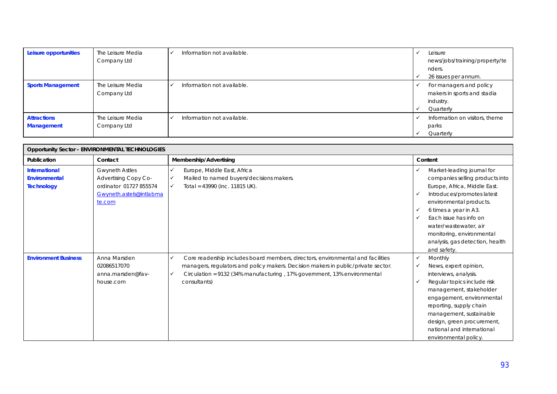| Leisure opportunities                   | The Leisure Media<br>Company Ltd | Information not available. | Leisure<br>news/jobs/training/property/te<br>nders.<br>26 issues per annum.      |
|-----------------------------------------|----------------------------------|----------------------------|----------------------------------------------------------------------------------|
| <b>Sports Management</b>                | The Leisure Media<br>Company Ltd | Information not available. | For managers and policy<br>makers in sports and stadia<br>industry.<br>Quarterly |
| <b>Attractions</b><br><b>Management</b> | The Leisure Media<br>Company Ltd | Information not available. | Information on visitors, theme<br>parks<br>Quarterly                             |

| <b>Opportunity Sector - ENVIRONMENTAL TECHNOLOGIES</b>            |                                                                                                              |                                                                                                                                                                                                                                                                  |                                                                                                                                                                                                                                                                                                                             |  |
|-------------------------------------------------------------------|--------------------------------------------------------------------------------------------------------------|------------------------------------------------------------------------------------------------------------------------------------------------------------------------------------------------------------------------------------------------------------------|-----------------------------------------------------------------------------------------------------------------------------------------------------------------------------------------------------------------------------------------------------------------------------------------------------------------------------|--|
| Publication                                                       | Contact                                                                                                      | Membership/Advertising                                                                                                                                                                                                                                           | Content                                                                                                                                                                                                                                                                                                                     |  |
| <b>International</b><br><b>Environmental</b><br><b>Technology</b> | <b>Gwyneth Astles</b><br>Advertising Copy Co-<br>ordinator 01727 855574<br>Gwyneth.astels@intlabma<br>te.com | Europe, Middle East, Africa<br>Mailed to named buyers/decisions makers.<br>Total = 43990 (inc. 11815 UK).<br>$\checkmark$                                                                                                                                        | Market-leading journal for<br>✓<br>companies selling products into<br>Europe, Africa, Middle East.<br>Introduces/promotes latest<br>environmental products.<br>6 times a year in A3.<br>Each issue has info on<br>✓<br>water/wastewater, air<br>monitoring, environmental<br>analysis, gas detection, health<br>and safety. |  |
| <b>Environment Business</b>                                       | Anna Marsden<br>02086517070<br>anna.marsden@fav-<br>house.com                                                | Core readership includes board members, directors, environmental and facilities<br>managers, regulators and policy makers. Decision makers in public/private sector.<br>Circulation = 9132 (34% manufacturing, 17% government, 13% environmental<br>consultants) | Monthly<br>✓<br>News, expert opinion,<br>✓<br>interviews, analysis.<br>Regular topics include risk<br>✓<br>management, stakeholder<br>engagement, environmental<br>reporting, supply chain<br>management, sustainable<br>design, green procurement,<br>national and international<br>environmental policy.                  |  |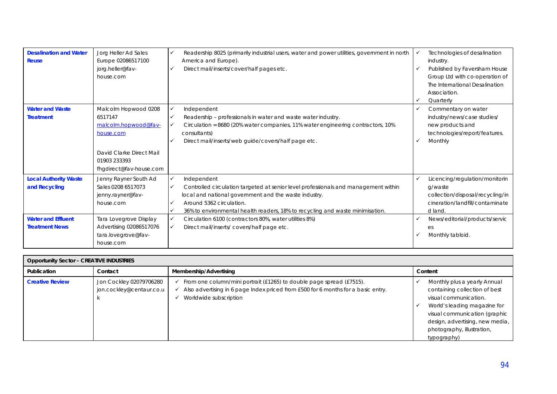| <b>Desalination and Water</b><br><b>Reuse</b>                                                       | Jorg Heller Ad Sales<br>Europe 02086517100<br>jorg.heller@fav-<br>house.com                                                                                            | Readership 8025 (primarily industrial users, water and power utilities, government in north<br>America and Europe).<br>Direct mail/inserts/cover/half pages etc.                                                                                                                                                                                                                | Technologies of desalination<br>industry.<br>Published by Faversham House<br>Group Ltd with co-operation of<br>The International Desalination<br>Association.<br>Quarterly<br>✓              |
|-----------------------------------------------------------------------------------------------------|------------------------------------------------------------------------------------------------------------------------------------------------------------------------|---------------------------------------------------------------------------------------------------------------------------------------------------------------------------------------------------------------------------------------------------------------------------------------------------------------------------------------------------------------------------------|----------------------------------------------------------------------------------------------------------------------------------------------------------------------------------------------|
| <b>Water and Waste</b><br><b>Treatment</b>                                                          | Malcolm Hopwood 0208<br>6517147<br>malcolm.hopwood@fav-<br>house.com<br>David Clarke Direct Mail<br>01903 233393<br>fhgdirect@fav-house.com                            | Independent<br>Readership - professionals in water and waste water industry.<br>Circulation = 8680 (20% water companies, 11% water engineering contractors, 10%<br>consultants)<br>Direct mail/inserts/web guide/covers/half page etc.                                                                                                                                          | Commentary on water<br>✓<br>industry/news/case studies/<br>new products and<br>technologies/report/features.<br>Monthly                                                                      |
| <b>Local Authority Waste</b><br>and Recycling<br><b>Water and Effluent</b><br><b>Treatment News</b> | Jenny Rayner South Ad<br>Sales 0208 6517073<br>jenny.rayner@fav-<br>house.com<br>Tara Lovegrove Display<br>Advertising 02086517076<br>tara.lovegrove@fav-<br>house.com | Independent<br>Controlled circulation targeted at senior level professionals and management within<br>local and national government and the waste industry.<br>Around 5362 circulation.<br>36% to environmental health readers, 18% to recycling and waste minimisation.<br>Circulation 6100 (contractors 80%, water utilities 8%)<br>Direct mail/inserts/covers/half page etc. | Licencing/regulation/monitorin<br>✓<br>g/waste<br>collection/disposal/recycling/in<br>cineration/landfill/contaminate<br>d land.<br>News/editorial/products/servic<br>es<br>Monthly tabloid. |

| <b>Opportunity Sector - CREATIVE INDUSTRIES</b> |                                                     |                                                                                                                                                                                     |                                                                                                                                                                                                                                         |  |  |
|-------------------------------------------------|-----------------------------------------------------|-------------------------------------------------------------------------------------------------------------------------------------------------------------------------------------|-----------------------------------------------------------------------------------------------------------------------------------------------------------------------------------------------------------------------------------------|--|--|
| Publication                                     | Contact                                             | Membership/Advertising                                                                                                                                                              | Content                                                                                                                                                                                                                                 |  |  |
| <b>Creative Review</b>                          | Jon Cockley 02079706280<br>jon.cockley@centaur.co.u | From one column/mini portrait (£1265) to double page spread (£7515).<br>Also advertising in 6 page Index priced from £500 for 6 months for a basic entry.<br>Worldwide subscription | Monthly plus a yearly Annual<br>containing collection of best<br>visual communication.<br>World's leading magazine for<br>visual communication (graphic<br>design, advertising, new media,<br>photography, illustration,<br>typography) |  |  |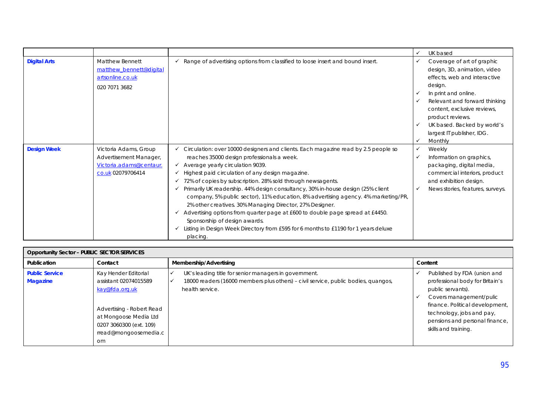|                     |                         |                                                                                     | ✓            | UK based                         |
|---------------------|-------------------------|-------------------------------------------------------------------------------------|--------------|----------------------------------|
| <b>Digital Arts</b> | <b>Matthew Bennett</b>  | Range of advertising options from classified to loose insert and bound insert.      | ✓            | Coverage of art of graphic       |
|                     | matthew bennett@digital |                                                                                     |              | design, 3D, animation, video     |
|                     | artsonline.co.uk        |                                                                                     |              | effects, web and interactive     |
|                     | 020 7071 3682           |                                                                                     |              | design.                          |
|                     |                         |                                                                                     |              | In print and online.             |
|                     |                         |                                                                                     |              | Relevant and forward thinking    |
|                     |                         |                                                                                     |              | content, exclusive reviews,      |
|                     |                         |                                                                                     |              | product reviews.                 |
|                     |                         |                                                                                     | $\checkmark$ | UK based. Backed by world's      |
|                     |                         |                                                                                     |              | largest IT publisher, IDG.       |
|                     |                         |                                                                                     | ✓            | Monthly                          |
| <b>Design Week</b>  | Victoria Adams, Group   | Circulation: over 10000 designers and clients. Each magazine read by 2.5 people so  | ✓            | Weekly                           |
|                     | Advertisement Manager,  | reaches 35000 design professionals a week.                                          | $\checkmark$ | Information on graphics,         |
|                     | Victoria.adams@centaur. | Average yearly circulation 9039.<br>✓                                               |              | packaging, digital media,        |
|                     | co.uk 02079706414       | Highest paid circulation of any design magazine.                                    |              | commercial interiors, product    |
|                     |                         | 72% of copies by subscription. 28% sold through newsagents.<br>✓                    |              | and exhibition design.           |
|                     |                         | Primarily UK readership. 44% design consultancy, 30% in-house design (25% client    | $\checkmark$ | News stories, features, surveys. |
|                     |                         | company, 5% public sector), 11% education, 8% advertising agency. 4% marketing/PR,  |              |                                  |
|                     |                         | 2% other creatives. 30% Managing Director, 27% Designer.                            |              |                                  |
|                     |                         | Advertising options from quarter page at £600 to double page spread at £4450.       |              |                                  |
|                     |                         | Sponsorship of design awards.                                                       |              |                                  |
|                     |                         | Listing in Design Week Directory from £595 for 6 months to £1190 for 1 years deluxe |              |                                  |
|                     |                         | placing.                                                                            |              |                                  |

| <b>Opportunity Sector - PUBLIC SECTOR SERVICES</b> |                                                                                                                                                                                            |                                                                                                                                                                |                                                                                                                                                                                                                                          |  |  |
|----------------------------------------------------|--------------------------------------------------------------------------------------------------------------------------------------------------------------------------------------------|----------------------------------------------------------------------------------------------------------------------------------------------------------------|------------------------------------------------------------------------------------------------------------------------------------------------------------------------------------------------------------------------------------------|--|--|
| Publication                                        | Contact                                                                                                                                                                                    | Membership/Advertising                                                                                                                                         | Content                                                                                                                                                                                                                                  |  |  |
| <b>Public Service</b><br><b>Magazine</b>           | Kay Hender Editorial<br>assistant 02074015589<br>kay@fda.org.uk<br>Advertising - Robert Read<br>at Mongoose Media Ltd<br>0207 3060300 (ext. 109)<br>rread@mongoosemedia.c<br><sub>om</sub> | UK's leading title for senior managers in government.<br>18000 readers (16000 members plus others) - civil service, public bodies, quangos,<br>health service. | Published by FDA (union and<br>professional body for Britain's<br>public servants).<br>Covers management/pulic<br>finance. Political development,<br>technology, jobs and pay,<br>pensions and personal finance,<br>skills and training. |  |  |